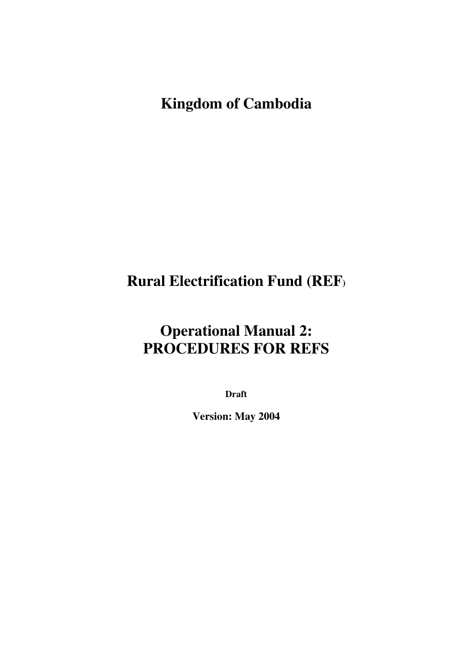# **Kingdom of Cambodia**

# **Rural Electrification Fund (REF)**

# **Operational Manual 2: PROCEDURES FOR REFS**

**Draft** 

**Version: May 2004**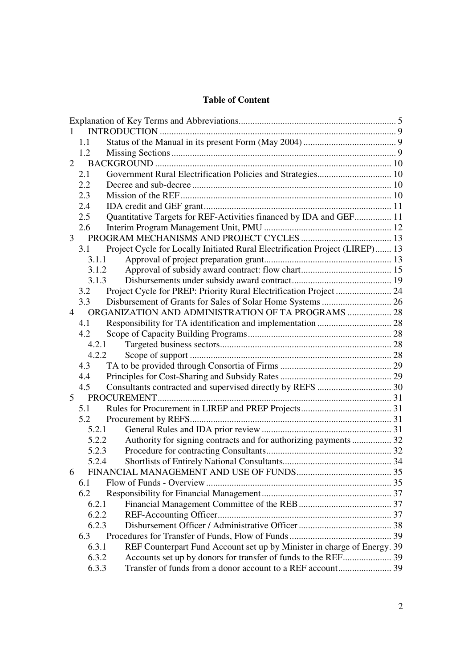#### **Table of Content**

|                | 1.1   |                                                                              |  |
|----------------|-------|------------------------------------------------------------------------------|--|
|                | 1.2   |                                                                              |  |
| 2              |       |                                                                              |  |
|                | 2.1   | Government Rural Electrification Policies and Strategies 10                  |  |
|                | 2.2   |                                                                              |  |
|                | 2.3   |                                                                              |  |
|                | 2.4   |                                                                              |  |
|                | 2.5   | Quantitative Targets for REF-Activities financed by IDA and GEF 11           |  |
|                | 2.6   |                                                                              |  |
| $\mathfrak{Z}$ |       |                                                                              |  |
|                | 3.1   | Project Cycle for Locally Initiated Rural Electrification Project (LIREP) 13 |  |
|                | 3.1.1 |                                                                              |  |
|                | 3.1.2 |                                                                              |  |
|                | 3.1.3 |                                                                              |  |
|                | 3.2   |                                                                              |  |
|                | 3.3   |                                                                              |  |
| $\overline{4}$ |       | ORGANIZATION AND ADMINISTRATION OF TA PROGRAMS  28                           |  |
|                | 4.1   |                                                                              |  |
|                | 4.2   |                                                                              |  |
|                | 4.2.1 |                                                                              |  |
|                | 4.2.2 |                                                                              |  |
|                | 4.3   |                                                                              |  |
|                | 4.4   |                                                                              |  |
|                | 4.5   |                                                                              |  |
| 5 <sup>5</sup> |       |                                                                              |  |
|                | 5.1   |                                                                              |  |
|                | 5.2   |                                                                              |  |
|                | 5.2.1 |                                                                              |  |
|                | 5.2.2 | Authority for signing contracts and for authorizing payments  32             |  |
|                | 5.2.3 |                                                                              |  |
|                | 5.2.4 |                                                                              |  |
| 6              |       |                                                                              |  |
|                | 6.1   |                                                                              |  |
|                | 6.2   |                                                                              |  |
|                | 6.2.1 |                                                                              |  |
|                | 6.2.2 |                                                                              |  |
|                | 6.2.3 |                                                                              |  |
|                | 6.3   |                                                                              |  |
|                | 6.3.1 | REF Counterpart Fund Account set up by Minister in charge of Energy. 39      |  |
|                | 6.3.2 |                                                                              |  |
|                | 6.3.3 |                                                                              |  |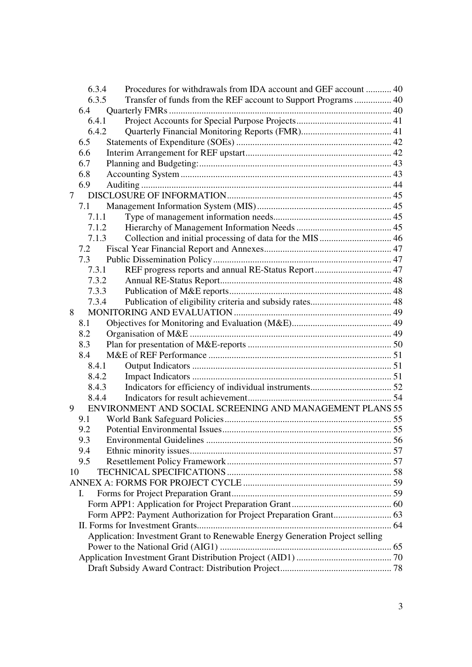|                | 6.3.4 | Procedures for withdrawals from IDA account and GEF account  40              |  |
|----------------|-------|------------------------------------------------------------------------------|--|
|                | 6.3.5 |                                                                              |  |
|                | 6.4   |                                                                              |  |
|                | 6.4.1 |                                                                              |  |
|                | 6.4.2 |                                                                              |  |
|                | 6.5   |                                                                              |  |
|                | 6.6   |                                                                              |  |
|                | 6.7   |                                                                              |  |
|                | 6.8   |                                                                              |  |
|                | 6.9   |                                                                              |  |
| $\overline{7}$ |       |                                                                              |  |
|                | 7.1   |                                                                              |  |
|                | 7.1.1 |                                                                              |  |
|                | 7.1.2 |                                                                              |  |
|                | 7.1.3 |                                                                              |  |
|                | 7.2   |                                                                              |  |
|                | 7.3   |                                                                              |  |
|                | 7.3.1 |                                                                              |  |
|                | 7.3.2 |                                                                              |  |
|                | 7.3.3 |                                                                              |  |
|                | 7.3.4 |                                                                              |  |
| 8              |       |                                                                              |  |
|                | 8.1   |                                                                              |  |
|                | 8.2   |                                                                              |  |
|                | 8.3   |                                                                              |  |
|                | 8.4   |                                                                              |  |
|                | 8.4.1 |                                                                              |  |
|                | 8.4.2 |                                                                              |  |
|                | 8.4.3 |                                                                              |  |
|                | 8.4.4 |                                                                              |  |
| 9              |       | ENVIRONMENT AND SOCIAL SCREENING AND MANAGEMENT PLANS 55                     |  |
|                | 9.1   |                                                                              |  |
|                | 9.2   |                                                                              |  |
|                | 9.3   |                                                                              |  |
|                | 9.4   |                                                                              |  |
|                | 9.5   |                                                                              |  |
| 10             |       |                                                                              |  |
|                |       |                                                                              |  |
|                | I.    |                                                                              |  |
|                |       |                                                                              |  |
|                |       |                                                                              |  |
|                |       |                                                                              |  |
|                |       | Application: Investment Grant to Renewable Energy Generation Project selling |  |
|                |       |                                                                              |  |
|                |       |                                                                              |  |
|                |       |                                                                              |  |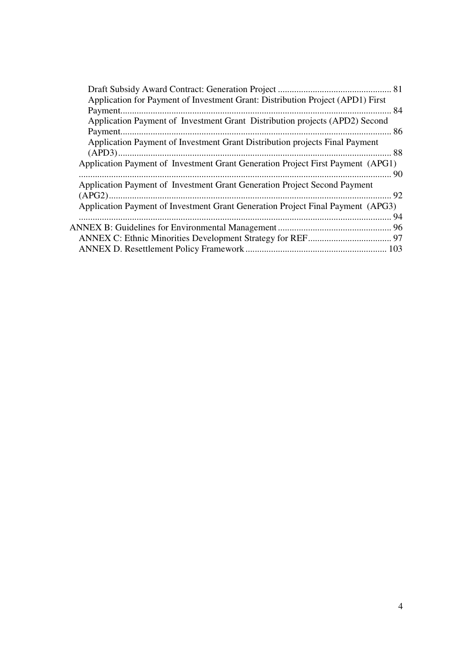| Application for Payment of Investment Grant: Distribution Project (APD1) First  |  |
|---------------------------------------------------------------------------------|--|
|                                                                                 |  |
| Application Payment of Investment Grant Distribution projects (APD2) Second     |  |
|                                                                                 |  |
| Application Payment of Investment Grant Distribution projects Final Payment     |  |
|                                                                                 |  |
| Application Payment of Investment Grant Generation Project First Payment (APG1) |  |
|                                                                                 |  |
| Application Payment of Investment Grant Generation Project Second Payment       |  |
|                                                                                 |  |
| Application Payment of Investment Grant Generation Project Final Payment (APG3) |  |
|                                                                                 |  |
|                                                                                 |  |
|                                                                                 |  |
|                                                                                 |  |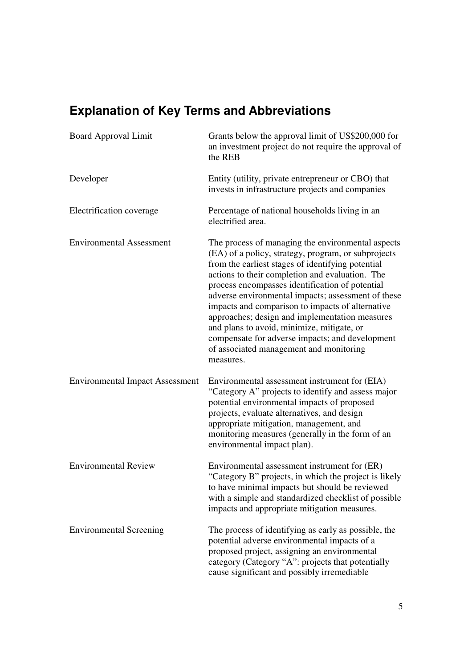# **Explanation of Key Terms and Abbreviations**

| <b>Board Approval Limit</b>            | Grants below the approval limit of US\$200,000 for<br>an investment project do not require the approval of<br>the REB                                                                                                                                                                                                                                                                                                                                                                                                                                                                    |  |  |
|----------------------------------------|------------------------------------------------------------------------------------------------------------------------------------------------------------------------------------------------------------------------------------------------------------------------------------------------------------------------------------------------------------------------------------------------------------------------------------------------------------------------------------------------------------------------------------------------------------------------------------------|--|--|
| Developer                              | Entity (utility, private entrepreneur or CBO) that<br>invests in infrastructure projects and companies                                                                                                                                                                                                                                                                                                                                                                                                                                                                                   |  |  |
| Electrification coverage               | Percentage of national households living in an<br>electrified area.                                                                                                                                                                                                                                                                                                                                                                                                                                                                                                                      |  |  |
| <b>Environmental Assessment</b>        | The process of managing the environmental aspects<br>(EA) of a policy, strategy, program, or subprojects<br>from the earliest stages of identifying potential<br>actions to their completion and evaluation. The<br>process encompasses identification of potential<br>adverse environmental impacts; assessment of these<br>impacts and comparison to impacts of alternative<br>approaches; design and implementation measures<br>and plans to avoid, minimize, mitigate, or<br>compensate for adverse impacts; and development<br>of associated management and monitoring<br>measures. |  |  |
| <b>Environmental Impact Assessment</b> | Environmental assessment instrument for (EIA)<br>"Category A" projects to identify and assess major<br>potential environmental impacts of proposed<br>projects, evaluate alternatives, and design<br>appropriate mitigation, management, and<br>monitoring measures (generally in the form of an<br>environmental impact plan).                                                                                                                                                                                                                                                          |  |  |
| <b>Environmental Review</b>            | Environmental assessment instrument for (ER)<br>"Category B" projects, in which the project is likely<br>to have minimal impacts but should be reviewed<br>with a simple and standardized checklist of possible<br>impacts and appropriate mitigation measures.                                                                                                                                                                                                                                                                                                                          |  |  |
| <b>Environmental Screening</b>         | The process of identifying as early as possible, the<br>potential adverse environmental impacts of a<br>proposed project, assigning an environmental<br>category (Category "A": projects that potentially<br>cause significant and possibly irremediable                                                                                                                                                                                                                                                                                                                                 |  |  |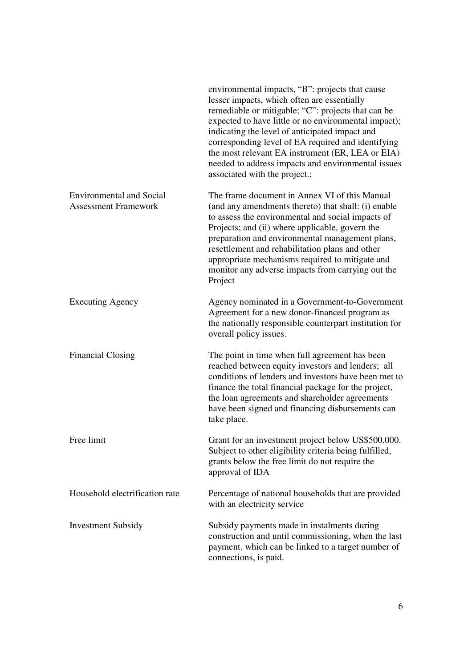|                                                                | environmental impacts, "B": projects that cause<br>lesser impacts, which often are essentially<br>remediable or mitigable; "C": projects that can be<br>expected to have little or no environmental impact);<br>indicating the level of anticipated impact and<br>corresponding level of EA required and identifying<br>the most relevant EA instrument (ER, LEA or EIA)<br>needed to address impacts and environmental issues<br>associated with the project.; |
|----------------------------------------------------------------|-----------------------------------------------------------------------------------------------------------------------------------------------------------------------------------------------------------------------------------------------------------------------------------------------------------------------------------------------------------------------------------------------------------------------------------------------------------------|
| <b>Environmental and Social</b><br><b>Assessment Framework</b> | The frame document in Annex VI of this Manual<br>(and any amendments thereto) that shall: (i) enable<br>to assess the environmental and social impacts of<br>Projects; and (ii) where applicable, govern the<br>preparation and environmental management plans,<br>resettlement and rehabilitation plans and other<br>appropriate mechanisms required to mitigate and<br>monitor any adverse impacts from carrying out the<br>Project                           |
| <b>Executing Agency</b>                                        | Agency nominated in a Government-to-Government<br>Agreement for a new donor-financed program as<br>the nationally responsible counterpart institution for<br>overall policy issues.                                                                                                                                                                                                                                                                             |
| <b>Financial Closing</b>                                       | The point in time when full agreement has been<br>reached between equity investors and lenders; all<br>conditions of lenders and investors have been met to<br>finance the total financial package for the project,<br>the loan agreements and shareholder agreements<br>have been signed and financing disbursements can<br>take place.                                                                                                                        |
| Free limit                                                     | Grant for an investment project below US\$500,000.<br>Subject to other eligibility criteria being fulfilled,<br>grants below the free limit do not require the<br>approval of IDA                                                                                                                                                                                                                                                                               |
| Household electrification rate                                 | Percentage of national households that are provided<br>with an electricity service                                                                                                                                                                                                                                                                                                                                                                              |
| <b>Investment Subsidy</b>                                      | Subsidy payments made in instalments during<br>construction and until commissioning, when the last<br>payment, which can be linked to a target number of<br>connections, is paid.                                                                                                                                                                                                                                                                               |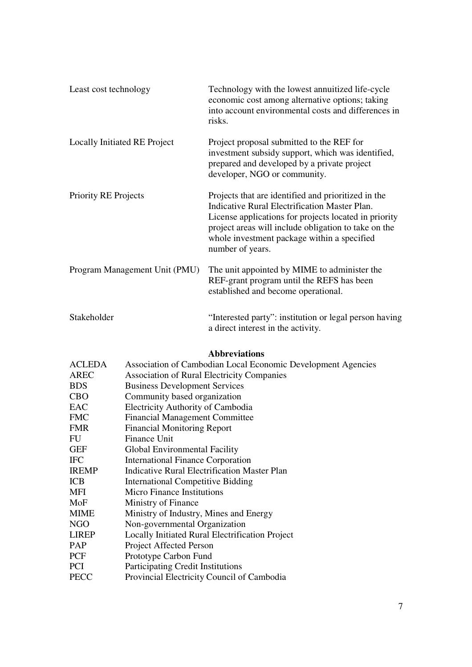| Least cost technology         | Technology with the lowest annuitized life-cycle<br>economic cost among alternative options; taking<br>into account environmental costs and differences in<br>risks.                                                                                                                     |
|-------------------------------|------------------------------------------------------------------------------------------------------------------------------------------------------------------------------------------------------------------------------------------------------------------------------------------|
| Locally Initiated RE Project  | Project proposal submitted to the REF for<br>investment subsidy support, which was identified,<br>prepared and developed by a private project<br>developer, NGO or community.                                                                                                            |
| <b>Priority RE Projects</b>   | Projects that are identified and prioritized in the<br>Indicative Rural Electrification Master Plan.<br>License applications for projects located in priority<br>project areas will include obligation to take on the<br>whole investment package within a specified<br>number of years. |
| Program Management Unit (PMU) | The unit appointed by MIME to administer the<br>REF-grant program until the REFS has been<br>established and become operational.                                                                                                                                                         |
| Stakeholder                   | "Interested party": institution or legal person having<br>a direct interest in the activity.                                                                                                                                                                                             |

## **Abbreviations**

| Association of Cambodian Local Economic Development Agencies |
|--------------------------------------------------------------|
| <b>Association of Rural Electricity Companies</b>            |
| <b>Business Development Services</b>                         |
| Community based organization                                 |
| <b>Electricity Authority of Cambodia</b>                     |
| <b>Financial Management Committee</b>                        |
| <b>Financial Monitoring Report</b>                           |
| Finance Unit                                                 |
| Global Environmental Facility                                |
| <b>International Finance Corporation</b>                     |
| Indicative Rural Electrification Master Plan                 |
| <b>International Competitive Bidding</b>                     |
| <b>Micro Finance Institutions</b>                            |
| Ministry of Finance                                          |
| Ministry of Industry, Mines and Energy                       |
| Non-governmental Organization                                |
| Locally Initiated Rural Electrification Project              |
| Project Affected Person                                      |
| Prototype Carbon Fund                                        |
| <b>Participating Credit Institutions</b>                     |
| Provincial Electricity Council of Cambodia                   |
|                                                              |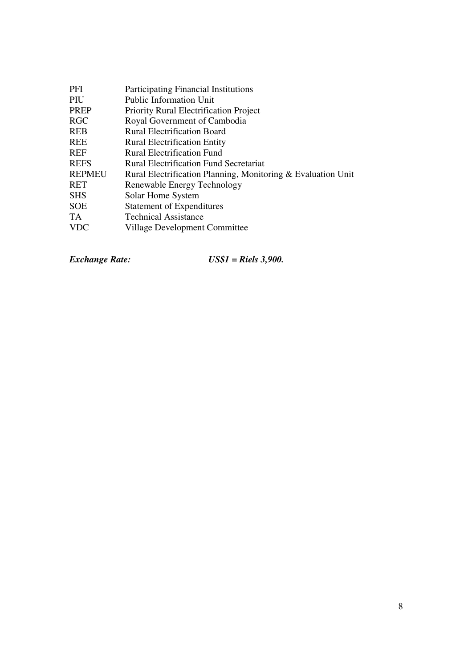| <b>PFI</b>    | <b>Participating Financial Institutions</b>                  |
|---------------|--------------------------------------------------------------|
| PIU           | <b>Public Information Unit</b>                               |
| <b>PREP</b>   | <b>Priority Rural Electrification Project</b>                |
| <b>RGC</b>    | Royal Government of Cambodia                                 |
| <b>REB</b>    | <b>Rural Electrification Board</b>                           |
| <b>REE</b>    | <b>Rural Electrification Entity</b>                          |
| <b>REF</b>    | <b>Rural Electrification Fund</b>                            |
| <b>REFS</b>   | Rural Electrification Fund Secretariat                       |
| <b>REPMEU</b> | Rural Electrification Planning, Monitoring & Evaluation Unit |
| RET           | Renewable Energy Technology                                  |
| <b>SHS</b>    | Solar Home System                                            |
| <b>SOE</b>    | <b>Statement of Expenditures</b>                             |
| TA            | <b>Technical Assistance</b>                                  |
| <b>VDC</b>    | Village Development Committee                                |

*Exchange Rate: US\$1 = Riels 3,900.*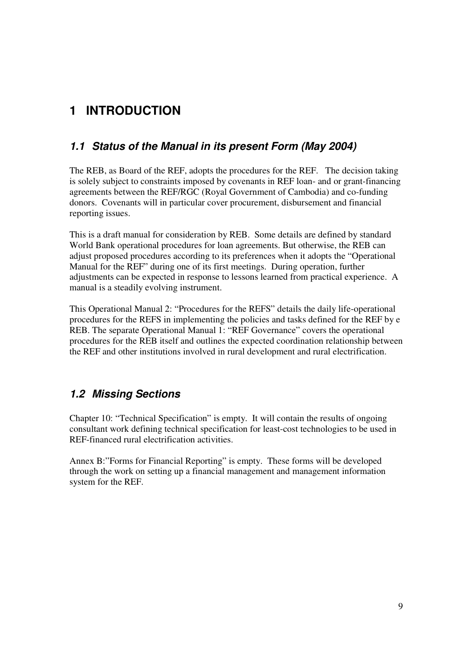# **1 INTRODUCTION**

## **1.1 Status of the Manual in its present Form (May 2004)**

The REB, as Board of the REF, adopts the procedures for the REF. The decision taking is solely subject to constraints imposed by covenants in REF loan- and or grant-financing agreements between the REF/RGC (Royal Government of Cambodia) and co-funding donors. Covenants will in particular cover procurement, disbursement and financial reporting issues.

This is a draft manual for consideration by REB. Some details are defined by standard World Bank operational procedures for loan agreements. But otherwise, the REB can adjust proposed procedures according to its preferences when it adopts the "Operational Manual for the REF" during one of its first meetings. During operation, further adjustments can be expected in response to lessons learned from practical experience. A manual is a steadily evolving instrument.

This Operational Manual 2: "Procedures for the REFS" details the daily life-operational procedures for the REFS in implementing the policies and tasks defined for the REF by e REB. The separate Operational Manual 1: "REF Governance" covers the operational procedures for the REB itself and outlines the expected coordination relationship between the REF and other institutions involved in rural development and rural electrification.

## **1.2 Missing Sections**

Chapter 10: "Technical Specification" is empty. It will contain the results of ongoing consultant work defining technical specification for least-cost technologies to be used in REF-financed rural electrification activities.

Annex B:"Forms for Financial Reporting" is empty. These forms will be developed through the work on setting up a financial management and management information system for the REF.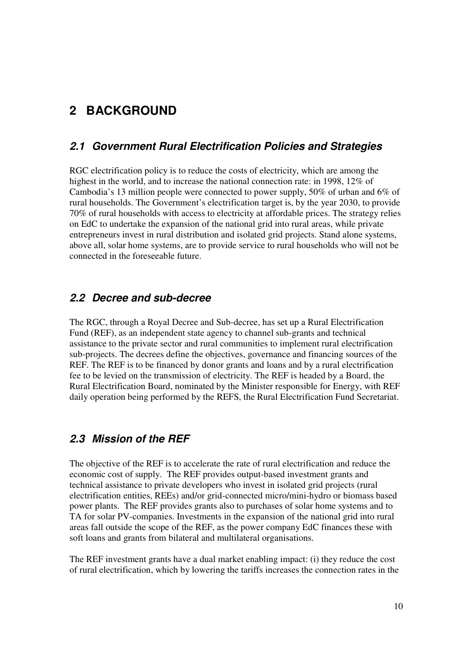## **2 BACKGROUND**

## **2.1 Government Rural Electrification Policies and Strategies**

RGC electrification policy is to reduce the costs of electricity, which are among the highest in the world, and to increase the national connection rate: in 1998, 12% of Cambodia's 13 million people were connected to power supply, 50% of urban and 6% of rural households. The Government's electrification target is, by the year 2030, to provide 70% of rural households with access to electricity at affordable prices. The strategy relies on EdC to undertake the expansion of the national grid into rural areas, while private entrepreneurs invest in rural distribution and isolated grid projects. Stand alone systems, above all, solar home systems, are to provide service to rural households who will not be connected in the foreseeable future.

#### **2.2 Decree and sub-decree**

The RGC, through a Royal Decree and Sub-decree, has set up a Rural Electrification Fund (REF), as an independent state agency to channel sub-grants and technical assistance to the private sector and rural communities to implement rural electrification sub-projects. The decrees define the objectives, governance and financing sources of the REF. The REF is to be financed by donor grants and loans and by a rural electrification fee to be levied on the transmission of electricity. The REF is headed by a Board, the Rural Electrification Board, nominated by the Minister responsible for Energy, with REF daily operation being performed by the REFS, the Rural Electrification Fund Secretariat.

## **2.3 Mission of the REF**

The objective of the REF is to accelerate the rate of rural electrification and reduce the economic cost of supply. The REF provides output-based investment grants and technical assistance to private developers who invest in isolated grid projects (rural electrification entities, REEs) and/or grid-connected micro/mini-hydro or biomass based power plants. The REF provides grants also to purchases of solar home systems and to TA for solar PV-companies. Investments in the expansion of the national grid into rural areas fall outside the scope of the REF, as the power company EdC finances these with soft loans and grants from bilateral and multilateral organisations.

The REF investment grants have a dual market enabling impact: (i) they reduce the cost of rural electrification, which by lowering the tariffs increases the connection rates in the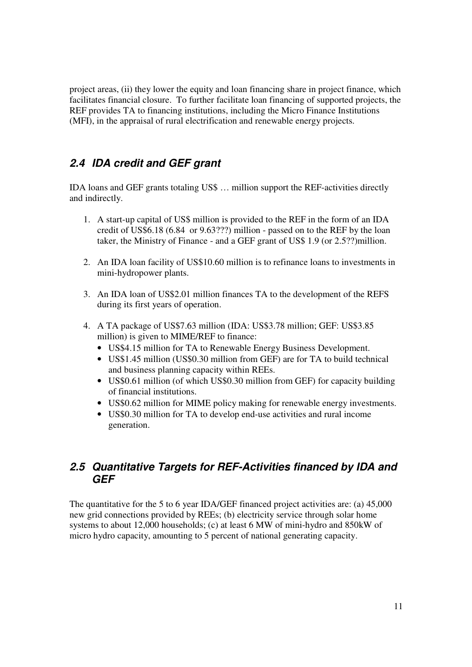project areas, (ii) they lower the equity and loan financing share in project finance, which facilitates financial closure. To further facilitate loan financing of supported projects, the REF provides TA to financing institutions, including the Micro Finance Institutions (MFI), in the appraisal of rural electrification and renewable energy projects.

## **2.4 IDA credit and GEF grant**

IDA loans and GEF grants totaling US\$ … million support the REF-activities directly and indirectly.

- 1. A start-up capital of US\$ million is provided to the REF in the form of an IDA credit of US\$6.18 (6.84 or 9.63???) million - passed on to the REF by the loan taker, the Ministry of Finance - and a GEF grant of US\$ 1.9 (or 2.5??)million.
- 2. An IDA loan facility of US\$10.60 million is to refinance loans to investments in mini-hydropower plants.
- 3. An IDA loan of US\$2.01 million finances TA to the development of the REFS during its first years of operation.
- 4. A TA package of US\$7.63 million (IDA: US\$3.78 million; GEF: US\$3.85 million) is given to MIME/REF to finance:
	- US\$4.15 million for TA to Renewable Energy Business Development.
	- US\$1.45 million (US\$0.30 million from GEF) are for TA to build technical and business planning capacity within REEs.
	- US\$0.61 million (of which US\$0.30 million from GEF) for capacity building of financial institutions.
	- US\$0.62 million for MIME policy making for renewable energy investments.
	- US\$0.30 million for TA to develop end-use activities and rural income generation.

## **2.5 Quantitative Targets for REF-Activities financed by IDA and GEF**

The quantitative for the 5 to 6 year IDA/GEF financed project activities are: (a) 45,000 new grid connections provided by REEs; (b) electricity service through solar home systems to about 12,000 households; (c) at least 6 MW of mini-hydro and 850kW of micro hydro capacity, amounting to 5 percent of national generating capacity.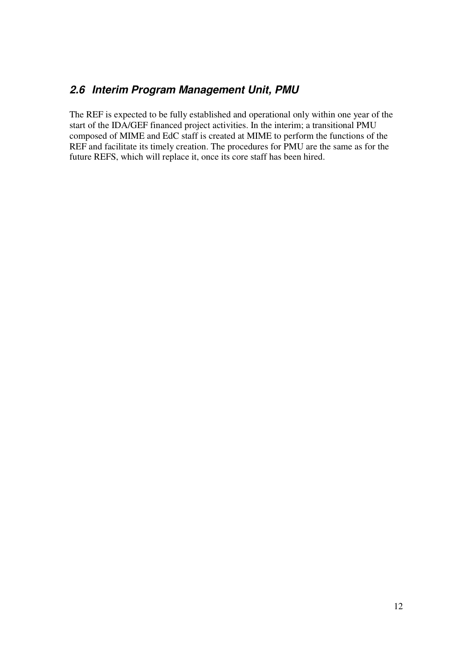## **2.6 Interim Program Management Unit, PMU**

The REF is expected to be fully established and operational only within one year of the start of the IDA/GEF financed project activities. In the interim; a transitional PMU composed of MIME and EdC staff is created at MIME to perform the functions of the REF and facilitate its timely creation. The procedures for PMU are the same as for the future REFS, which will replace it, once its core staff has been hired.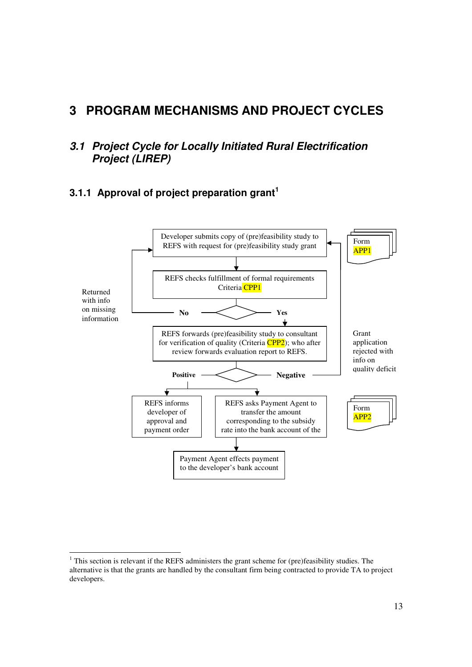## **3 PROGRAM MECHANISMS AND PROJECT CYCLES**

## **3.1 Project Cycle for Locally Initiated Rural Electrification Project (LIREP)**

## **3.1.1 Approval of project preparation grant<sup>1</sup>**



<sup>-</sup><sup>1</sup> This section is relevant if the REFS administers the grant scheme for (pre)feasibility studies. The alternative is that the grants are handled by the consultant firm being contracted to provide TA to project developers.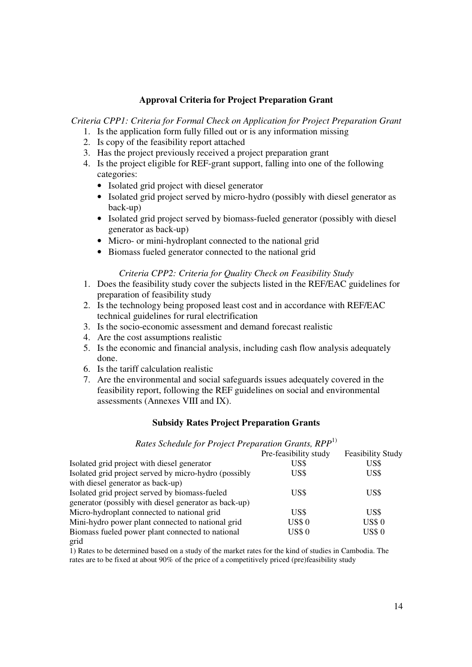#### **Approval Criteria for Project Preparation Grant**

*Criteria CPP1: Criteria for Formal Check on Application for Project Preparation Grant* 

- 1. Is the application form fully filled out or is any information missing
- 2. Is copy of the feasibility report attached
- 3. Has the project previously received a project preparation grant
- 4. Is the project eligible for REF-grant support, falling into one of the following categories:
	- Isolated grid project with diesel generator
	- Isolated grid project served by micro-hydro (possibly with diesel generator as back-up)
	- Isolated grid project served by biomass-fueled generator (possibly with diesel generator as back-up)
	- Micro- or mini-hydroplant connected to the national grid
	- Biomass fueled generator connected to the national grid

#### *Criteria CPP2: Criteria for Quality Check on Feasibility Study*

- 1. Does the feasibility study cover the subjects listed in the REF/EAC guidelines for preparation of feasibility study
- 2. Is the technology being proposed least cost and in accordance with REF/EAC technical guidelines for rural electrification
- 3. Is the socio-economic assessment and demand forecast realistic
- 4. Are the cost assumptions realistic
- 5. Is the economic and financial analysis, including cash flow analysis adequately done.
- 6. Is the tariff calculation realistic
- 7. Are the environmental and social safeguards issues adequately covered in the feasibility report, following the REF guidelines on social and environmental assessments (Annexes VIII and IX).

#### **Subsidy Rates Project Preparation Grants**

#### *Rates Schedule for Project Preparation Grants, RPP*<sup>1)</sup>

|                                                       | Pre-feasibility study | <b>Feasibility Study</b> |
|-------------------------------------------------------|-----------------------|--------------------------|
| Isolated grid project with diesel generator           | US\$                  | US\$                     |
| Isolated grid project served by micro-hydro (possibly | US\$                  | US\$                     |
| with diesel generator as back-up)                     |                       |                          |
| Isolated grid project served by biomass-fueled        | US\$                  | US\$                     |
| generator (possibly with diesel generator as back-up) |                       |                          |
| Micro-hydroplant connected to national grid           | US\$                  | US\$                     |
| Mini-hydro power plant connected to national grid     | <b>US\$0</b>          | <b>US\$ 0</b>            |
| Biomass fueled power plant connected to national      | <b>US\$0</b>          | <b>US\$0</b>             |
|                                                       |                       |                          |

grid

1) Rates to be determined based on a study of the market rates for the kind of studies in Cambodia. The rates are to be fixed at about 90% of the price of a competitively priced (pre)feasibility study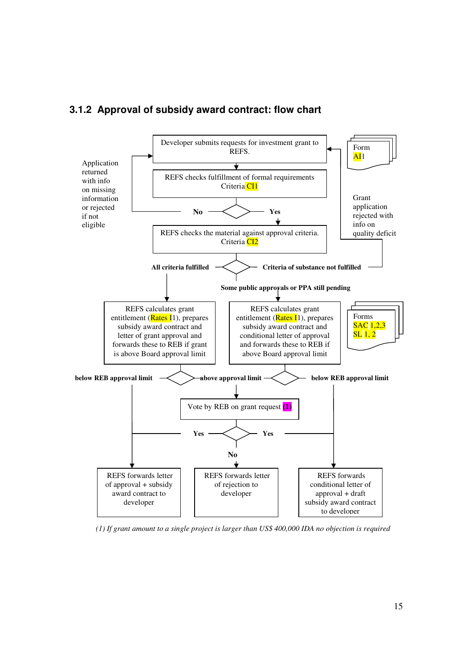

#### **3.1.2 Approval of subsidy award contract: flow chart**

*(1) If grant amount to a single project is larger than US\$ 400,000 IDA no objection is required*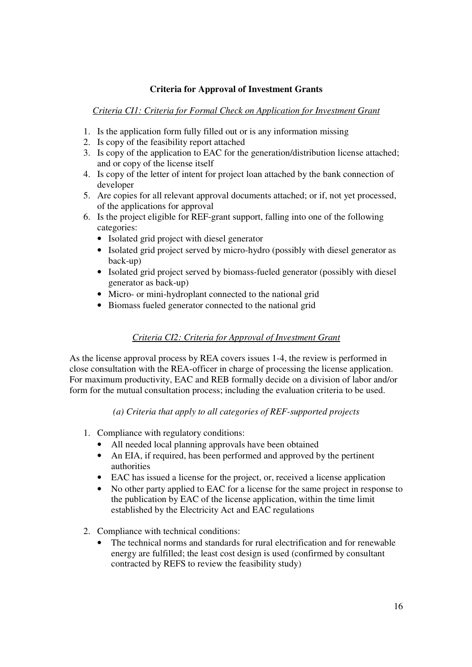#### **Criteria for Approval of Investment Grants**

*Criteria CI1: Criteria for Formal Check on Application for Investment Grant*

- 1. Is the application form fully filled out or is any information missing
- 2. Is copy of the feasibility report attached
- 3. Is copy of the application to EAC for the generation/distribution license attached; and or copy of the license itself
- 4. Is copy of the letter of intent for project loan attached by the bank connection of developer
- 5. Are copies for all relevant approval documents attached; or if, not yet processed, of the applications for approval
- 6. Is the project eligible for REF-grant support, falling into one of the following categories:
	- Isolated grid project with diesel generator
	- Isolated grid project served by micro-hydro (possibly with diesel generator as back-up)
	- Isolated grid project served by biomass-fueled generator (possibly with diesel generator as back-up)
	- Micro- or mini-hydroplant connected to the national grid
	- Biomass fueled generator connected to the national grid

#### *Criteria CI2: Criteria for Approval of Investment Grant*

As the license approval process by REA covers issues 1-4, the review is performed in close consultation with the REA-officer in charge of processing the license application. For maximum productivity, EAC and REB formally decide on a division of labor and/or form for the mutual consultation process; including the evaluation criteria to be used.

*(a) Criteria that apply to all categories of REF-supported projects* 

- 1. Compliance with regulatory conditions:
	- All needed local planning approvals have been obtained
	- An EIA, if required, has been performed and approved by the pertinent authorities
	- EAC has issued a license for the project, or, received a license application
	- No other party applied to EAC for a license for the same project in response to the publication by EAC of the license application, within the time limit established by the Electricity Act and EAC regulations
- 2. Compliance with technical conditions:
	- The technical norms and standards for rural electrification and for renewable energy are fulfilled; the least cost design is used (confirmed by consultant contracted by REFS to review the feasibility study)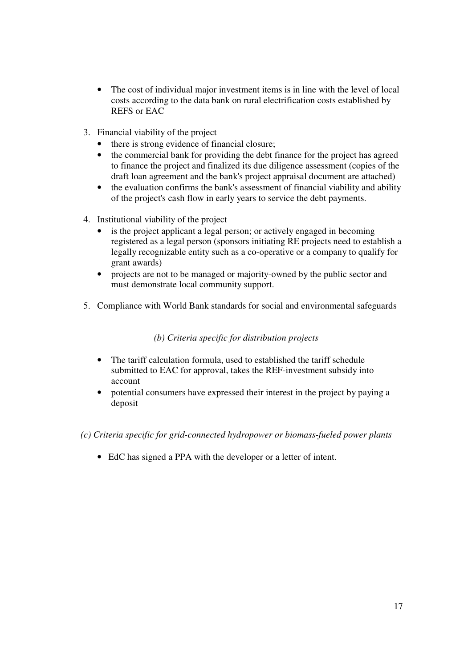- The cost of individual major investment items is in line with the level of local costs according to the data bank on rural electrification costs established by REFS or EAC
- 3. Financial viability of the project
	- there is strong evidence of financial closure;
	- the commercial bank for providing the debt finance for the project has agreed to finance the project and finalized its due diligence assessment (copies of the draft loan agreement and the bank's project appraisal document are attached)
	- the evaluation confirms the bank's assessment of financial viability and ability of the project's cash flow in early years to service the debt payments.
- 4. Institutional viability of the project
	- is the project applicant a legal person; or actively engaged in becoming registered as a legal person (sponsors initiating RE projects need to establish a legally recognizable entity such as a co-operative or a company to qualify for grant awards)
	- projects are not to be managed or majority-owned by the public sector and must demonstrate local community support.
- 5. Compliance with World Bank standards for social and environmental safeguards

#### *(b) Criteria specific for distribution projects*

- The tariff calculation formula, used to established the tariff schedule submitted to EAC for approval, takes the REF-investment subsidy into account
- potential consumers have expressed their interest in the project by paying a deposit
- *(c) Criteria specific for grid-connected hydropower or biomass-fueled power plants* 
	- EdC has signed a PPA with the developer or a letter of intent.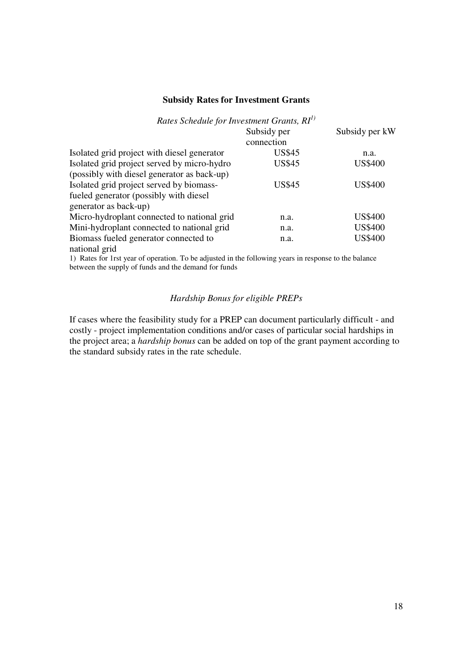#### **Subsidy Rates for Investment Grants**

## *Rates Schedule for Investment Grants, RI1)*

|                                             | Subsidy per   | Subsidy per kW |
|---------------------------------------------|---------------|----------------|
|                                             | connection    |                |
| Isolated grid project with diesel generator | <b>US\$45</b> | n.a.           |
| Isolated grid project served by micro-hydro | <b>US\$45</b> | <b>US\$400</b> |
| (possibly with diesel generator as back-up) |               |                |
| Isolated grid project served by biomass-    | US\$45        | US\$400        |
| fueled generator (possibly with diesel      |               |                |
| generator as back-up)                       |               |                |
| Micro-hydroplant connected to national grid | n.a.          | <b>US\$400</b> |
| Mini-hydroplant connected to national grid  | n.a.          | <b>US\$400</b> |
| Biomass fueled generator connected to       | n.a.          | <b>US\$400</b> |
| national grid                               |               |                |

1) Rates for 1rst year of operation. To be adjusted in the following years in response to the balance between the supply of funds and the demand for funds

#### *Hardship Bonus for eligible PREPs*

If cases where the feasibility study for a PREP can document particularly difficult - and costly - project implementation conditions and/or cases of particular social hardships in the project area; a *hardship bonus* can be added on top of the grant payment according to the standard subsidy rates in the rate schedule.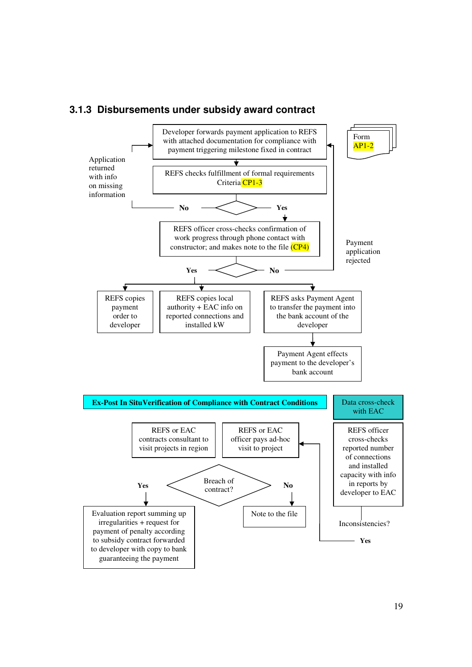

#### **3.1.3 Disbursements under subsidy award contract**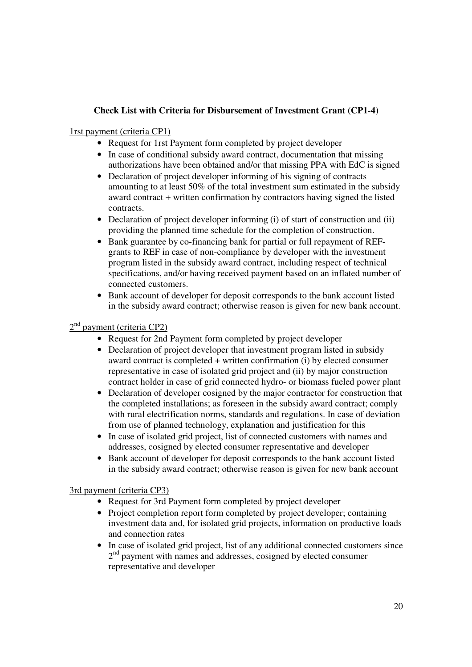## **Check List with Criteria for Disbursement of Investment Grant (CP1-4)**

#### 1rst payment (criteria CP1)

- Request for 1rst Payment form completed by project developer
- In case of conditional subsidy award contract, documentation that missing authorizations have been obtained and/or that missing PPA with EdC is signed
- Declaration of project developer informing of his signing of contracts amounting to at least 50% of the total investment sum estimated in the subsidy award contract + written confirmation by contractors having signed the listed contracts.
- Declaration of project developer informing (i) of start of construction and (ii) providing the planned time schedule for the completion of construction.
- Bank guarantee by co-financing bank for partial or full repayment of REFgrants to REF in case of non-compliance by developer with the investment program listed in the subsidy award contract, including respect of technical specifications, and/or having received payment based on an inflated number of connected customers.
- Bank account of developer for deposit corresponds to the bank account listed in the subsidy award contract; otherwise reason is given for new bank account.

#### 2<sup>nd</sup> payment (criteria CP2)

- Request for 2nd Payment form completed by project developer
- Declaration of project developer that investment program listed in subsidy award contract is completed + written confirmation (i) by elected consumer representative in case of isolated grid project and (ii) by major construction contract holder in case of grid connected hydro- or biomass fueled power plant
- Declaration of developer cosigned by the major contractor for construction that the completed installations; as foreseen in the subsidy award contract; comply with rural electrification norms, standards and regulations. In case of deviation from use of planned technology, explanation and justification for this
- In case of isolated grid project, list of connected customers with names and addresses, cosigned by elected consumer representative and developer
- Bank account of developer for deposit corresponds to the bank account listed in the subsidy award contract; otherwise reason is given for new bank account

#### 3rd payment (criteria CP3)

- Request for 3rd Payment form completed by project developer
- Project completion report form completed by project developer; containing investment data and, for isolated grid projects, information on productive loads and connection rates
- In case of isolated grid project, list of any additional connected customers since 2<sup>nd</sup> payment with names and addresses, cosigned by elected consumer representative and developer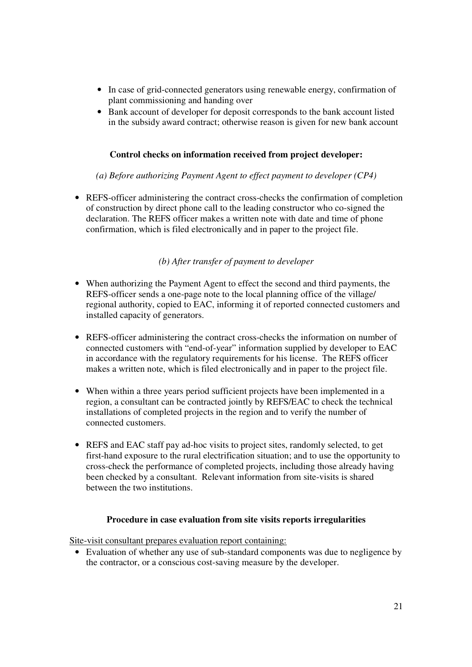- In case of grid-connected generators using renewable energy, confirmation of plant commissioning and handing over
- Bank account of developer for deposit corresponds to the bank account listed in the subsidy award contract; otherwise reason is given for new bank account

#### **Control checks on information received from project developer:**

*(a) Before authorizing Payment Agent to effect payment to developer (CP4)* 

• REFS-officer administering the contract cross-checks the confirmation of completion of construction by direct phone call to the leading constructor who co-signed the declaration. The REFS officer makes a written note with date and time of phone confirmation, which is filed electronically and in paper to the project file.

#### *(b) After transfer of payment to developer*

- When authorizing the Payment Agent to effect the second and third payments, the REFS-officer sends a one-page note to the local planning office of the village/ regional authority, copied to EAC, informing it of reported connected customers and installed capacity of generators.
- REFS-officer administering the contract cross-checks the information on number of connected customers with "end-of-year" information supplied by developer to EAC in accordance with the regulatory requirements for his license. The REFS officer makes a written note, which is filed electronically and in paper to the project file.
- When within a three years period sufficient projects have been implemented in a region, a consultant can be contracted jointly by REFS/EAC to check the technical installations of completed projects in the region and to verify the number of connected customers.
- REFS and EAC staff pay ad-hoc visits to project sites, randomly selected, to get first-hand exposure to the rural electrification situation; and to use the opportunity to cross-check the performance of completed projects, including those already having been checked by a consultant. Relevant information from site-visits is shared between the two institutions.

#### **Procedure in case evaluation from site visits reports irregularities**

Site-visit consultant prepares evaluation report containing:

• Evaluation of whether any use of sub-standard components was due to negligence by the contractor, or a conscious cost-saving measure by the developer.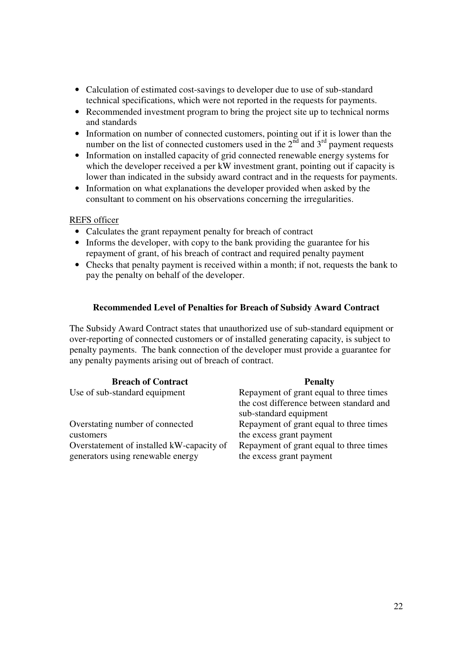- Calculation of estimated cost-savings to developer due to use of sub-standard technical specifications, which were not reported in the requests for payments.
- Recommended investment program to bring the project site up to technical norms and standards
- Information on number of connected customers, pointing out if it is lower than the number on the list of connected customers used in the  $2^{\text{nd}}$  and  $3^{\text{rd}}$  payment requests
- Information on installed capacity of grid connected renewable energy systems for which the developer received a per kW investment grant, pointing out if capacity is lower than indicated in the subsidy award contract and in the requests for payments.
- Information on what explanations the developer provided when asked by the consultant to comment on his observations concerning the irregularities.

#### REFS officer

- Calculates the grant repayment penalty for breach of contract
- Informs the developer, with copy to the bank providing the guarantee for his repayment of grant, of his breach of contract and required penalty payment
- Checks that penalty payment is received within a month; if not, requests the bank to pay the penalty on behalf of the developer.

#### **Recommended Level of Penalties for Breach of Subsidy Award Contract**

The Subsidy Award Contract states that unauthorized use of sub-standard equipment or over-reporting of connected customers or of installed generating capacity, is subject to penalty payments. The bank connection of the developer must provide a guarantee for any penalty payments arising out of breach of contract.

| <b>Breach of Contract</b>                                                      | <b>Penalty</b>                                                      |
|--------------------------------------------------------------------------------|---------------------------------------------------------------------|
| Use of sub-standard equipment                                                  | Repayment of grant equal to three times                             |
|                                                                                | the cost difference between standard and<br>sub-standard equipment  |
| Overstating number of connected                                                | Repayment of grant equal to three times                             |
| customers                                                                      | the excess grant payment                                            |
| Overstatement of installed kW-capacity of<br>generators using renewable energy | Repayment of grant equal to three times<br>the excess grant payment |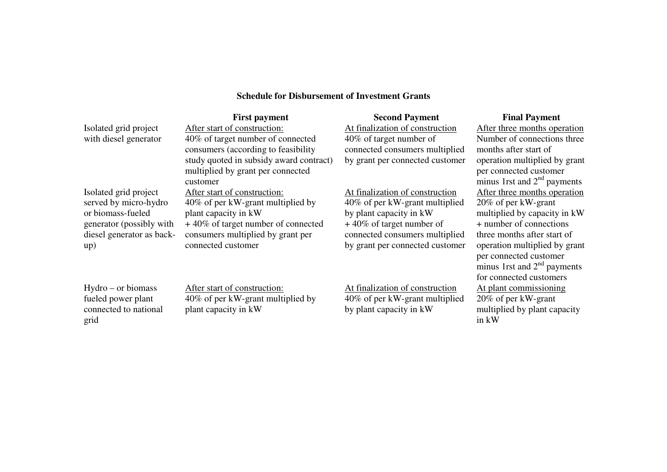### **Schedule for Disbursement of Investment Grants**

|                           | <b>First payment</b>                    | <b>Second Payment</b>           | <b>Final Payment</b>          |
|---------------------------|-----------------------------------------|---------------------------------|-------------------------------|
| Isolated grid project     | After start of construction:            | At finalization of construction | After three months operation  |
| with diesel generator     | 40% of target number of connected       | 40% of target number of         | Number of connections three   |
|                           | consumers (according to feasibility)    | connected consumers multiplied  | months after start of         |
|                           | study quoted in subsidy award contract) | by grant per connected customer | operation multiplied by grant |
|                           | multiplied by grant per connected       |                                 | per connected customer        |
|                           | customer                                |                                 | minus 1rst and $2nd$ payments |
| Isolated grid project     | After start of construction:            | At finalization of construction | After three months operation  |
| served by micro-hydro     | 40% of per kW-grant multiplied by       | 40% of per kW-grant multiplied  | 20% of per kW-grant           |
| or biomass-fueled         | plant capacity in kW                    | by plant capacity in kW         | multiplied by capacity in kW  |
| generator (possibly with  | $+40\%$ of target number of connected   | $+40\%$ of target number of     | + number of connections       |
| diesel generator as back- | consumers multiplied by grant per       | connected consumers multiplied  | three months after start of   |
| up)                       | connected customer                      | by grant per connected customer | operation multiplied by grant |
|                           |                                         |                                 | per connected customer        |
|                           |                                         |                                 | minus 1rst and $2nd$ payments |
|                           |                                         |                                 | for connected customers       |

Hydro – or biomass fueled power plant connected to national grid

After start of construction: 40% of per kW-grant multiplied by plant capacity in kW

At finalization of construction 40% of per kW-grant multiplied by plant capacity in kW

 $e$ Number of connections three operation multiplied by grant minus 1rst and  $2<sup>nd</sup>$  payments After three months operationmultiplied by capacity in kW operation multiplied by grant minus 1rst and  $2<sup>nd</sup>$  payments for connected customers At plant commissioning20% of per kW-grant multiplied by plant capacity in  $k\hat{W}$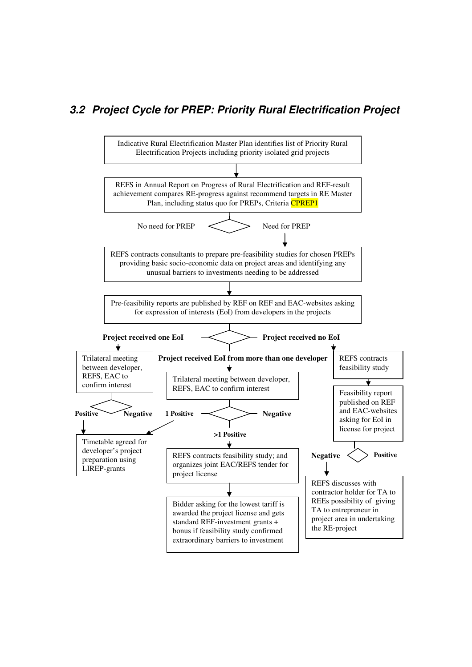## **3.2 Project Cycle for PREP: Priority Rural Electrification Project**

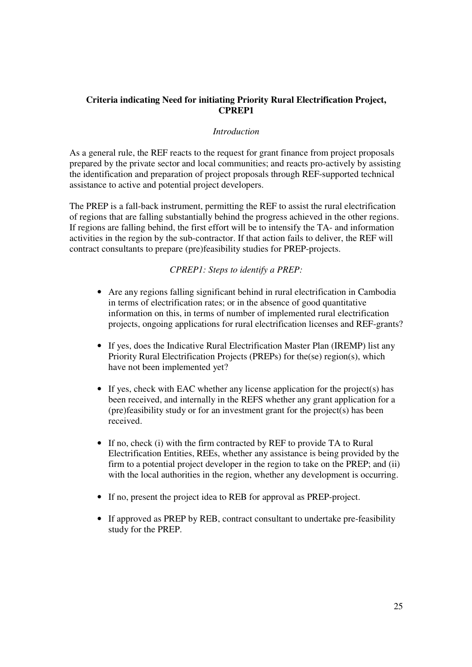#### **Criteria indicating Need for initiating Priority Rural Electrification Project, CPREP1**

#### *Introduction*

As a general rule, the REF reacts to the request for grant finance from project proposals prepared by the private sector and local communities; and reacts pro-actively by assisting the identification and preparation of project proposals through REF-supported technical assistance to active and potential project developers.

The PREP is a fall-back instrument, permitting the REF to assist the rural electrification of regions that are falling substantially behind the progress achieved in the other regions. If regions are falling behind, the first effort will be to intensify the TA- and information activities in the region by the sub-contractor. If that action fails to deliver, the REF will contract consultants to prepare (pre)feasibility studies for PREP-projects.

#### *CPREP1: Steps to identify a PREP:*

- Are any regions falling significant behind in rural electrification in Cambodia in terms of electrification rates; or in the absence of good quantitative information on this, in terms of number of implemented rural electrification projects, ongoing applications for rural electrification licenses and REF-grants?
- If yes, does the Indicative Rural Electrification Master Plan (IREMP) list any Priority Rural Electrification Projects (PREPs) for the(se) region(s), which have not been implemented yet?
- If yes, check with EAC whether any license application for the project(s) has been received, and internally in the REFS whether any grant application for a (pre)feasibility study or for an investment grant for the project(s) has been received.
- If no, check (i) with the firm contracted by REF to provide TA to Rural Electrification Entities, REEs, whether any assistance is being provided by the firm to a potential project developer in the region to take on the PREP; and (ii) with the local authorities in the region, whether any development is occurring.
- If no, present the project idea to REB for approval as PREP-project.
- If approved as PREP by REB, contract consultant to undertake pre-feasibility study for the PREP.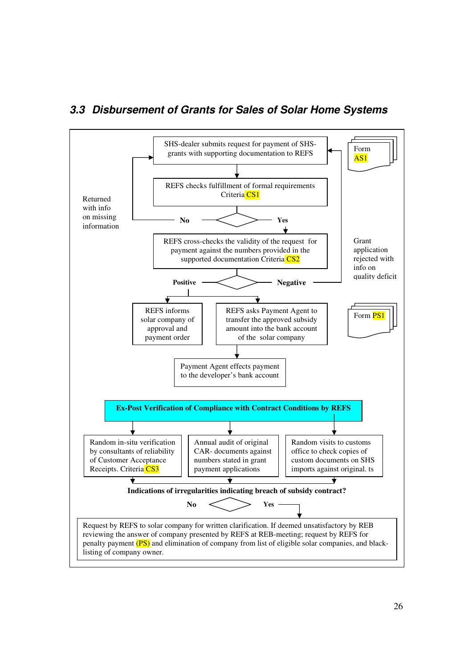

## **3.3 Disbursement of Grants for Sales of Solar Home Systems**

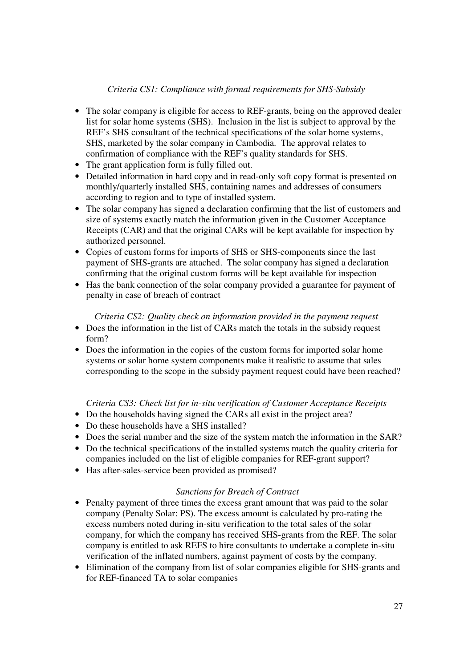#### *Criteria CS1: Compliance with formal requirements for SHS-Subsidy*

- The solar company is eligible for access to REF-grants, being on the approved dealer list for solar home systems (SHS). Inclusion in the list is subject to approval by the REF's SHS consultant of the technical specifications of the solar home systems, SHS, marketed by the solar company in Cambodia. The approval relates to confirmation of compliance with the REF's quality standards for SHS.
- The grant application form is fully filled out.
- Detailed information in hard copy and in read-only soft copy format is presented on monthly/quarterly installed SHS, containing names and addresses of consumers according to region and to type of installed system.
- The solar company has signed a declaration confirming that the list of customers and size of systems exactly match the information given in the Customer Acceptance Receipts (CAR) and that the original CARs will be kept available for inspection by authorized personnel.
- Copies of custom forms for imports of SHS or SHS-components since the last payment of SHS-grants are attached. The solar company has signed a declaration confirming that the original custom forms will be kept available for inspection
- Has the bank connection of the solar company provided a guarantee for payment of penalty in case of breach of contract

#### *Criteria CS2: Quality check on information provided in the payment request*

- Does the information in the list of CARs match the totals in the subsidy request form?
- Does the information in the copies of the custom forms for imported solar home systems or solar home system components make it realistic to assume that sales corresponding to the scope in the subsidy payment request could have been reached?

#### *Criteria CS3: Check list for in-situ verification of Customer Acceptance Receipts*

- Do the households having signed the CARs all exist in the project area?
- Do these households have a SHS installed?
- Does the serial number and the size of the system match the information in the SAR?
- Do the technical specifications of the installed systems match the quality criteria for companies included on the list of eligible companies for REF-grant support?
- Has after-sales-service been provided as promised?

#### *Sanctions for Breach of Contract*

- Penalty payment of three times the excess grant amount that was paid to the solar company (Penalty Solar: PS). The excess amount is calculated by pro-rating the excess numbers noted during in-situ verification to the total sales of the solar company, for which the company has received SHS-grants from the REF. The solar company is entitled to ask REFS to hire consultants to undertake a complete in-situ verification of the inflated numbers, against payment of costs by the company.
- Elimination of the company from list of solar companies eligible for SHS-grants and for REF-financed TA to solar companies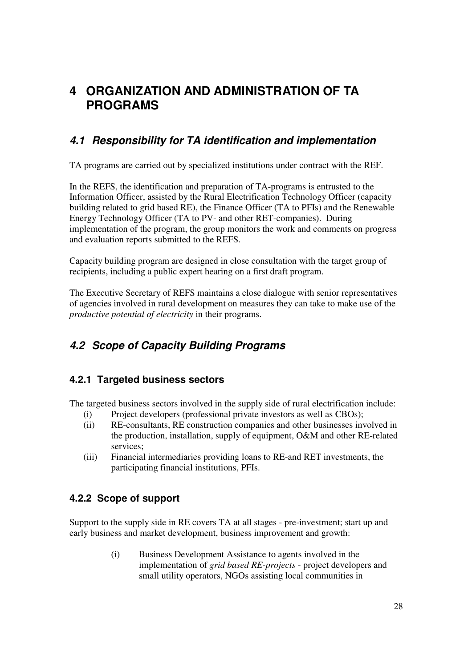## **4 ORGANIZATION AND ADMINISTRATION OF TA PROGRAMS**

## **4.1 Responsibility for TA identification and implementation**

TA programs are carried out by specialized institutions under contract with the REF.

In the REFS, the identification and preparation of TA-programs is entrusted to the Information Officer, assisted by the Rural Electrification Technology Officer (capacity building related to grid based RE), the Finance Officer (TA to PFIs) and the Renewable Energy Technology Officer (TA to PV- and other RET-companies). During implementation of the program, the group monitors the work and comments on progress and evaluation reports submitted to the REFS.

Capacity building program are designed in close consultation with the target group of recipients, including a public expert hearing on a first draft program.

The Executive Secretary of REFS maintains a close dialogue with senior representatives of agencies involved in rural development on measures they can take to make use of the *productive potential of electricity* in their programs.

## **4.2 Scope of Capacity Building Programs**

## **4.2.1 Targeted business sectors**

The targeted business sectors involved in the supply side of rural electrification include:

- (i) Project developers (professional private investors as well as CBOs);
- (ii) RE-consultants, RE construction companies and other businesses involved in the production, installation, supply of equipment, O&M and other RE-related services;
- (iii) Financial intermediaries providing loans to RE-and RET investments, the participating financial institutions, PFIs.

## **4.2.2 Scope of support**

Support to the supply side in RE covers TA at all stages - pre-investment; start up and early business and market development, business improvement and growth:

> (i) Business Development Assistance to agents involved in the implementation of *grid based RE-projects* - project developers and small utility operators, NGOs assisting local communities in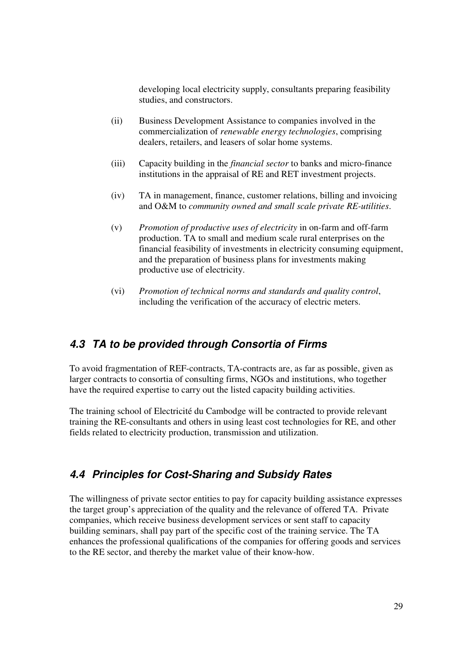developing local electricity supply, consultants preparing feasibility studies, and constructors.

- (ii) Business Development Assistance to companies involved in the commercialization of *renewable energy technologies*, comprising dealers, retailers, and leasers of solar home systems.
- (iii) Capacity building in the *financial sector* to banks and micro-finance institutions in the appraisal of RE and RET investment projects.
- (iv) TA in management, finance, customer relations, billing and invoicing and O&M to *community owned and small scale private RE-utilities*.
- (v) *Promotion of productive uses of electricity* in on-farm and off-farm production. TA to small and medium scale rural enterprises on the financial feasibility of investments in electricity consuming equipment, and the preparation of business plans for investments making productive use of electricity.
- (vi) *Promotion of technical norms and standards and quality control*, including the verification of the accuracy of electric meters.

## **4.3 TA to be provided through Consortia of Firms**

To avoid fragmentation of REF-contracts, TA-contracts are, as far as possible, given as larger contracts to consortia of consulting firms, NGOs and institutions, who together have the required expertise to carry out the listed capacity building activities.

The training school of Electricité du Cambodge will be contracted to provide relevant training the RE-consultants and others in using least cost technologies for RE, and other fields related to electricity production, transmission and utilization.

## **4.4 Principles for Cost-Sharing and Subsidy Rates**

The willingness of private sector entities to pay for capacity building assistance expresses the target group's appreciation of the quality and the relevance of offered TA. Private companies, which receive business development services or sent staff to capacity building seminars, shall pay part of the specific cost of the training service. The TA enhances the professional qualifications of the companies for offering goods and services to the RE sector, and thereby the market value of their know-how.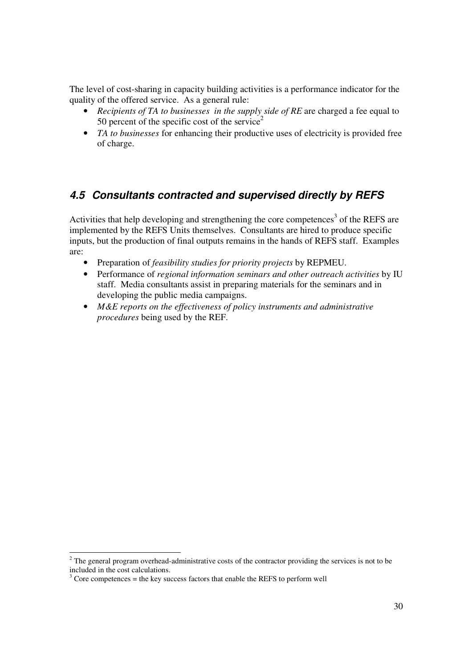The level of cost-sharing in capacity building activities is a performance indicator for the quality of the offered service. As a general rule:

- *Recipients of TA to businesses in the supply side of RE* are charged a fee equal to 50 percent of the specific cost of the service<sup>2</sup>
- *TA to businesses* for enhancing their productive uses of electricity is provided free of charge.

## **4.5 Consultants contracted and supervised directly by REFS**

Activities that help developing and strengthening the core competences<sup>3</sup> of the REFS are implemented by the REFS Units themselves. Consultants are hired to produce specific inputs, but the production of final outputs remains in the hands of REFS staff. Examples are:

- Preparation of *feasibility studies for priority projects* by REPMEU.
- Performance of *regional information seminars and other outreach activities* by IU staff. Media consultants assist in preparing materials for the seminars and in developing the public media campaigns.
- *M&E reports on the effectiveness of policy instruments and administrative procedures* being used by the REF.

<sup>&</sup>lt;sup>2</sup> The general program overhead-administrative costs of the contractor providing the services is not to be included in the cost calculations.

 $3^3$  Core competences = the key success factors that enable the REFS to perform well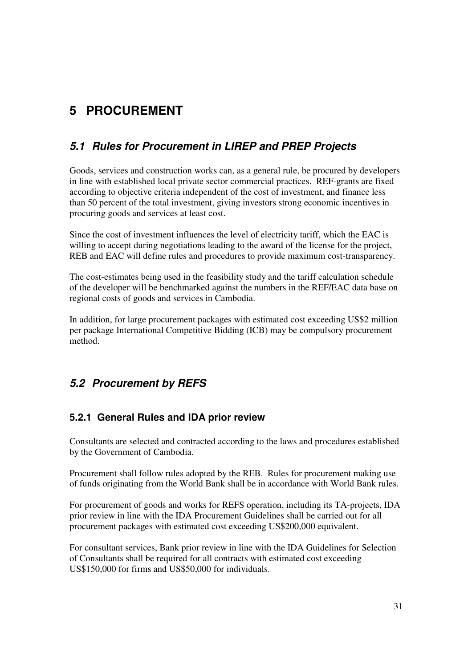# **5 PROCUREMENT**

## **5.1 Rules for Procurement in LIREP and PREP Projects**

Goods, services and construction works can, as a general rule, be procured by developers in line with established local private sector commercial practices. REF-grants are fixed according to objective criteria independent of the cost of investment, and finance less than 50 percent of the total investment, giving investors strong economic incentives in procuring goods and services at least cost.

Since the cost of investment influences the level of electricity tariff, which the EAC is willing to accept during negotiations leading to the award of the license for the project, REB and EAC will define rules and procedures to provide maximum cost-transparency.

The cost-estimates being used in the feasibility study and the tariff calculation schedule of the developer will be benchmarked against the numbers in the REF/EAC data base on regional costs of goods and services in Cambodia.

In addition, for large procurement packages with estimated cost exceeding US\$2 million per package International Competitive Bidding (ICB) may be compulsory procurement method.

## **5.2 Procurement by REFS**

## **5.2.1 General Rules and IDA prior review**

Consultants are selected and contracted according to the laws and procedures established by the Government of Cambodia.

Procurement shall follow rules adopted by the REB. Rules for procurement making use of funds originating from the World Bank shall be in accordance with World Bank rules.

For procurement of goods and works for REFS operation, including its TA-projects, IDA prior review in line with the IDA Procurement Guidelines shall be carried out for all procurement packages with estimated cost exceeding US\$200,000 equivalent.

For consultant services, Bank prior review in line with the IDA Guidelines for Selection of Consultants shall be required for all contracts with estimated cost exceeding US\$150,000 for firms and US\$50,000 for individuals.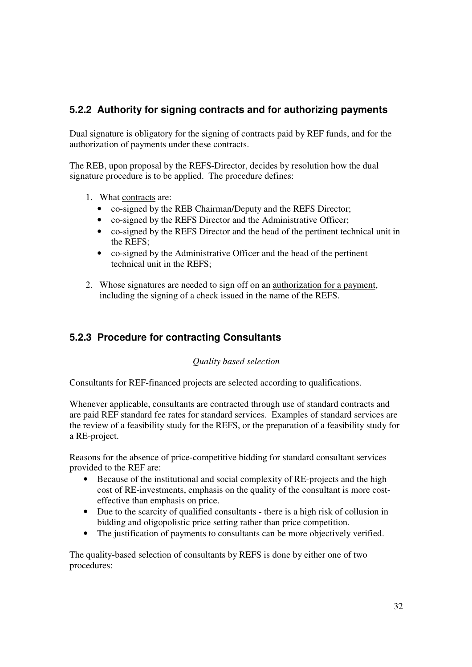## **5.2.2 Authority for signing contracts and for authorizing payments**

Dual signature is obligatory for the signing of contracts paid by REF funds, and for the authorization of payments under these contracts.

The REB, upon proposal by the REFS-Director, decides by resolution how the dual signature procedure is to be applied. The procedure defines:

- 1. What contracts are:
	- co-signed by the REB Chairman/Deputy and the REFS Director;
	- co-signed by the REFS Director and the Administrative Officer;
	- co-signed by the REFS Director and the head of the pertinent technical unit in the REFS;
	- co-signed by the Administrative Officer and the head of the pertinent technical unit in the REFS;
- 2. Whose signatures are needed to sign off on an authorization for a payment, including the signing of a check issued in the name of the REFS.

## **5.2.3 Procedure for contracting Consultants**

*Quality based selection* 

Consultants for REF-financed projects are selected according to qualifications.

Whenever applicable, consultants are contracted through use of standard contracts and are paid REF standard fee rates for standard services. Examples of standard services are the review of a feasibility study for the REFS, or the preparation of a feasibility study for a RE-project.

Reasons for the absence of price-competitive bidding for standard consultant services provided to the REF are:

- Because of the institutional and social complexity of RE-projects and the high cost of RE-investments, emphasis on the quality of the consultant is more costeffective than emphasis on price.
- Due to the scarcity of qualified consultants there is a high risk of collusion in bidding and oligopolistic price setting rather than price competition.
- The justification of payments to consultants can be more objectively verified.

The quality-based selection of consultants by REFS is done by either one of two procedures: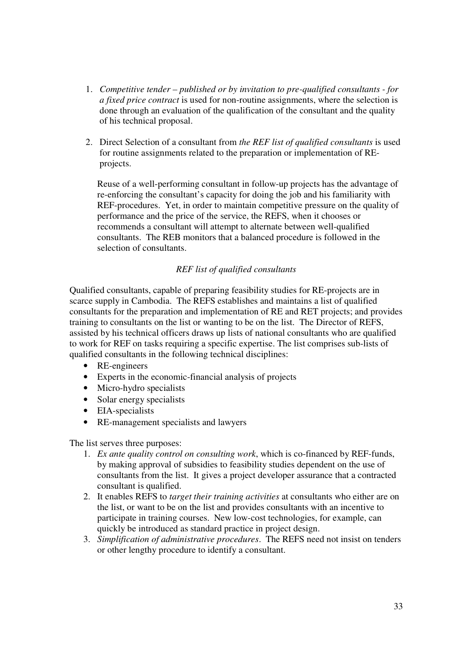- 1. *Competitive tender published or by invitation to pre-qualified consultants for a fixed price contract* is used for non-routine assignments, where the selection is done through an evaluation of the qualification of the consultant and the quality of his technical proposal.
- 2. Direct Selection of a consultant from *the REF list of qualified consultants* is used for routine assignments related to the preparation or implementation of REprojects.

Reuse of a well-performing consultant in follow-up projects has the advantage of re-enforcing the consultant's capacity for doing the job and his familiarity with REF-procedures. Yet, in order to maintain competitive pressure on the quality of performance and the price of the service, the REFS, when it chooses or recommends a consultant will attempt to alternate between well-qualified consultants. The REB monitors that a balanced procedure is followed in the selection of consultants.

#### *REF list of qualified consultants*

Qualified consultants, capable of preparing feasibility studies for RE-projects are in scarce supply in Cambodia. The REFS establishes and maintains a list of qualified consultants for the preparation and implementation of RE and RET projects; and provides training to consultants on the list or wanting to be on the list. The Director of REFS, assisted by his technical officers draws up lists of national consultants who are qualified to work for REF on tasks requiring a specific expertise. The list comprises sub-lists of qualified consultants in the following technical disciplines:

- RE-engineers
- Experts in the economic-financial analysis of projects
- Micro-hydro specialists
- Solar energy specialists
- EIA-specialists
- RE-management specialists and lawyers

The list serves three purposes:

- 1. *Ex ante quality control on consulting work*, which is co-financed by REF-funds, by making approval of subsidies to feasibility studies dependent on the use of consultants from the list. It gives a project developer assurance that a contracted consultant is qualified.
- 2. It enables REFS to *target their training activities* at consultants who either are on the list, or want to be on the list and provides consultants with an incentive to participate in training courses. New low-cost technologies, for example, can quickly be introduced as standard practice in project design.
- 3. *Simplification of administrative procedures*. The REFS need not insist on tenders or other lengthy procedure to identify a consultant.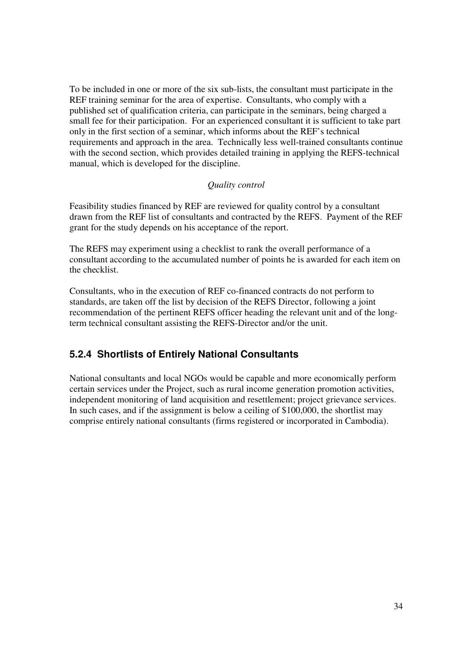To be included in one or more of the six sub-lists, the consultant must participate in the REF training seminar for the area of expertise. Consultants, who comply with a published set of qualification criteria, can participate in the seminars, being charged a small fee for their participation. For an experienced consultant it is sufficient to take part only in the first section of a seminar, which informs about the REF's technical requirements and approach in the area. Technically less well-trained consultants continue with the second section, which provides detailed training in applying the REFS-technical manual, which is developed for the discipline.

#### *Quality control*

Feasibility studies financed by REF are reviewed for quality control by a consultant drawn from the REF list of consultants and contracted by the REFS. Payment of the REF grant for the study depends on his acceptance of the report.

The REFS may experiment using a checklist to rank the overall performance of a consultant according to the accumulated number of points he is awarded for each item on the checklist.

Consultants, who in the execution of REF co-financed contracts do not perform to standards, are taken off the list by decision of the REFS Director, following a joint recommendation of the pertinent REFS officer heading the relevant unit and of the longterm technical consultant assisting the REFS-Director and/or the unit.

## **5.2.4 Shortlists of Entirely National Consultants**

National consultants and local NGOs would be capable and more economically perform certain services under the Project, such as rural income generation promotion activities, independent monitoring of land acquisition and resettlement; project grievance services. In such cases, and if the assignment is below a ceiling of \$100,000, the shortlist may comprise entirely national consultants (firms registered or incorporated in Cambodia).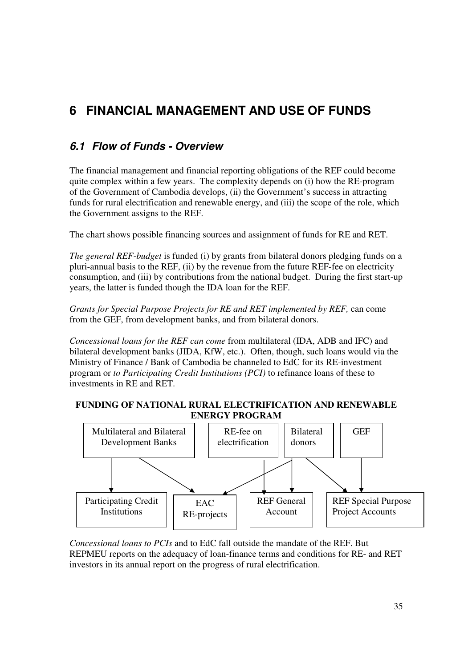# **6 FINANCIAL MANAGEMENT AND USE OF FUNDS**

## **6.1 Flow of Funds - Overview**

The financial management and financial reporting obligations of the REF could become quite complex within a few years. The complexity depends on (i) how the RE-program of the Government of Cambodia develops, (ii) the Government's success in attracting funds for rural electrification and renewable energy, and (iii) the scope of the role, which the Government assigns to the REF.

The chart shows possible financing sources and assignment of funds for RE and RET.

*The general REF-budget* is funded (i) by grants from bilateral donors pledging funds on a pluri-annual basis to the REF, (ii) by the revenue from the future REF-fee on electricity consumption, and (iii) by contributions from the national budget. During the first start-up years, the latter is funded though the IDA loan for the REF.

*Grants for Special Purpose Projects for RE and RET implemented by REF,* can come from the GEF, from development banks, and from bilateral donors.

*Concessional loans for the REF can come* from multilateral (IDA, ADB and IFC) and bilateral development banks (JIDA, KfW, etc.). Often, though, such loans would via the Ministry of Finance / Bank of Cambodia be channeled to EdC for its RE-investment program or *to Participating Credit Institutions (PCI)* to refinance loans of these to investments in RE and RET.

#### **FUNDING OF NATIONAL RURAL ELECTRIFICATION AND RENEWABLE ENERGY PROGRAM**



*Concessional loans to PCIs* and to EdC fall outside the mandate of the REF. But REPMEU reports on the adequacy of loan-finance terms and conditions for RE- and RET investors in its annual report on the progress of rural electrification.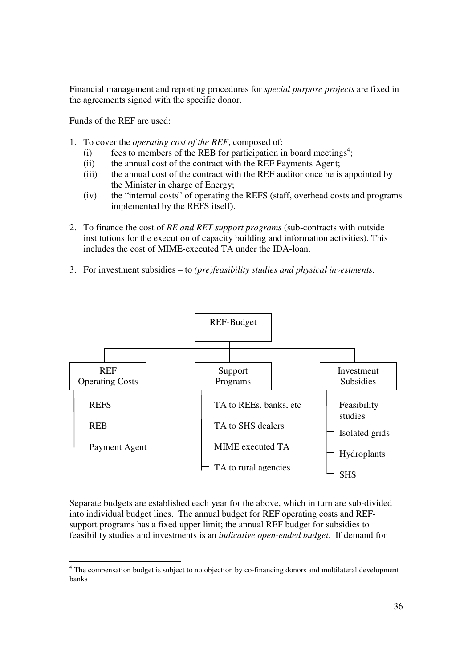Financial management and reporting procedures for *special purpose projects* are fixed in the agreements signed with the specific donor.

Funds of the REF are used:

- 1. To cover the *operating cost of the REF*, composed of:
	- $(i)$  fees to members of the REB for participation in board meetings<sup>4</sup>;
	- (ii) the annual cost of the contract with the REF Payments Agent;
	- (iii) the annual cost of the contract with the REF auditor once he is appointed by the Minister in charge of Energy;
	- (iv) the "internal costs" of operating the REFS (staff, overhead costs and programs implemented by the REFS itself).
- 2. To finance the cost of *RE and RET support programs* (sub-contracts with outside institutions for the execution of capacity building and information activities). This includes the cost of MIME-executed TA under the IDA-loan.
- 3. For investment subsidies to *(pre)feasibility studies and physical investments.*



Separate budgets are established each year for the above, which in turn are sub-divided into individual budget lines. The annual budget for REF operating costs and REFsupport programs has a fixed upper limit; the annual REF budget for subsidies to feasibility studies and investments is an *indicative open-ended budget*. If demand for

The compensation budget is subject to no objection by co-financing donors and multilateral development banks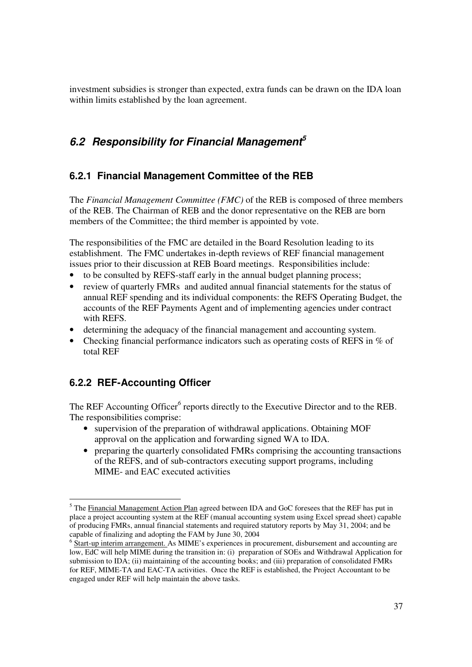investment subsidies is stronger than expected, extra funds can be drawn on the IDA loan within limits established by the loan agreement.

## **6.2 Responsibility for Financial Management<sup>5</sup>**

### **6.2.1 Financial Management Committee of the REB**

The *Financial Management Committee (FMC)* of the REB is composed of three members of the REB. The Chairman of REB and the donor representative on the REB are born members of the Committee; the third member is appointed by vote.

The responsibilities of the FMC are detailed in the Board Resolution leading to its establishment. The FMC undertakes in-depth reviews of REF financial management issues prior to their discussion at REB Board meetings. Responsibilities include:

- to be consulted by REFS-staff early in the annual budget planning process;
- review of quarterly FMRs and audited annual financial statements for the status of annual REF spending and its individual components: the REFS Operating Budget, the accounts of the REF Payments Agent and of implementing agencies under contract with REFS.
- determining the adequacy of the financial management and accounting system.
- Checking financial performance indicators such as operating costs of REFS in % of total REF

### **6.2.2 REF-Accounting Officer**

The REF Accounting Officer<sup>6</sup> reports directly to the Executive Director and to the REB. The responsibilities comprise:

- supervision of the preparation of withdrawal applications. Obtaining MOF approval on the application and forwarding signed WA to IDA.
- preparing the quarterly consolidated FMRs comprising the accounting transactions of the REFS, and of sub-contractors executing support programs, including MIME- and EAC executed activities

<sup>-</sup> $<sup>5</sup>$  The Financial Management Action Plan agreed between IDA and GoC foresees that the REF has put in</sup> place a project accounting system at the REF (manual accounting system using Excel spread sheet) capable of producing FMRs, annual financial statements and required statutory reports by May 31, 2004; and be capable of finalizing and adopting the FAM by June 30, 2004

<sup>&</sup>lt;sup>6</sup> Start-up interim arrangement. As MIME's experiences in procurement, disbursement and accounting are low, EdC will help MIME during the transition in: (i) preparation of SOEs and Withdrawal Application for submission to IDA; (ii) maintaining of the accounting books; and (iii) preparation of consolidated FMRs for REF, MIME-TA and EAC-TA activities. Once the REF is established, the Project Accountant to be engaged under REF will help maintain the above tasks.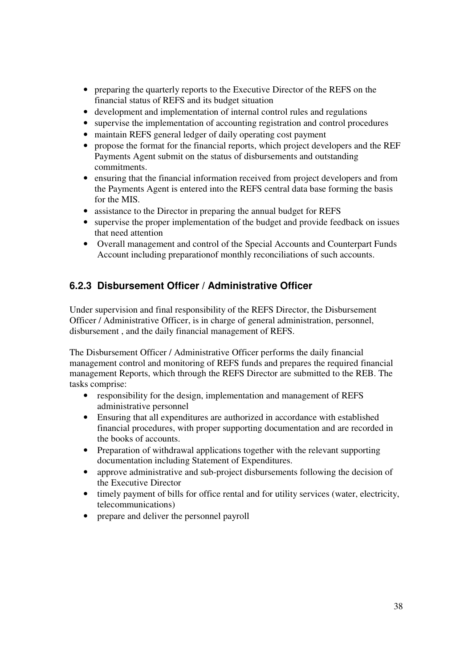- preparing the quarterly reports to the Executive Director of the REFS on the financial status of REFS and its budget situation
- development and implementation of internal control rules and regulations
- supervise the implementation of accounting registration and control procedures
- maintain REFS general ledger of daily operating cost payment
- propose the format for the financial reports, which project developers and the REF Payments Agent submit on the status of disbursements and outstanding commitments.
- ensuring that the financial information received from project developers and from the Payments Agent is entered into the REFS central data base forming the basis for the MIS.
- assistance to the Director in preparing the annual budget for REFS
- supervise the proper implementation of the budget and provide feedback on issues that need attention
- Overall management and control of the Special Accounts and Counterpart Funds Account including preparationof monthly reconciliations of such accounts.

#### **6.2.3 Disbursement Officer / Administrative Officer**

Under supervision and final responsibility of the REFS Director, the Disbursement Officer / Administrative Officer, is in charge of general administration, personnel, disbursement , and the daily financial management of REFS.

The Disbursement Officer / Administrative Officer performs the daily financial management control and monitoring of REFS funds and prepares the required financial management Reports, which through the REFS Director are submitted to the REB. The tasks comprise:

- responsibility for the design, implementation and management of REFS administrative personnel
- Ensuring that all expenditures are authorized in accordance with established financial procedures, with proper supporting documentation and are recorded in the books of accounts.
- Preparation of withdrawal applications together with the relevant supporting documentation including Statement of Expenditures.
- approve administrative and sub-project disbursements following the decision of the Executive Director
- timely payment of bills for office rental and for utility services (water, electricity, telecommunications)
- prepare and deliver the personnel payroll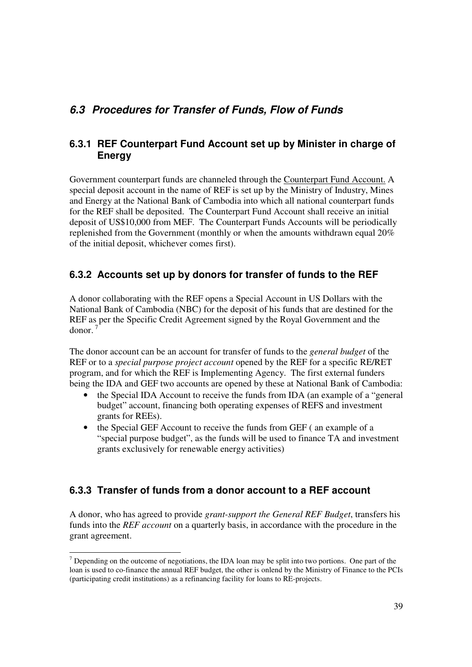## **6.3 Procedures for Transfer of Funds, Flow of Funds**

#### **6.3.1 REF Counterpart Fund Account set up by Minister in charge of Energy**

Government counterpart funds are channeled through the Counterpart Fund Account. A special deposit account in the name of REF is set up by the Ministry of Industry, Mines and Energy at the National Bank of Cambodia into which all national counterpart funds for the REF shall be deposited. The Counterpart Fund Account shall receive an initial deposit of US\$10,000 from MEF. The Counterpart Funds Accounts will be periodically replenished from the Government (monthly or when the amounts withdrawn equal 20% of the initial deposit, whichever comes first).

### **6.3.2 Accounts set up by donors for transfer of funds to the REF**

A donor collaborating with the REF opens a Special Account in US Dollars with the National Bank of Cambodia (NBC) for the deposit of his funds that are destined for the REF as per the Specific Credit Agreement signed by the Royal Government and the donor

The donor account can be an account for transfer of funds to the *general budget* of the REF or to a *special purpose project account* opened by the REF for a specific RE/RET program, and for which the REF is Implementing Agency. The first external funders being the IDA and GEF two accounts are opened by these at National Bank of Cambodia:

- the Special IDA Account to receive the funds from IDA (an example of a "general" budget" account, financing both operating expenses of REFS and investment grants for REEs).
- the Special GEF Account to receive the funds from GEF (an example of a "special purpose budget", as the funds will be used to finance TA and investment grants exclusively for renewable energy activities)

#### **6.3.3 Transfer of funds from a donor account to a REF account**

A donor, who has agreed to provide *grant-support the General REF Budget*, transfers his funds into the *REF account* on a quarterly basis, in accordance with the procedure in the grant agreement.

<sup>-</sup> $<sup>7</sup>$  Depending on the outcome of negotiations, the IDA loan may be split into two portions. One part of the</sup> loan is used to co-finance the annual REF budget, the other is onlend by the Ministry of Finance to the PCIs (participating credit institutions) as a refinancing facility for loans to RE-projects.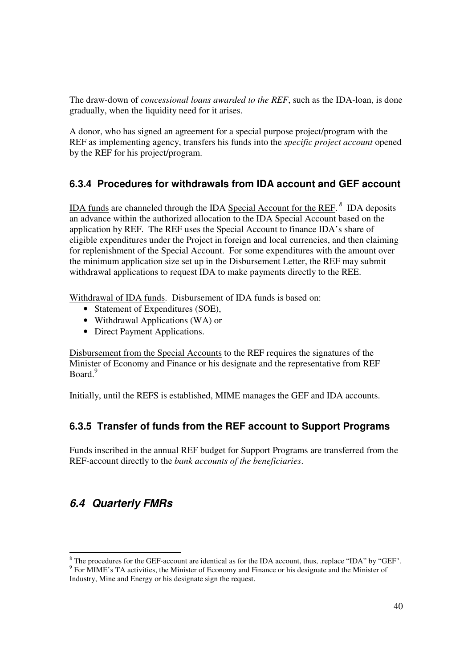The draw-down of *concessional loans awarded to the REF*, such as the IDA-loan, is done gradually, when the liquidity need for it arises.

A donor, who has signed an agreement for a special purpose project/program with the REF as implementing agency, transfers his funds into the *specific project account* opened by the REF for his project/program.

#### **6.3.4 Procedures for withdrawals from IDA account and GEF account**

IDA funds are channeled through the IDA Special Account for the REF. *<sup>8</sup>* IDA deposits an advance within the authorized allocation to the IDA Special Account based on the application by REF. The REF uses the Special Account to finance IDA's share of eligible expenditures under the Project in foreign and local currencies, and then claiming for replenishment of the Special Account. For some expenditures with the amount over the minimum application size set up in the Disbursement Letter, the REF may submit withdrawal applications to request IDA to make payments directly to the REE.

Withdrawal of IDA funds. Disbursement of IDA funds is based on:

- Statement of Expenditures (SOE),
- Withdrawal Applications (WA) or
- Direct Payment Applications.

Disbursement from the Special Accounts to the REF requires the signatures of the Minister of Economy and Finance or his designate and the representative from REF Board.<sup>9</sup>

Initially, until the REFS is established, MIME manages the GEF and IDA accounts.

#### **6.3.5 Transfer of funds from the REF account to Support Programs**

Funds inscribed in the annual REF budget for Support Programs are transferred from the REF-account directly to the *bank accounts of the beneficiaries*.

## **6.4 Quarterly FMRs**

-

 $8$  The procedures for the GEF-account are identical as for the IDA account, thus, .replace "IDA" by "GEF". <sup>9</sup> For MIME's TA activities, the Minister of Economy and Finance or his designate and the Minister of

Industry, Mine and Energy or his designate sign the request.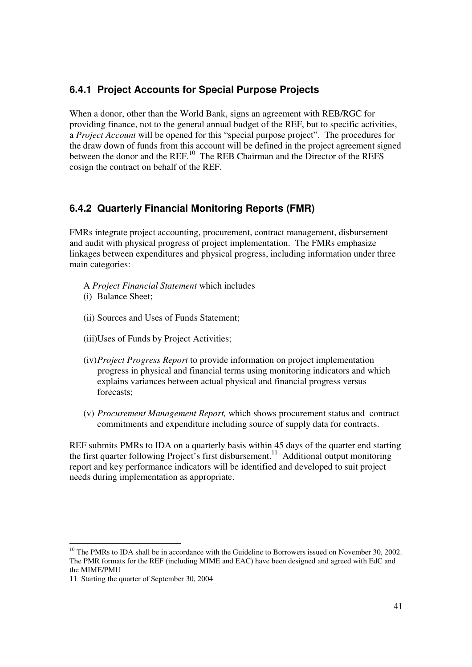#### **6.4.1 Project Accounts for Special Purpose Projects**

When a donor, other than the World Bank, signs an agreement with REB/RGC for providing finance, not to the general annual budget of the REF, but to specific activities, a *Project Account* will be opened for this "special purpose project". The procedures for the draw down of funds from this account will be defined in the project agreement signed between the donor and the REF.<sup>10</sup> The REB Chairman and the Director of the REFS cosign the contract on behalf of the REF.

#### **6.4.2 Quarterly Financial Monitoring Reports (FMR)**

FMRs integrate project accounting, procurement, contract management, disbursement and audit with physical progress of project implementation. The FMRs emphasize linkages between expenditures and physical progress, including information under three main categories:

- A *Project Financial Statement* which includes
- (i) Balance Sheet;
- (ii) Sources and Uses of Funds Statement;
- (iii)Uses of Funds by Project Activities;
- (iv)*Project Progress Report* to provide information on project implementation progress in physical and financial terms using monitoring indicators and which explains variances between actual physical and financial progress versus forecasts;
- (v) *Procurement Management Report,* which shows procurement status and contract commitments and expenditure including source of supply data for contracts.

REF submits PMRs to IDA on a quarterly basis within 45 days of the quarter end starting the first quarter following Project's first disbursement.<sup>11</sup> Additional output monitoring report and key performance indicators will be identified and developed to suit project needs during implementation as appropriate.

-

<sup>&</sup>lt;sup>10</sup> The PMRs to IDA shall be in accordance with the Guideline to Borrowers issued on November 30, 2002. The PMR formats for the REF (including MIME and EAC) have been designed and agreed with EdC and the MIME/PMU

<sup>11</sup> Starting the quarter of September 30, 2004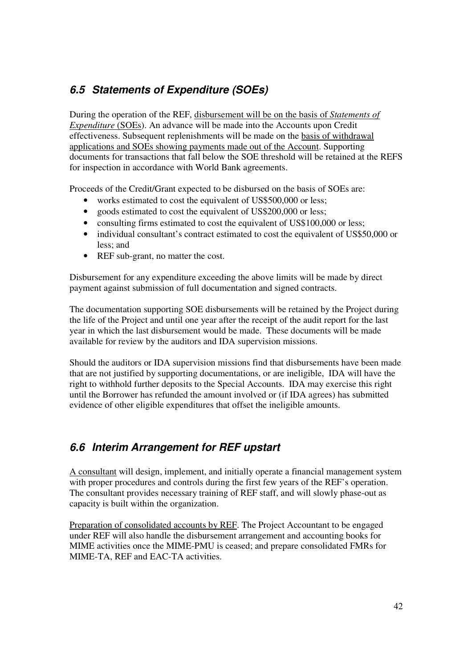## **6.5 Statements of Expenditure (SOEs)**

During the operation of the REF, disbursement will be on the basis of *Statements of Expenditure* (SOEs). An advance will be made into the Accounts upon Credit effectiveness. Subsequent replenishments will be made on the basis of withdrawal applications and SOEs showing payments made out of the Account. Supporting documents for transactions that fall below the SOE threshold will be retained at the REFS for inspection in accordance with World Bank agreements.

Proceeds of the Credit/Grant expected to be disbursed on the basis of SOEs are:

- works estimated to cost the equivalent of US\$500,000 or less;
- goods estimated to cost the equivalent of US\$200,000 or less;
- consulting firms estimated to cost the equivalent of US\$100,000 or less:
- individual consultant's contract estimated to cost the equivalent of US\$50,000 or less; and
- REF sub-grant, no matter the cost.

Disbursement for any expenditure exceeding the above limits will be made by direct payment against submission of full documentation and signed contracts.

The documentation supporting SOE disbursements will be retained by the Project during the life of the Project and until one year after the receipt of the audit report for the last year in which the last disbursement would be made. These documents will be made available for review by the auditors and IDA supervision missions.

Should the auditors or IDA supervision missions find that disbursements have been made that are not justified by supporting documentations, or are ineligible, IDA will have the right to withhold further deposits to the Special Accounts. IDA may exercise this right until the Borrower has refunded the amount involved or (if IDA agrees) has submitted evidence of other eligible expenditures that offset the ineligible amounts.

## **6.6 Interim Arrangement for REF upstart**

A consultant will design, implement, and initially operate a financial management system with proper procedures and controls during the first few years of the REF's operation. The consultant provides necessary training of REF staff, and will slowly phase-out as capacity is built within the organization.

Preparation of consolidated accounts by REF. The Project Accountant to be engaged under REF will also handle the disbursement arrangement and accounting books for MIME activities once the MIME-PMU is ceased; and prepare consolidated FMRs for MIME-TA, REF and EAC-TA activities.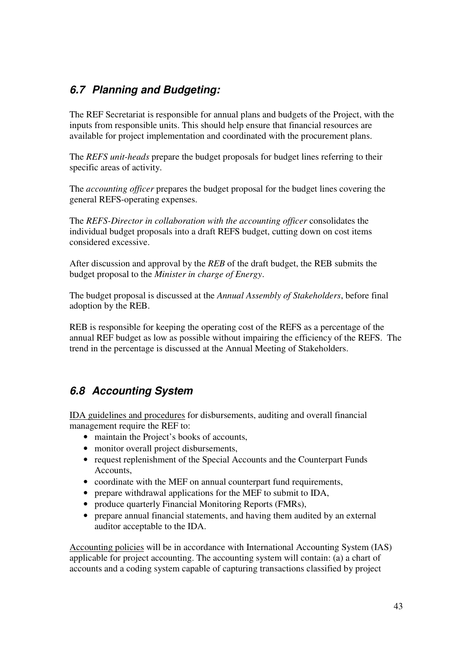## **6.7 Planning and Budgeting:**

The REF Secretariat is responsible for annual plans and budgets of the Project, with the inputs from responsible units. This should help ensure that financial resources are available for project implementation and coordinated with the procurement plans.

The *REFS unit-heads* prepare the budget proposals for budget lines referring to their specific areas of activity.

The *accounting officer* prepares the budget proposal for the budget lines covering the general REFS-operating expenses.

The *REFS-Director in collaboration with the accounting officer* consolidates the individual budget proposals into a draft REFS budget, cutting down on cost items considered excessive.

After discussion and approval by the *REB* of the draft budget, the REB submits the budget proposal to the *Minister in charge of Energy*.

The budget proposal is discussed at the *Annual Assembly of Stakeholders*, before final adoption by the REB.

REB is responsible for keeping the operating cost of the REFS as a percentage of the annual REF budget as low as possible without impairing the efficiency of the REFS. The trend in the percentage is discussed at the Annual Meeting of Stakeholders.

## **6.8 Accounting System**

IDA guidelines and procedures for disbursements, auditing and overall financial management require the REF to:

- maintain the Project's books of accounts,
- monitor overall project disbursements,
- request replenishment of the Special Accounts and the Counterpart Funds Accounts,
- coordinate with the MEF on annual counterpart fund requirements,
- prepare withdrawal applications for the MEF to submit to IDA,
- produce quarterly Financial Monitoring Reports (FMRs),
- prepare annual financial statements, and having them audited by an external auditor acceptable to the IDA.

Accounting policies will be in accordance with International Accounting System (IAS) applicable for project accounting. The accounting system will contain: (a) a chart of accounts and a coding system capable of capturing transactions classified by project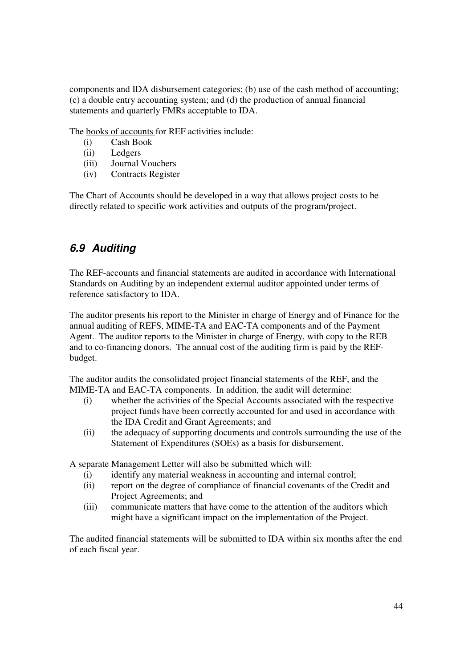components and IDA disbursement categories; (b) use of the cash method of accounting; (c) a double entry accounting system; and (d) the production of annual financial statements and quarterly FMRs acceptable to IDA.

The books of accounts for REF activities include:

- (i) Cash Book
- (ii) Ledgers
- (iii) Journal Vouchers
- (iv) Contracts Register

The Chart of Accounts should be developed in a way that allows project costs to be directly related to specific work activities and outputs of the program/project.

## **6.9 Auditing**

The REF-accounts and financial statements are audited in accordance with International Standards on Auditing by an independent external auditor appointed under terms of reference satisfactory to IDA.

The auditor presents his report to the Minister in charge of Energy and of Finance for the annual auditing of REFS, MIME-TA and EAC-TA components and of the Payment Agent. The auditor reports to the Minister in charge of Energy, with copy to the REB and to co-financing donors. The annual cost of the auditing firm is paid by the REFbudget.

The auditor audits the consolidated project financial statements of the REF, and the MIME-TA and EAC-TA components. In addition, the audit will determine:

- (i) whether the activities of the Special Accounts associated with the respective project funds have been correctly accounted for and used in accordance with the IDA Credit and Grant Agreements; and
- (ii) the adequacy of supporting documents and controls surrounding the use of the Statement of Expenditures (SOEs) as a basis for disbursement.

A separate Management Letter will also be submitted which will:

- (i) identify any material weakness in accounting and internal control;
- (ii) report on the degree of compliance of financial covenants of the Credit and Project Agreements; and
- (iii) communicate matters that have come to the attention of the auditors which might have a significant impact on the implementation of the Project.

The audited financial statements will be submitted to IDA within six months after the end of each fiscal year.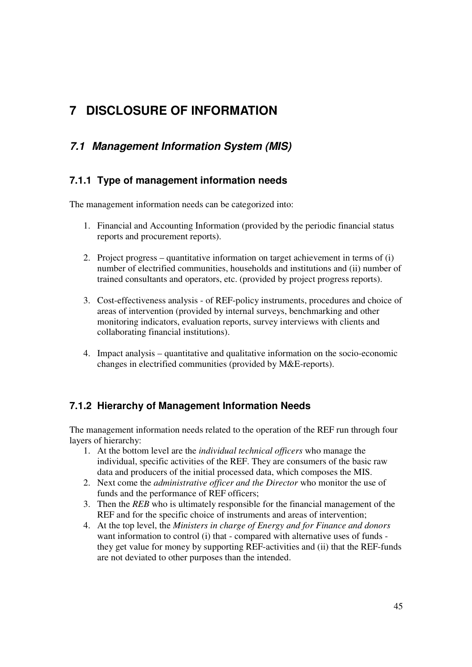# **7 DISCLOSURE OF INFORMATION**

## **7.1 Management Information System (MIS)**

### **7.1.1 Type of management information needs**

The management information needs can be categorized into:

- 1. Financial and Accounting Information (provided by the periodic financial status reports and procurement reports).
- 2. Project progress quantitative information on target achievement in terms of (i) number of electrified communities, households and institutions and (ii) number of trained consultants and operators, etc. (provided by project progress reports).
- 3. Cost-effectiveness analysis of REF-policy instruments, procedures and choice of areas of intervention (provided by internal surveys, benchmarking and other monitoring indicators, evaluation reports, survey interviews with clients and collaborating financial institutions).
- 4. Impact analysis quantitative and qualitative information on the socio-economic changes in electrified communities (provided by M&E-reports).

#### **7.1.2 Hierarchy of Management Information Needs**

The management information needs related to the operation of the REF run through four layers of hierarchy:

- 1. At the bottom level are the *individual technical officers* who manage the individual, specific activities of the REF. They are consumers of the basic raw data and producers of the initial processed data, which composes the MIS.
- 2. Next come the *administrative officer and the Director* who monitor the use of funds and the performance of REF officers;
- 3. Then the *REB* who is ultimately responsible for the financial management of the REF and for the specific choice of instruments and areas of intervention;
- 4. At the top level, the *Ministers in charge of Energy and for Finance and donors* want information to control (i) that - compared with alternative uses of funds they get value for money by supporting REF-activities and (ii) that the REF-funds are not deviated to other purposes than the intended.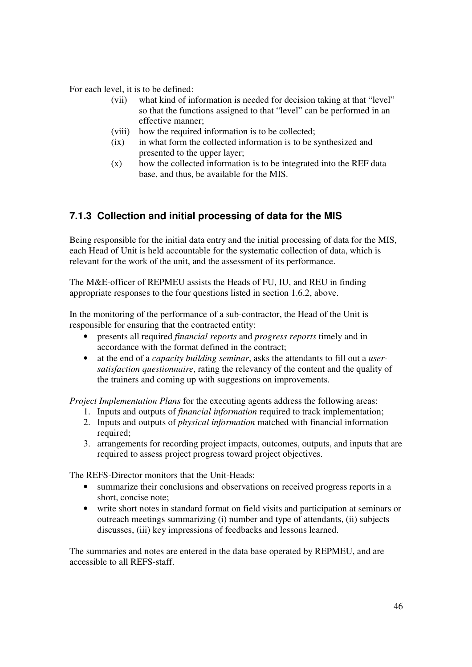For each level, it is to be defined:

- (vii) what kind of information is needed for decision taking at that "level" so that the functions assigned to that "level" can be performed in an effective manner;
- (viii) how the required information is to be collected;
- (ix) in what form the collected information is to be synthesized and presented to the upper layer;
- (x) how the collected information is to be integrated into the REF data base, and thus, be available for the MIS.

### **7.1.3 Collection and initial processing of data for the MIS**

Being responsible for the initial data entry and the initial processing of data for the MIS, each Head of Unit is held accountable for the systematic collection of data, which is relevant for the work of the unit, and the assessment of its performance.

The M&E-officer of REPMEU assists the Heads of FU, IU, and REU in finding appropriate responses to the four questions listed in section 1.6.2, above.

In the monitoring of the performance of a sub-contractor, the Head of the Unit is responsible for ensuring that the contracted entity:

- presents all required *financial reports* and *progress reports* timely and in accordance with the format defined in the contract;
- at the end of a *capacity building seminar*, asks the attendants to fill out a *usersatisfaction questionnaire*, rating the relevancy of the content and the quality of the trainers and coming up with suggestions on improvements.

*Project Implementation Plans* for the executing agents address the following areas:

- 1. Inputs and outputs of *financial information* required to track implementation;
- 2. Inputs and outputs of *physical information* matched with financial information required;
- 3. arrangements for recording project impacts, outcomes, outputs, and inputs that are required to assess project progress toward project objectives.

The REFS-Director monitors that the Unit-Heads:

- summarize their conclusions and observations on received progress reports in a short, concise note;
- write short notes in standard format on field visits and participation at seminars or outreach meetings summarizing (i) number and type of attendants, (ii) subjects discusses, (iii) key impressions of feedbacks and lessons learned.

The summaries and notes are entered in the data base operated by REPMEU, and are accessible to all REFS-staff.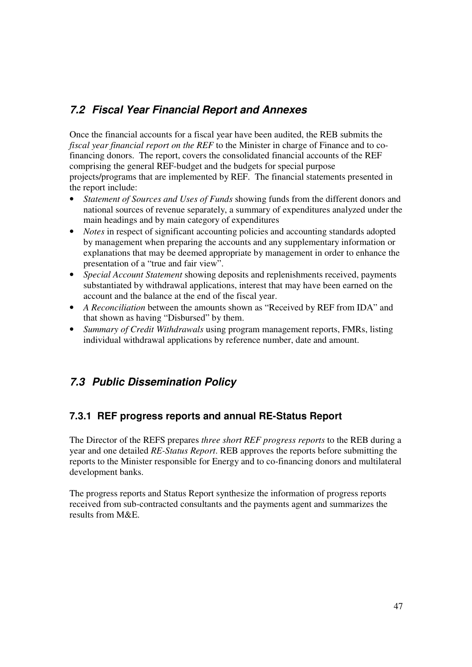## **7.2 Fiscal Year Financial Report and Annexes**

Once the financial accounts for a fiscal year have been audited, the REB submits the *fiscal year financial report on the REF* to the Minister in charge of Finance and to cofinancing donors. The report, covers the consolidated financial accounts of the REF comprising the general REF-budget and the budgets for special purpose projects/programs that are implemented by REF. The financial statements presented in the report include:

- *Statement of Sources and Uses of Funds* showing funds from the different donors and national sources of revenue separately, a summary of expenditures analyzed under the main headings and by main category of expenditures
- *Notes* in respect of significant accounting policies and accounting standards adopted by management when preparing the accounts and any supplementary information or explanations that may be deemed appropriate by management in order to enhance the presentation of a "true and fair view".
- *Special Account Statement* showing deposits and replenishments received, payments substantiated by withdrawal applications, interest that may have been earned on the account and the balance at the end of the fiscal year.
- *A Reconciliation* between the amounts shown as "Received by REF from IDA" and that shown as having "Disbursed" by them.
- *Summary of Credit Withdrawals* using program management reports, FMRs, listing individual withdrawal applications by reference number, date and amount.

## **7.3 Public Dissemination Policy**

#### **7.3.1 REF progress reports and annual RE-Status Report**

The Director of the REFS prepares *three short REF progress reports* to the REB during a year and one detailed *RE-Status Report*. REB approves the reports before submitting the reports to the Minister responsible for Energy and to co-financing donors and multilateral development banks.

The progress reports and Status Report synthesize the information of progress reports received from sub-contracted consultants and the payments agent and summarizes the results from M&E.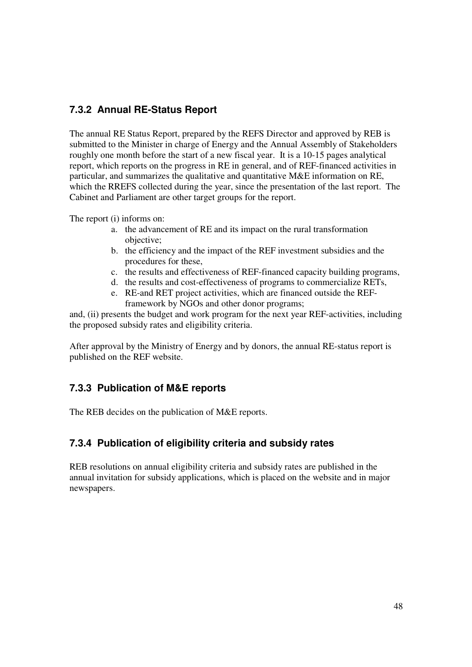#### **7.3.2 Annual RE-Status Report**

The annual RE Status Report, prepared by the REFS Director and approved by REB is submitted to the Minister in charge of Energy and the Annual Assembly of Stakeholders roughly one month before the start of a new fiscal year. It is a 10-15 pages analytical report, which reports on the progress in RE in general, and of REF-financed activities in particular, and summarizes the qualitative and quantitative M&E information on RE, which the RREFS collected during the year, since the presentation of the last report. The Cabinet and Parliament are other target groups for the report.

The report (i) informs on:

- a. the advancement of RE and its impact on the rural transformation objective;
- b. the efficiency and the impact of the REF investment subsidies and the procedures for these,
- c. the results and effectiveness of REF-financed capacity building programs,
- d. the results and cost-effectiveness of programs to commercialize RETs,
- e. RE-and RET project activities, which are financed outside the REFframework by NGOs and other donor programs;

and, (ii) presents the budget and work program for the next year REF-activities, including the proposed subsidy rates and eligibility criteria.

After approval by the Ministry of Energy and by donors, the annual RE-status report is published on the REF website.

#### **7.3.3 Publication of M&E reports**

The REB decides on the publication of M&E reports.

#### **7.3.4 Publication of eligibility criteria and subsidy rates**

REB resolutions on annual eligibility criteria and subsidy rates are published in the annual invitation for subsidy applications, which is placed on the website and in major newspapers.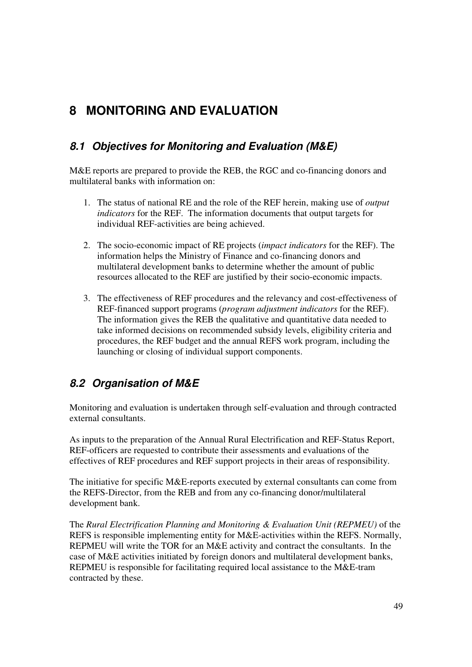# **8 MONITORING AND EVALUATION**

## **8.1 Objectives for Monitoring and Evaluation (M&E)**

M&E reports are prepared to provide the REB, the RGC and co-financing donors and multilateral banks with information on:

- 1. The status of national RE and the role of the REF herein, making use of *output indicators* for the REF. The information documents that output targets for individual REF-activities are being achieved.
- 2. The socio-economic impact of RE projects (*impact indicators* for the REF). The information helps the Ministry of Finance and co-financing donors and multilateral development banks to determine whether the amount of public resources allocated to the REF are justified by their socio-economic impacts.
- 3. The effectiveness of REF procedures and the relevancy and cost-effectiveness of REF-financed support programs (*program adjustment indicators* for the REF). The information gives the REB the qualitative and quantitative data needed to take informed decisions on recommended subsidy levels, eligibility criteria and procedures, the REF budget and the annual REFS work program, including the launching or closing of individual support components.

## **8.2 Organisation of M&E**

Monitoring and evaluation is undertaken through self-evaluation and through contracted external consultants.

As inputs to the preparation of the Annual Rural Electrification and REF-Status Report, REF-officers are requested to contribute their assessments and evaluations of the effectives of REF procedures and REF support projects in their areas of responsibility.

The initiative for specific M&E-reports executed by external consultants can come from the REFS-Director, from the REB and from any co-financing donor/multilateral development bank.

The *Rural Electrification Planning and Monitoring & Evaluation Unit (REPMEU)* of the REFS is responsible implementing entity for M&E-activities within the REFS. Normally, REPMEU will write the TOR for an M&E activity and contract the consultants. In the case of M&E activities initiated by foreign donors and multilateral development banks, REPMEU is responsible for facilitating required local assistance to the M&E-tram contracted by these.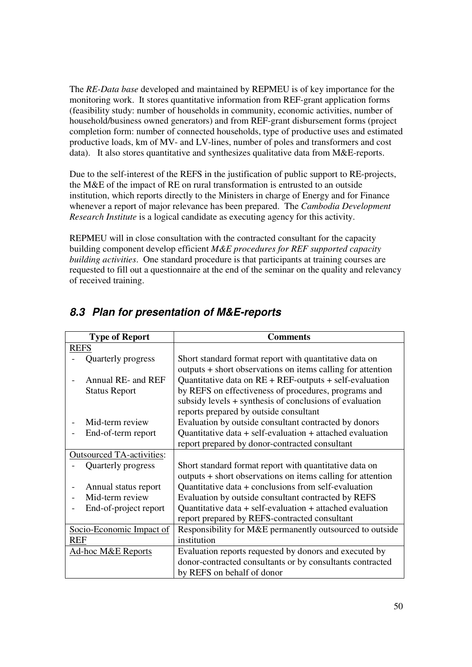The *RE-Data base* developed and maintained by REPMEU is of key importance for the monitoring work. It stores quantitative information from REF-grant application forms (feasibility study: number of households in community, economic activities, number of household/business owned generators) and from REF-grant disbursement forms (project completion form: number of connected households, type of productive uses and estimated productive loads, km of MV- and LV-lines, number of poles and transformers and cost data). It also stores quantitative and synthesizes qualitative data from M&E-reports.

Due to the self-interest of the REFS in the justification of public support to RE-projects, the M&E of the impact of RE on rural transformation is entrusted to an outside institution, which reports directly to the Ministers in charge of Energy and for Finance whenever a report of major relevance has been prepared. The *Cambodia Development Research Institute* is a logical candidate as executing agency for this activity.

REPMEU will in close consultation with the contracted consultant for the capacity building component develop efficient *M&E procedures for REF supported capacity building activities*. One standard procedure is that participants at training courses are requested to fill out a questionnaire at the end of the seminar on the quality and relevancy of received training.

| <b>Type of Report</b>            | <b>Comments</b>                                                                                                       |
|----------------------------------|-----------------------------------------------------------------------------------------------------------------------|
| <b>REFS</b>                      |                                                                                                                       |
| Quarterly progress               | Short standard format report with quantitative data on<br>outputs + short observations on items calling for attention |
| Annual RE- and REF               | Quantitative data on $RE + REF$ -outputs + self-evaluation                                                            |
| <b>Status Report</b>             | by REFS on effectiveness of procedures, programs and                                                                  |
|                                  | subsidy levels + synthesis of conclusions of evaluation                                                               |
|                                  | reports prepared by outside consultant                                                                                |
| Mid-term review                  | Evaluation by outside consultant contracted by donors                                                                 |
| End-of-term report               | Quantitative data $+$ self-evaluation $+$ attached evaluation                                                         |
|                                  | report prepared by donor-contracted consultant                                                                        |
| <b>Outsourced TA-activities:</b> |                                                                                                                       |
| Quarterly progress               | Short standard format report with quantitative data on                                                                |
|                                  | outputs + short observations on items calling for attention                                                           |
| Annual status report             | Quantitative data + conclusions from self-evaluation                                                                  |
| Mid-term review                  | Evaluation by outside consultant contracted by REFS                                                                   |
| End-of-project report            | Quantitative data $+$ self-evaluation $+$ attached evaluation                                                         |
|                                  | report prepared by REFS-contracted consultant                                                                         |
| Socio-Economic Impact of         | Responsibility for M&E permanently outsourced to outside                                                              |
| <b>REF</b>                       | institution                                                                                                           |
| <b>Ad-hoc M&amp;E Reports</b>    | Evaluation reports requested by donors and executed by                                                                |
|                                  | donor-contracted consultants or by consultants contracted                                                             |
|                                  | by REFS on behalf of donor                                                                                            |

## **8.3 Plan for presentation of M&E-reports**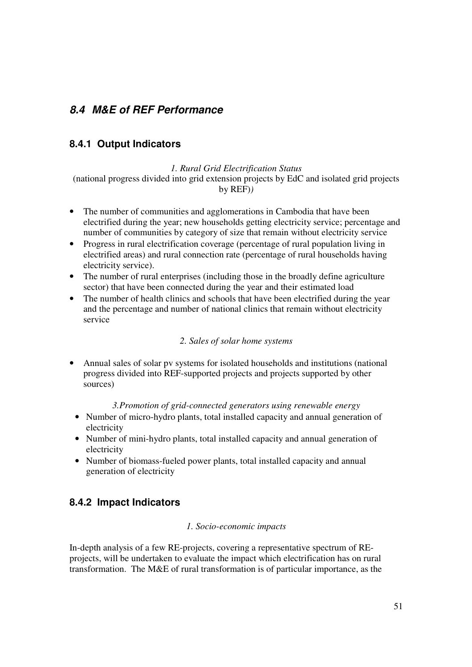## **8.4 M&E of REF Performance**

#### **8.4.1 Output Indicators**

*1. Rural Grid Electrification Status*  (national progress divided into grid extension projects by EdC and isolated grid projects by REF)*)* 

- The number of communities and agglomerations in Cambodia that have been electrified during the year; new households getting electricity service; percentage and number of communities by category of size that remain without electricity service
- Progress in rural electrification coverage (percentage of rural population living in electrified areas) and rural connection rate (percentage of rural households having electricity service).
- The number of rural enterprises (including those in the broadly define agriculture sector) that have been connected during the year and their estimated load
- The number of health clinics and schools that have been electrified during the year and the percentage and number of national clinics that remain without electricity service

#### *2. Sales of solar home systems*

• Annual sales of solar pv systems for isolated households and institutions (national progress divided into REF-supported projects and projects supported by other sources)

#### *3.Promotion of grid-connected generators using renewable energy*

- Number of micro-hydro plants, total installed capacity and annual generation of electricity
- Number of mini-hydro plants, total installed capacity and annual generation of electricity
- Number of biomass-fueled power plants, total installed capacity and annual generation of electricity

### **8.4.2 Impact Indicators**

#### *1. Socio-economic impacts*

In-depth analysis of a few RE-projects, covering a representative spectrum of REprojects, will be undertaken to evaluate the impact which electrification has on rural transformation. The M&E of rural transformation is of particular importance, as the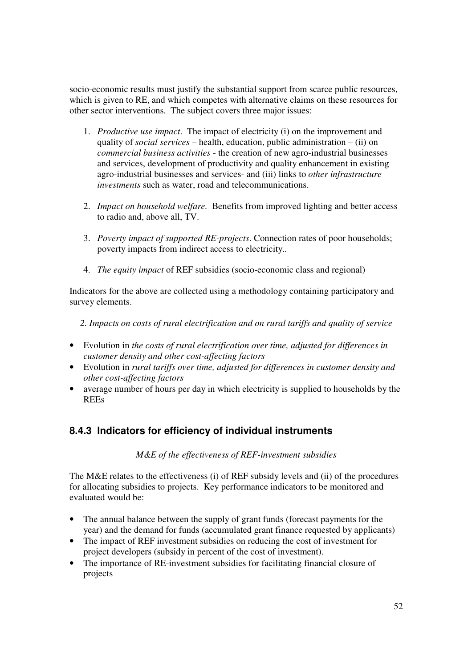socio-economic results must justify the substantial support from scarce public resources, which is given to RE, and which competes with alternative claims on these resources for other sector interventions. The subject covers three major issues:

- 1. *Productive use impact*. The impact of electricity (i) on the improvement and quality of *social services* – health, education, public administration – (ii) on *commercial business activities* - the creation of new agro-industrial businesses and services, development of productivity and quality enhancement in existing agro-industrial businesses and services- and (iii) links to *other infrastructure investments* such as water, road and telecommunications.
- 2. *Impact on household welfare.* Benefits from improved lighting and better access to radio and, above all, TV.
- 3. *Poverty impact of supported RE-projects*. Connection rates of poor households; poverty impacts from indirect access to electricity.*.*
- 4. *The equity impact* of REF subsidies (socio-economic class and regional)

Indicators for the above are collected using a methodology containing participatory and survey elements.

*2. Impacts on costs of rural electrification and on rural tariffs and quality of service* 

- Evolution in *the costs of rural electrification over time, adjusted for differences in customer density and other cost-affecting factors*
- Evolution in *rural tariffs over time, adjusted for differences in customer density and other cost-affecting factors*
- average number of hours per day in which electricity is supplied to households by the REEs

### **8.4.3 Indicators for efficiency of individual instruments**

#### *M&E of the effectiveness of REF-investment subsidies*

The M&E relates to the effectiveness (i) of REF subsidy levels and (ii) of the procedures for allocating subsidies to projects. Key performance indicators to be monitored and evaluated would be:

- The annual balance between the supply of grant funds (forecast payments for the year) and the demand for funds (accumulated grant finance requested by applicants)
- The impact of REF investment subsidies on reducing the cost of investment for project developers (subsidy in percent of the cost of investment).
- The importance of RE-investment subsidies for facilitating financial closure of projects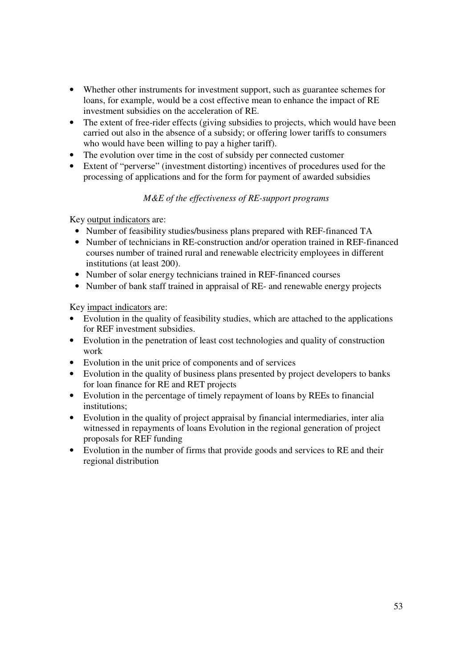- Whether other instruments for investment support, such as guarantee schemes for loans, for example, would be a cost effective mean to enhance the impact of RE investment subsidies on the acceleration of RE.
- The extent of free-rider effects (giving subsidies to projects, which would have been carried out also in the absence of a subsidy; or offering lower tariffs to consumers who would have been willing to pay a higher tariff).
- The evolution over time in the cost of subsidy per connected customer
- Extent of "perverse" (investment distorting) incentives of procedures used for the processing of applications and for the form for payment of awarded subsidies

#### *M&E of the effectiveness of RE-support programs*

Key output indicators are:

- Number of feasibility studies/business plans prepared with REF-financed TA
- Number of technicians in RE-construction and/or operation trained in REF-financed courses number of trained rural and renewable electricity employees in different institutions (at least 200).
- Number of solar energy technicians trained in REF-financed courses
- Number of bank staff trained in appraisal of RE- and renewable energy projects

Key impact indicators are:

- Evolution in the quality of feasibility studies, which are attached to the applications for REF investment subsidies.
- Evolution in the penetration of least cost technologies and quality of construction work
- Evolution in the unit price of components and of services
- Evolution in the quality of business plans presented by project developers to banks for loan finance for RE and RET projects
- Evolution in the percentage of timely repayment of loans by REEs to financial institutions;
- Evolution in the quality of project appraisal by financial intermediaries, inter alia witnessed in repayments of loans Evolution in the regional generation of project proposals for REF funding
- Evolution in the number of firms that provide goods and services to RE and their regional distribution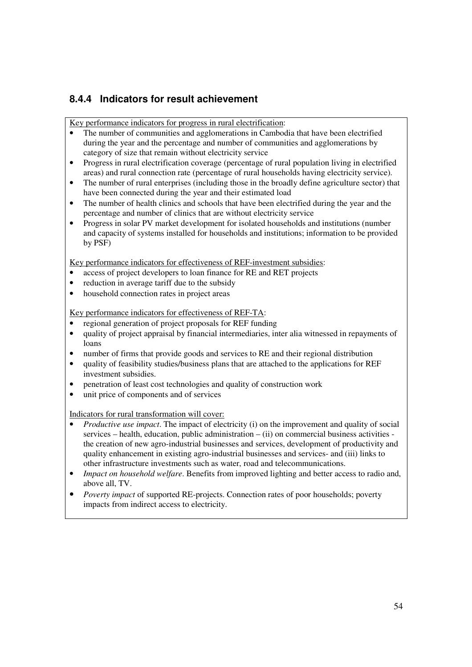## **8.4.4 Indicators for result achievement**

Key performance indicators for progress in rural electrification:

- The number of communities and agglomerations in Cambodia that have been electrified during the year and the percentage and number of communities and agglomerations by category of size that remain without electricity service
- Progress in rural electrification coverage (percentage of rural population living in electrified areas) and rural connection rate (percentage of rural households having electricity service).
- The number of rural enterprises (including those in the broadly define agriculture sector) that have been connected during the year and their estimated load
- The number of health clinics and schools that have been electrified during the year and the percentage and number of clinics that are without electricity service
- Progress in solar PV market development for isolated households and institutions (number and capacity of systems installed for households and institutions; information to be provided by PSF)

Key performance indicators for effectiveness of REF-investment subsidies:

- access of project developers to loan finance for RE and RET projects
- reduction in average tariff due to the subsidy
- household connection rates in project areas

Key performance indicators for effectiveness of REF-TA:

- regional generation of project proposals for REF funding
- quality of project appraisal by financial intermediaries, inter alia witnessed in repayments of loans
- number of firms that provide goods and services to RE and their regional distribution
- quality of feasibility studies/business plans that are attached to the applications for REF investment subsidies.
- penetration of least cost technologies and quality of construction work
- unit price of components and of services

Indicators for rural transformation will cover:

- *Productive use impact*. The impact of electricity (i) on the improvement and quality of social services – health, education, public administration –  $(ii)$  on commercial business activities the creation of new agro-industrial businesses and services, development of productivity and quality enhancement in existing agro-industrial businesses and services- and (iii) links to other infrastructure investments such as water, road and telecommunications.
- *Impact on household welfare*. Benefits from improved lighting and better access to radio and, above all, TV.
- *Poverty impact* of supported RE-projects. Connection rates of poor households; poverty impacts from indirect access to electricity.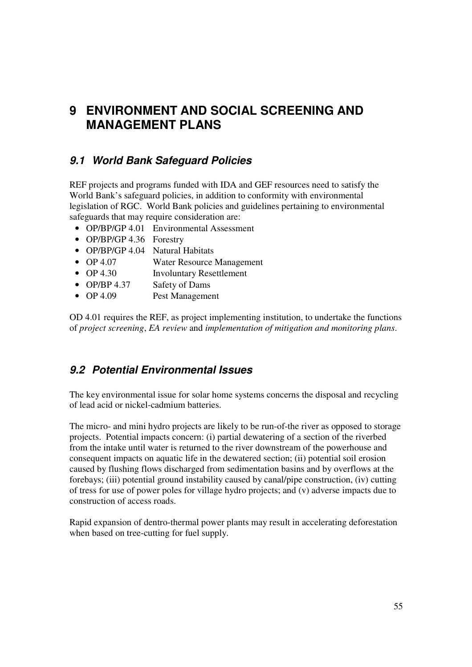## **9 ENVIRONMENT AND SOCIAL SCREENING AND MANAGEMENT PLANS**

## **9.1 World Bank Safeguard Policies**

REF projects and programs funded with IDA and GEF resources need to satisfy the World Bank's safeguard policies, in addition to conformity with environmental legislation of RGC. World Bank policies and guidelines pertaining to environmental safeguards that may require consideration are:

- OP/BP/GP 4.01 Environmental Assessment
- OP/BP/GP 4.36 Forestry
- OP/BP/GP 4.04 Natural Habitats
- OP 4.07 Water Resource Management
- OP 4.30 Involuntary Resettlement
- OP/BP 4.37 Safety of Dams
- OP 4.09 Pest Management

OD 4.01 requires the REF, as project implementing institution, to undertake the functions of *project screening*, *EA review* and *implementation of mitigation and monitoring plans*.

### **9.2 Potential Environmental Issues**

The key environmental issue for solar home systems concerns the disposal and recycling of lead acid or nickel-cadmium batteries.

The micro- and mini hydro projects are likely to be run-of-the river as opposed to storage projects. Potential impacts concern: (i) partial dewatering of a section of the riverbed from the intake until water is returned to the river downstream of the powerhouse and consequent impacts on aquatic life in the dewatered section; (ii) potential soil erosion caused by flushing flows discharged from sedimentation basins and by overflows at the forebays; (iii) potential ground instability caused by canal/pipe construction, (iv) cutting of tress for use of power poles for village hydro projects; and (v) adverse impacts due to construction of access roads.

Rapid expansion of dentro-thermal power plants may result in accelerating deforestation when based on tree-cutting for fuel supply.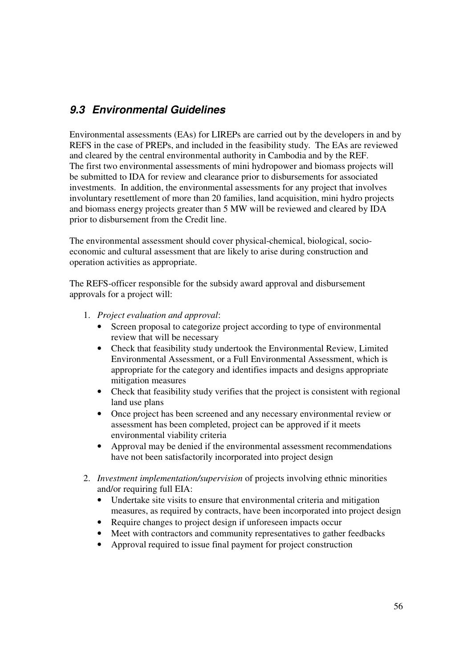## **9.3 Environmental Guidelines**

Environmental assessments (EAs) for LIREPs are carried out by the developers in and by REFS in the case of PREPs, and included in the feasibility study. The EAs are reviewed and cleared by the central environmental authority in Cambodia and by the REF. The first two environmental assessments of mini hydropower and biomass projects will be submitted to IDA for review and clearance prior to disbursements for associated investments. In addition, the environmental assessments for any project that involves involuntary resettlement of more than 20 families, land acquisition, mini hydro projects and biomass energy projects greater than 5 MW will be reviewed and cleared by IDA prior to disbursement from the Credit line.

The environmental assessment should cover physical-chemical, biological, socioeconomic and cultural assessment that are likely to arise during construction and operation activities as appropriate.

The REFS-officer responsible for the subsidy award approval and disbursement approvals for a project will:

- 1. *Project evaluation and approval*:
	- Screen proposal to categorize project according to type of environmental review that will be necessary
	- Check that feasibility study undertook the Environmental Review, Limited Environmental Assessment, or a Full Environmental Assessment, which is appropriate for the category and identifies impacts and designs appropriate mitigation measures
	- Check that feasibility study verifies that the project is consistent with regional land use plans
	- Once project has been screened and any necessary environmental review or assessment has been completed, project can be approved if it meets environmental viability criteria
	- Approval may be denied if the environmental assessment recommendations have not been satisfactorily incorporated into project design
- 2. *Investment implementation/supervision* of projects involving ethnic minorities and/or requiring full EIA:
	- Undertake site visits to ensure that environmental criteria and mitigation measures, as required by contracts, have been incorporated into project design
	- Require changes to project design if unforeseen impacts occur
	- Meet with contractors and community representatives to gather feedbacks
	- Approval required to issue final payment for project construction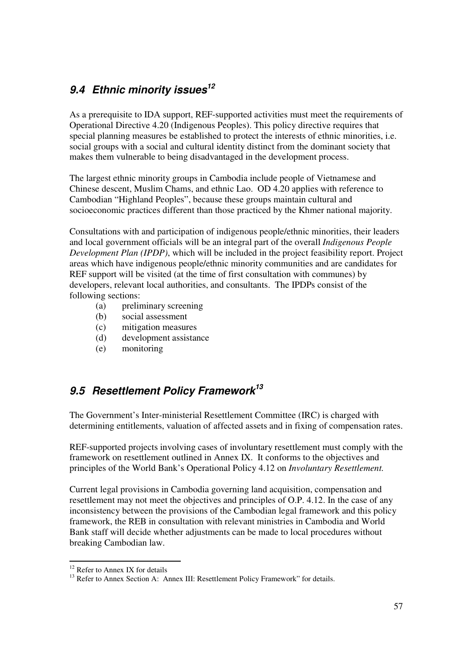## **9.4 Ethnic minority issues<sup>12</sup>**

As a prerequisite to IDA support, REF-supported activities must meet the requirements of Operational Directive 4.20 (Indigenous Peoples). This policy directive requires that special planning measures be established to protect the interests of ethnic minorities, i.e. social groups with a social and cultural identity distinct from the dominant society that makes them vulnerable to being disadvantaged in the development process.

The largest ethnic minority groups in Cambodia include people of Vietnamese and Chinese descent, Muslim Chams, and ethnic Lao. OD 4.20 applies with reference to Cambodian "Highland Peoples", because these groups maintain cultural and socioeconomic practices different than those practiced by the Khmer national majority.

Consultations with and participation of indigenous people/ethnic minorities, their leaders and local government officials will be an integral part of the overall *Indigenous People Development Plan (IPDP)*, which will be included in the project feasibility report. Project areas which have indigenous people/ethnic minority communities and are candidates for REF support will be visited (at the time of first consultation with communes) by developers, relevant local authorities, and consultants. The IPDPs consist of the following sections:

- (a) preliminary screening
- (b) social assessment
- (c) mitigation measures
- (d) development assistance
- (e) monitoring

## **9.5 Resettlement Policy Framework<sup>13</sup>**

The Government's Inter-ministerial Resettlement Committee (IRC) is charged with determining entitlements, valuation of affected assets and in fixing of compensation rates.

REF-supported projects involving cases of involuntary resettlement must comply with the framework on resettlement outlined in Annex IX. It conforms to the objectives and principles of the World Bank's Operational Policy 4.12 on *Involuntary Resettlement.*

Current legal provisions in Cambodia governing land acquisition, compensation and resettlement may not meet the objectives and principles of O.P. 4.12. In the case of any inconsistency between the provisions of the Cambodian legal framework and this policy framework, the REB in consultation with relevant ministries in Cambodia and World Bank staff will decide whether adjustments can be made to local procedures without breaking Cambodian law.

<sup>-</sup> $12$  Refer to Annex IX for details

<sup>&</sup>lt;sup>13</sup> Refer to Annex Section A: Annex III: Resettlement Policy Framework" for details.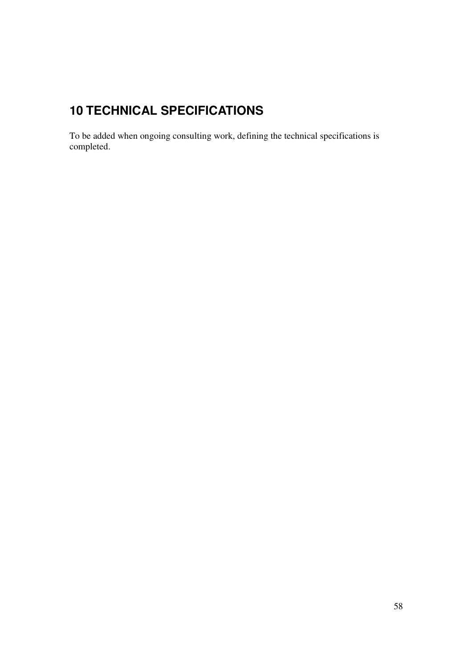# **10 TECHNICAL SPECIFICATIONS**

To be added when ongoing consulting work, defining the technical specifications is completed.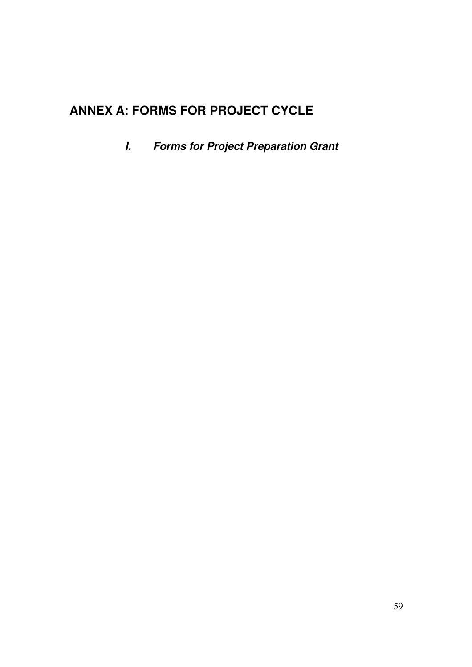# **ANNEX A: FORMS FOR PROJECT CYCLE**

**I. Forms for Project Preparation Grant**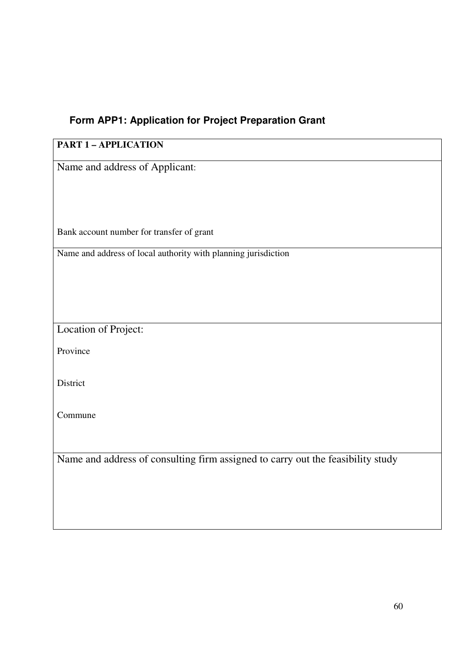## **Form APP1: Application for Project Preparation Grant**

## **PART 1 – APPLICATION**

Name and address of Applicant:

Bank account number for transfer of grant

Name and address of local authority with planning jurisdiction

Location of Project:

Province

**District** 

Commune

Name and address of consulting firm assigned to carry out the feasibility study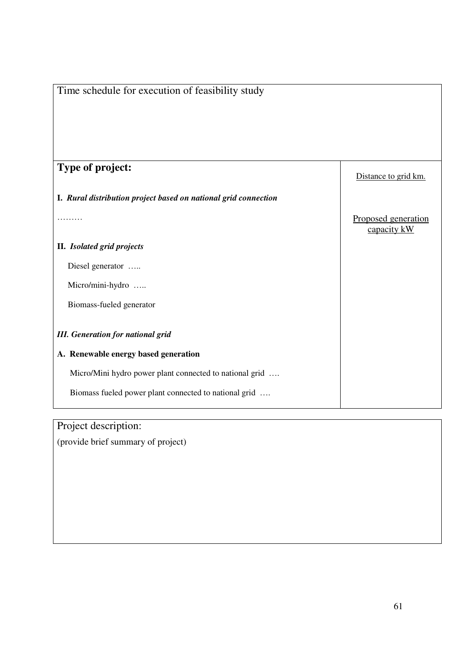| Time schedule for execution of feasibility study                |                                    |
|-----------------------------------------------------------------|------------------------------------|
|                                                                 |                                    |
| Type of project:                                                | Distance to grid km.               |
| I. Rural distribution project based on national grid connection |                                    |
|                                                                 | Proposed generation<br>capacity kW |
| II. Isolated grid projects                                      |                                    |
| Diesel generator                                                |                                    |
| Micro/mini-hydro                                                |                                    |
| Biomass-fueled generator                                        |                                    |
| <b>III.</b> Generation for national grid                        |                                    |
| A. Renewable energy based generation                            |                                    |
| Micro/Mini hydro power plant connected to national grid         |                                    |
| Biomass fueled power plant connected to national grid           |                                    |

Project description:

(provide brief summary of project)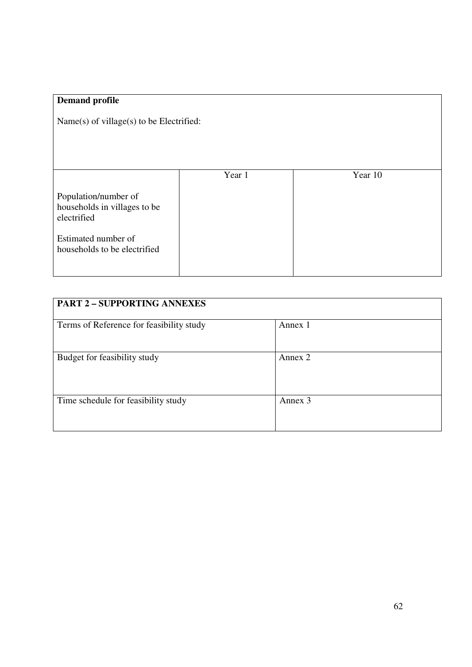| Name $(s)$ of village $(s)$ to be Electrified:                                                                                       |         |
|--------------------------------------------------------------------------------------------------------------------------------------|---------|
|                                                                                                                                      |         |
| Year 1<br>Population/number of<br>households in villages to be<br>electrified<br>Estimated number of<br>households to be electrified | Year 10 |

| <b>PART 2 - SUPPORTING ANNEXES</b>       |         |  |
|------------------------------------------|---------|--|
| Terms of Reference for feasibility study | Annex 1 |  |
|                                          |         |  |
| Budget for feasibility study             | Annex 2 |  |
|                                          |         |  |
|                                          |         |  |
| Time schedule for feasibility study      | Annex 3 |  |
|                                          |         |  |
|                                          |         |  |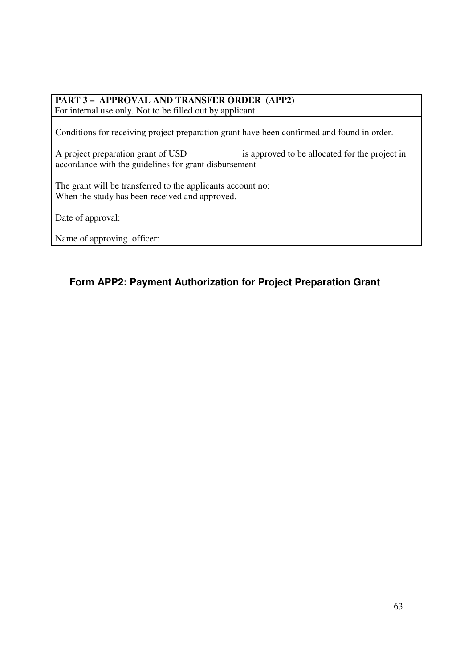## **PART 3 – APPROVAL AND TRANSFER ORDER (APP2)**

For internal use only. Not to be filled out by applicant

Conditions for receiving project preparation grant have been confirmed and found in order.

A project preparation grant of USD is approved to be allocated for the project in accordance with the guidelines for grant disbursement

The grant will be transferred to the applicants account no: When the study has been received and approved.

Date of approval:

Name of approving officer:

### **Form APP2: Payment Authorization for Project Preparation Grant**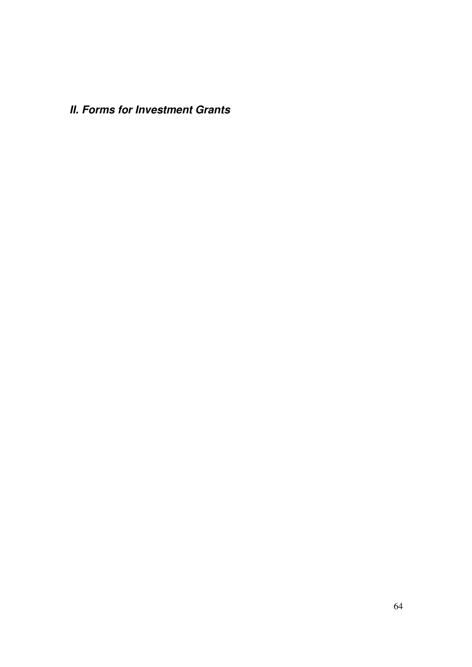**II. Forms for Investment Grants**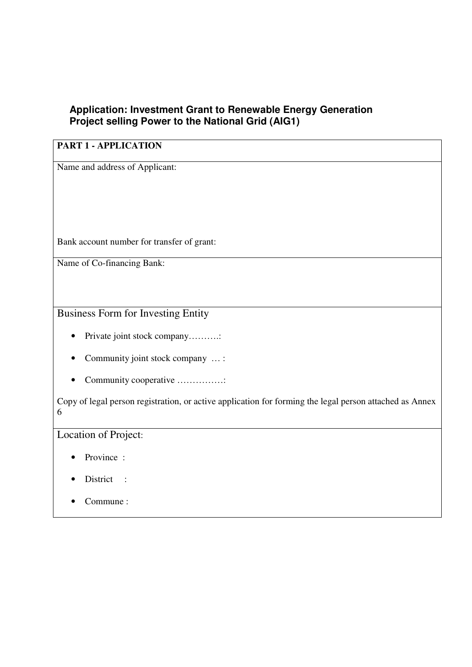## **Application: Investment Grant to Renewable Energy Generation Project selling Power to the National Grid (AIG1)**

## **PART 1 - APPLICATION**

Name and address of Applicant:

Bank account number for transfer of grant:

Name of Co-financing Bank:

Business Form for Investing Entity

- Private joint stock company……….:
- Community joint stock company ... :
- Community cooperative ……………:

Copy of legal person registration, or active application for forming the legal person attached as Annex 6

Location of Project:

- Province :
- District :
- Commune :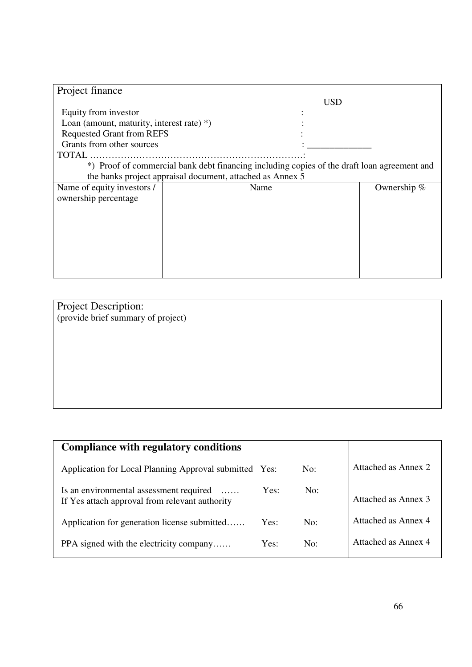| Project finance                                           |                                                                                             |     |             |
|-----------------------------------------------------------|---------------------------------------------------------------------------------------------|-----|-------------|
|                                                           |                                                                                             | USD |             |
| Equity from investor                                      |                                                                                             |     |             |
| Loan (amount, maturity, interest rate) $*$ )              |                                                                                             |     |             |
| <b>Requested Grant from REFS</b>                          |                                                                                             |     |             |
| Grants from other sources                                 |                                                                                             |     |             |
| TOTAL                                                     |                                                                                             |     |             |
|                                                           | *) Proof of commercial bank debt financing including copies of the draft loan agreement and |     |             |
| the banks project appraisal document, attached as Annex 5 |                                                                                             |     |             |
| Name of equity investors /                                | Name                                                                                        |     | Ownership % |
| ownership percentage                                      |                                                                                             |     |             |
|                                                           |                                                                                             |     |             |
|                                                           |                                                                                             |     |             |
|                                                           |                                                                                             |     |             |
|                                                           |                                                                                             |     |             |
|                                                           |                                                                                             |     |             |
|                                                           |                                                                                             |     |             |
|                                                           |                                                                                             |     |             |

Project Description: (provide brief summary of project)

| <b>Compliance with regulatory conditions</b>                                                          |      |     |                     |
|-------------------------------------------------------------------------------------------------------|------|-----|---------------------|
| Application for Local Planning Approval submitted Yes:                                                |      | No: | Attached as Annex 2 |
| Is an environmental assessment required<br>$\cdots$<br>If Yes attach approval from relevant authority | Yes: | No: | Attached as Annex 3 |
| Application for generation license submitted                                                          | Yes: | No: | Attached as Annex 4 |
| PPA signed with the electricity company                                                               | Yes: | No: | Attached as Annex 4 |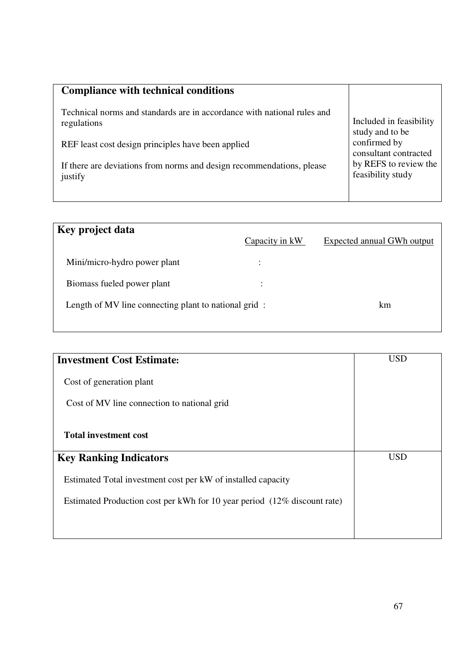| <b>Compliance with technical conditions</b>                                            |                                            |
|----------------------------------------------------------------------------------------|--------------------------------------------|
| Technical norms and standards are in accordance with national rules and<br>regulations | Included in feasibility<br>study and to be |
| REF least cost design principles have been applied                                     | confirmed by<br>consultant contracted      |
| If there are deviations from norms and design recommendations, please<br>justify       | by REFS to review the<br>feasibility study |
|                                                                                        |                                            |

| Key project data                                     | Capacity in kW | Expected annual GWh output |
|------------------------------------------------------|----------------|----------------------------|
| Mini/micro-hydro power plant                         |                |                            |
| Biomass fueled power plant                           | $\ddot{\cdot}$ |                            |
| Length of MV line connecting plant to national grid: |                | km                         |
|                                                      |                |                            |

| <b>Investment Cost Estimate:</b>                                         | <b>USD</b> |
|--------------------------------------------------------------------------|------------|
| Cost of generation plant                                                 |            |
| Cost of MV line connection to national grid                              |            |
| <b>Total investment cost</b>                                             |            |
| <b>Key Ranking Indicators</b>                                            | <b>USD</b> |
| Estimated Total investment cost per kW of installed capacity             |            |
| Estimated Production cost per kWh for 10 year period (12% discount rate) |            |
|                                                                          |            |
|                                                                          |            |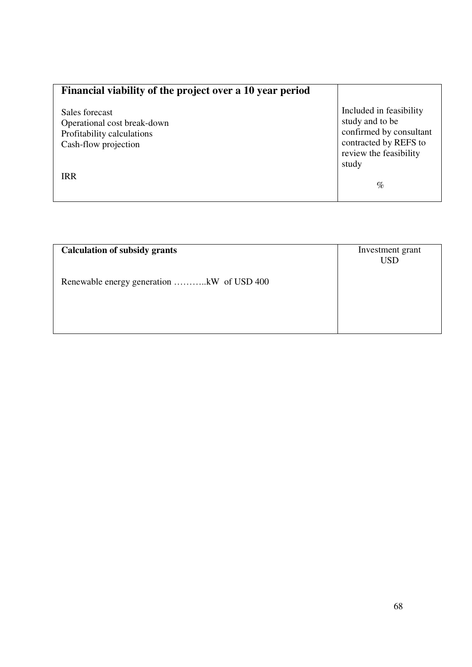| Financial viability of the project over a 10 year period                                            |                                                                                                                                   |
|-----------------------------------------------------------------------------------------------------|-----------------------------------------------------------------------------------------------------------------------------------|
| Sales forecast<br>Operational cost break-down<br>Profitability calculations<br>Cash-flow projection | Included in feasibility<br>study and to be<br>confirmed by consultant<br>contracted by REFS to<br>review the feasibility<br>study |
| <b>IRR</b>                                                                                          | $\%$                                                                                                                              |

| <b>Calculation of subsidy grants</b>      | Investment grant |
|-------------------------------------------|------------------|
|                                           | <b>USD</b>       |
| Renewable energy generation kW of USD 400 |                  |
|                                           |                  |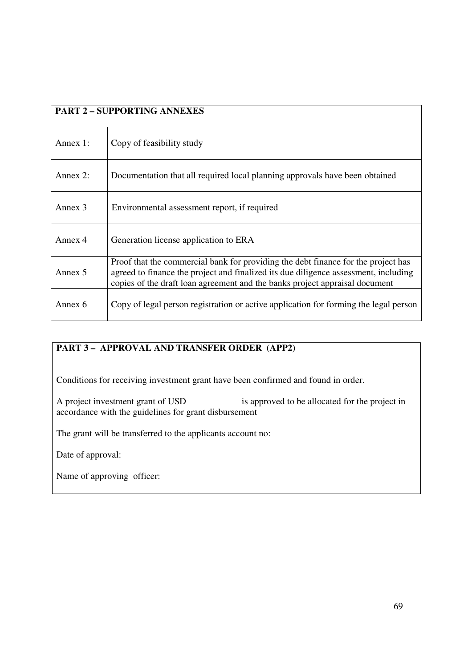| <b>PART 2 - SUPPORTING ANNEXES</b> |                                                                                                                                                                                                                                                         |  |
|------------------------------------|---------------------------------------------------------------------------------------------------------------------------------------------------------------------------------------------------------------------------------------------------------|--|
| Annex $1$ :                        | Copy of feasibility study                                                                                                                                                                                                                               |  |
| Annex $2$ :                        | Documentation that all required local planning approvals have been obtained                                                                                                                                                                             |  |
| Annex 3                            | Environmental assessment report, if required                                                                                                                                                                                                            |  |
| Annex 4                            | Generation license application to ERA                                                                                                                                                                                                                   |  |
| Annex 5                            | Proof that the commercial bank for providing the debt finance for the project has<br>agreed to finance the project and finalized its due diligence assessment, including<br>copies of the draft loan agreement and the banks project appraisal document |  |
| Annex 6                            | Copy of legal person registration or active application for forming the legal person                                                                                                                                                                    |  |

### **PART 3 – APPROVAL AND TRANSFER ORDER (APP2)**

Conditions for receiving investment grant have been confirmed and found in order.

A project investment grant of USD is approved to be allocated for the project in accordance with the guidelines for grant disbursement

The grant will be transferred to the applicants account no:

Date of approval:

Name of approving officer: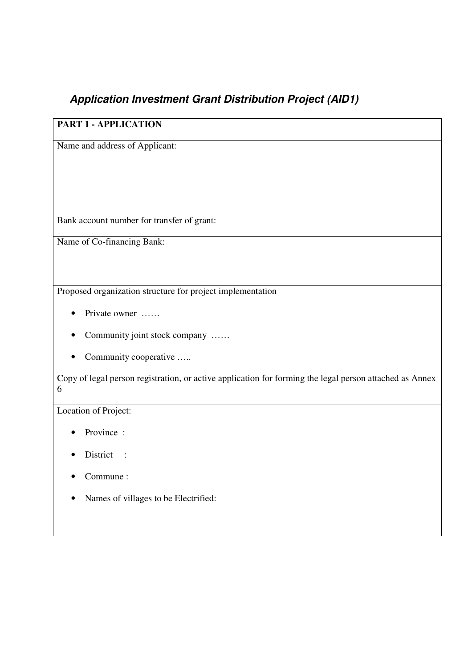## **Application Investment Grant Distribution Project (AID1)**

## **PART 1 - APPLICATION**

Name and address of Applicant:

Bank account number for transfer of grant:

Name of Co-financing Bank:

Proposed organization structure for project implementation

- Private owner ……
- Community joint stock company ……
- Community cooperative .....

Copy of legal person registration, or active application for forming the legal person attached as Annex 6

Location of Project:

- Province :
- District :
- Commune :
- Names of villages to be Electrified: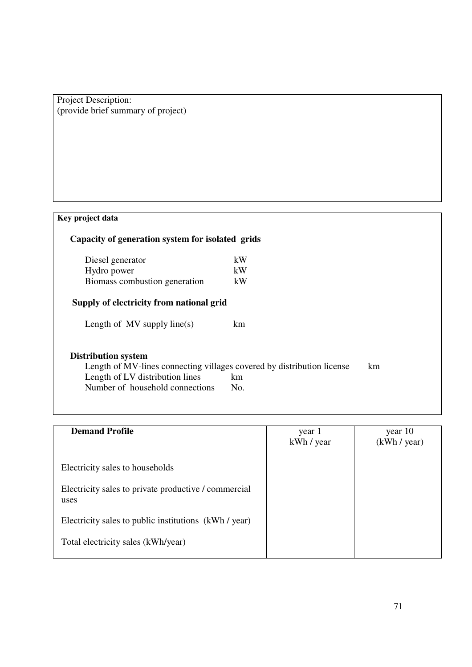Project Description: (provide brief summary of project)

| Key project data                                                                                                                                                           |           |    |
|----------------------------------------------------------------------------------------------------------------------------------------------------------------------------|-----------|----|
| Capacity of generation system for isolated grids                                                                                                                           |           |    |
| Diesel generator                                                                                                                                                           | kW        |    |
| Hydro power                                                                                                                                                                | kW        |    |
| Biomass combustion generation                                                                                                                                              | kW        |    |
| Supply of electricity from national grid                                                                                                                                   |           |    |
| Length of $MV$ supply line(s)                                                                                                                                              | km        |    |
| <b>Distribution system</b><br>Length of MV-lines connecting villages covered by distribution license<br>Length of LV distribution lines<br>Number of household connections | km<br>No. | km |

| <b>Demand Profile</b>                                        | year 1<br>kWh / year | year 10<br>(kWh / year) |
|--------------------------------------------------------------|----------------------|-------------------------|
| Electricity sales to households                              |                      |                         |
| Electricity sales to private productive / commercial<br>uses |                      |                         |
| Electricity sales to public institutions (kWh / year)        |                      |                         |
| Total electricity sales (kWh/year)                           |                      |                         |
|                                                              |                      |                         |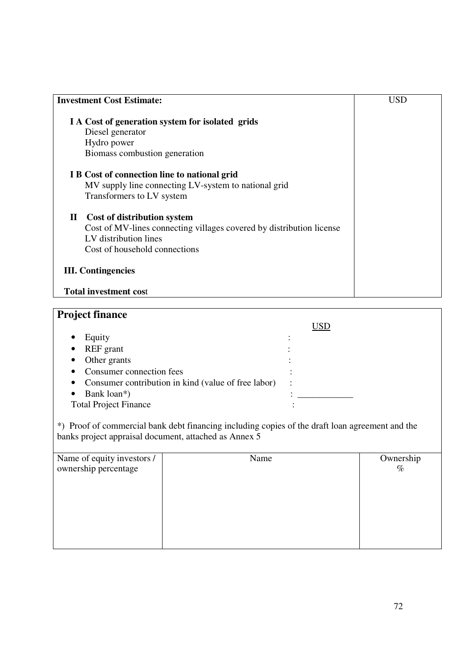| <b>Investment Cost Estimate:</b>                                     | USD |
|----------------------------------------------------------------------|-----|
| I A Cost of generation system for isolated grids                     |     |
| Diesel generator                                                     |     |
| Hydro power                                                          |     |
| Biomass combustion generation                                        |     |
| I B Cost of connection line to national grid                         |     |
| MV supply line connecting LV-system to national grid                 |     |
| Transformers to LV system                                            |     |
| <b>Cost of distribution system</b><br>$\mathbf{I}$                   |     |
| Cost of MV-lines connecting villages covered by distribution license |     |
| LV distribution lines                                                |     |
| Cost of household connections                                        |     |
| <b>III.</b> Contingencies                                            |     |
|                                                                      |     |
| <b>Total investment cost</b>                                         |     |

#### **Project finance** USD • Equity : • REF grant : • Other grants : • Consumer connection fees : • Consumer contribution in kind (value of free labor) : • Bank loan\*) :<br>Total Project Finance : Total Project Finance

\*) Proof of commercial bank debt financing including copies of the draft loan agreement and the banks project appraisal document, attached as Annex 5

| Name of equity investors /<br>ownership percentage | Name | Ownership<br>$\%$ |
|----------------------------------------------------|------|-------------------|
|                                                    |      |                   |
|                                                    |      |                   |
|                                                    |      |                   |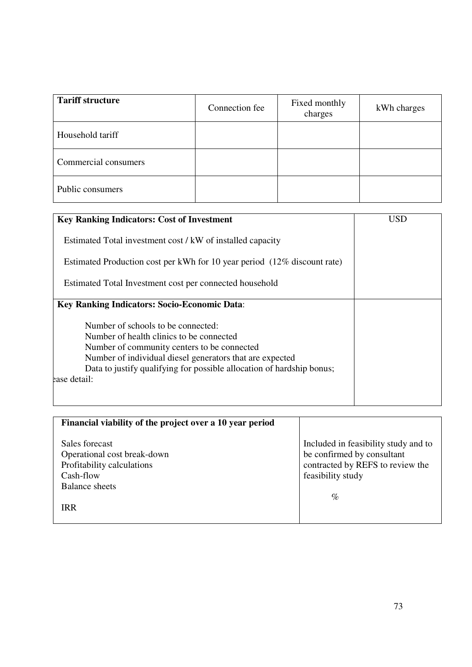| <b>Tariff structure</b> | Connection fee | Fixed monthly<br>charges | kWh charges |
|-------------------------|----------------|--------------------------|-------------|
| Household tariff        |                |                          |             |
| Commercial consumers    |                |                          |             |
| Public consumers        |                |                          |             |

| <b>Key Ranking Indicators: Cost of Investment</b>                                                                                                                                                                                                                                  | <b>USD</b> |
|------------------------------------------------------------------------------------------------------------------------------------------------------------------------------------------------------------------------------------------------------------------------------------|------------|
| Estimated Total investment cost / kW of installed capacity                                                                                                                                                                                                                         |            |
| Estimated Production cost per kWh for 10 year period (12% discount rate)                                                                                                                                                                                                           |            |
| Estimated Total Investment cost per connected household                                                                                                                                                                                                                            |            |
| <b>Key Ranking Indicators: Socio-Economic Data:</b>                                                                                                                                                                                                                                |            |
| Number of schools to be connected:<br>Number of health clinics to be connected<br>Number of community centers to be connected<br>Number of individual diesel generators that are expected<br>Data to justify qualifying for possible allocation of hardship bonus;<br>ease detail: |            |

| Financial viability of the project over a 10 year period                                 |                                                                                                                             |
|------------------------------------------------------------------------------------------|-----------------------------------------------------------------------------------------------------------------------------|
| Sales forecast<br>Operational cost break-down<br>Profitability calculations<br>Cash-flow | Included in feasibility study and to<br>be confirmed by consultant<br>contracted by REFS to review the<br>feasibility study |
| <b>Balance sheets</b>                                                                    | $\%$                                                                                                                        |
| <b>IRR</b>                                                                               |                                                                                                                             |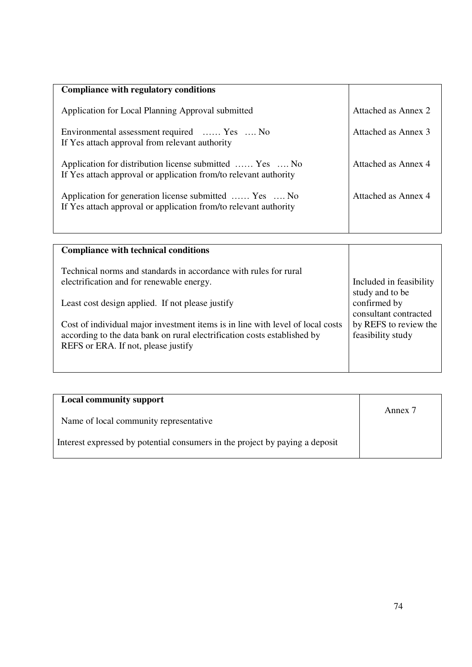| Attached as Annex 2 |
|---------------------|
| Attached as Annex 3 |
| Attached as Annex 4 |
| Attached as Annex 4 |
|                     |

| <b>Compliance with technical conditions</b>                                    |                         |
|--------------------------------------------------------------------------------|-------------------------|
| Technical norms and standards in accordance with rules for rural               | Included in feasibility |
| electrification and for renewable energy.                                      | study and to be         |
| Least cost design applied. If not please justify                               | confirmed by            |
| Cost of individual major investment items is in line with level of local costs | consultant contracted   |
| according to the data bank on rural electrification costs established by       | by REFS to review the   |
| REFS or ERA. If not, please justify                                            | feasibility study       |

| <b>Local community support</b>                                               | Annex 7 |
|------------------------------------------------------------------------------|---------|
| Name of local community representative                                       |         |
| Interest expressed by potential consumers in the project by paying a deposit |         |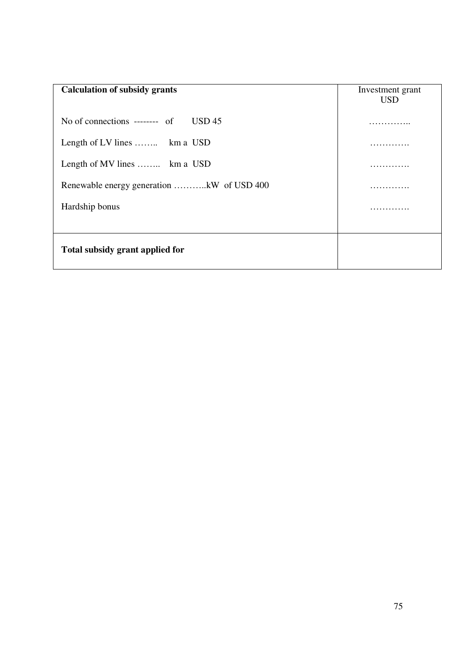| <b>Calculation of subsidy grants</b>           | Investment grant<br><b>USD</b> |
|------------------------------------------------|--------------------------------|
| No of connections -------- of<br><b>USD 45</b> |                                |
| Length of LV lines  km a USD                   |                                |
| Length of MV lines  km a USD                   |                                |
|                                                |                                |
| Hardship bonus                                 |                                |
|                                                |                                |
| Total subsidy grant applied for                |                                |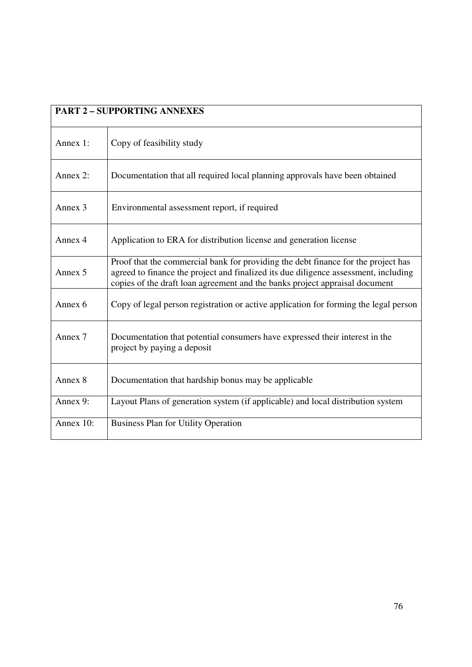| <b>PART 2 - SUPPORTING ANNEXES</b> |                                                                                                                                                                                                                                                         |  |
|------------------------------------|---------------------------------------------------------------------------------------------------------------------------------------------------------------------------------------------------------------------------------------------------------|--|
| Annex 1:                           | Copy of feasibility study                                                                                                                                                                                                                               |  |
| Annex 2:                           | Documentation that all required local planning approvals have been obtained                                                                                                                                                                             |  |
| Annex 3                            | Environmental assessment report, if required                                                                                                                                                                                                            |  |
| Annex 4                            | Application to ERA for distribution license and generation license                                                                                                                                                                                      |  |
| Annex 5                            | Proof that the commercial bank for providing the debt finance for the project has<br>agreed to finance the project and finalized its due diligence assessment, including<br>copies of the draft loan agreement and the banks project appraisal document |  |
| Annex 6                            | Copy of legal person registration or active application for forming the legal person                                                                                                                                                                    |  |
| Annex 7                            | Documentation that potential consumers have expressed their interest in the<br>project by paying a deposit                                                                                                                                              |  |
| Annex 8                            | Documentation that hardship bonus may be applicable                                                                                                                                                                                                     |  |
| Annex 9:                           | Layout Plans of generation system (if applicable) and local distribution system                                                                                                                                                                         |  |
| Annex 10:                          | <b>Business Plan for Utility Operation</b>                                                                                                                                                                                                              |  |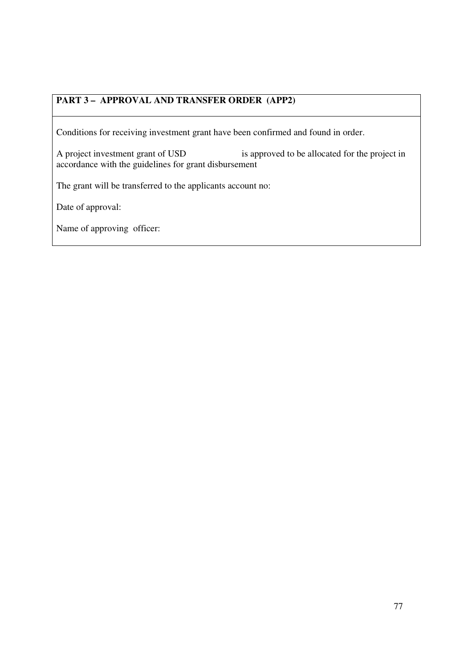## **PART 3 – APPROVAL AND TRANSFER ORDER (APP2)**

Conditions for receiving investment grant have been confirmed and found in order.

A project investment grant of USD is approved to be allocated for the project in accordance with the guidelines for grant disbursement

The grant will be transferred to the applicants account no:

Date of approval:

Name of approving officer: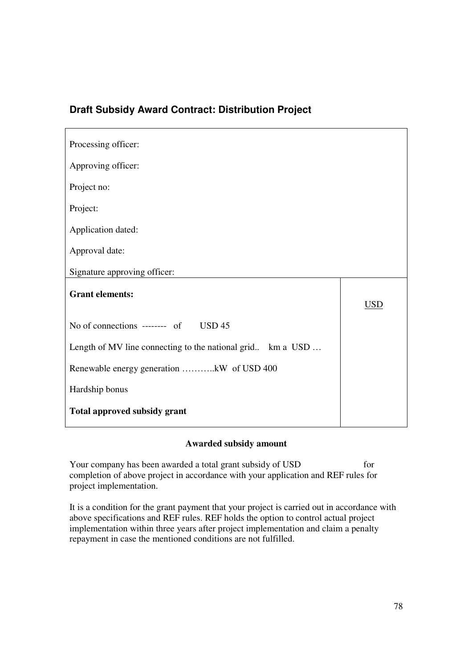## **Draft Subsidy Award Contract: Distribution Project**

| Processing officer:                                        |            |
|------------------------------------------------------------|------------|
| Approving officer:                                         |            |
| Project no:                                                |            |
| Project:                                                   |            |
| Application dated:                                         |            |
| Approval date:                                             |            |
| Signature approving officer:                               |            |
| <b>Grant elements:</b>                                     | <u>USD</u> |
| No of connections -------- of USD 45                       |            |
| Length of MV line connecting to the national grid km a USD |            |
| Renewable energy generation kW of USD 400                  |            |
| Hardship bonus                                             |            |
| <b>Total approved subsidy grant</b>                        |            |

# **Awarded subsidy amount**

Your company has been awarded a total grant subsidy of USD for completion of above project in accordance with your application and REF rules for project implementation.

It is a condition for the grant payment that your project is carried out in accordance with above specifications and REF rules. REF holds the option to control actual project implementation within three years after project implementation and claim a penalty repayment in case the mentioned conditions are not fulfilled.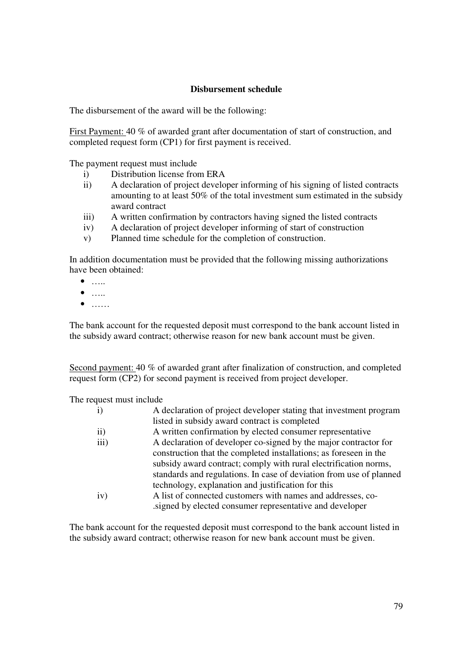## **Disbursement schedule**

The disbursement of the award will be the following:

First Payment: 40 % of awarded grant after documentation of start of construction, and completed request form (CP1) for first payment is received.

The payment request must include

- i) Distribution license from ERA
- ii) A declaration of project developer informing of his signing of listed contracts amounting to at least 50% of the total investment sum estimated in the subsidy award contract
- iii) A written confirmation by contractors having signed the listed contracts
- iv) A declaration of project developer informing of start of construction
- v) Planned time schedule for the completion of construction.

In addition documentation must be provided that the following missing authorizations have been obtained:

- $\bullet$  ……
- $\bullet$   $\dots$
- $\bullet$  ……

The bank account for the requested deposit must correspond to the bank account listed in the subsidy award contract; otherwise reason for new bank account must be given.

Second payment: 40 % of awarded grant after finalization of construction, and completed request form (CP2) for second payment is received from project developer.

The request must include

| $\mathbf{i}$     | A declaration of project developer stating that investment program  |
|------------------|---------------------------------------------------------------------|
|                  | listed in subsidy award contract is completed                       |
| $\mathbf{ii}$    | A written confirmation by elected consumer representative           |
| $\overline{iii}$ | A declaration of developer co-signed by the major contractor for    |
|                  | construction that the completed installations; as foreseen in the   |
|                  | subsidy award contract; comply with rural electrification norms,    |
|                  | standards and regulations. In case of deviation from use of planned |
|                  | technology, explanation and justification for this                  |
| iv)              | A list of connected customers with names and addresses, co-         |
|                  | signed by elected consumer representative and developer             |
|                  |                                                                     |

The bank account for the requested deposit must correspond to the bank account listed in the subsidy award contract; otherwise reason for new bank account must be given.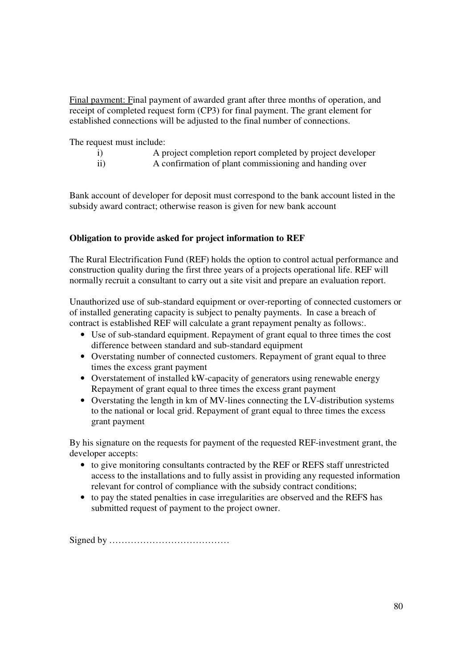Final payment: Final payment of awarded grant after three months of operation, and receipt of completed request form (CP3) for final payment. The grant element for established connections will be adjusted to the final number of connections.

The request must include:

- i) A project completion report completed by project developer
- ii) A confirmation of plant commissioning and handing over

Bank account of developer for deposit must correspond to the bank account listed in the subsidy award contract; otherwise reason is given for new bank account

### **Obligation to provide asked for project information to REF**

The Rural Electrification Fund (REF) holds the option to control actual performance and construction quality during the first three years of a projects operational life. REF will normally recruit a consultant to carry out a site visit and prepare an evaluation report.

Unauthorized use of sub-standard equipment or over-reporting of connected customers or of installed generating capacity is subject to penalty payments. In case a breach of contract is established REF will calculate a grant repayment penalty as follows:.

- Use of sub-standard equipment. Repayment of grant equal to three times the cost difference between standard and sub-standard equipment
- Overstating number of connected customers. Repayment of grant equal to three times the excess grant payment
- Overstatement of installed kW-capacity of generators using renewable energy Repayment of grant equal to three times the excess grant payment
- Overstating the length in km of MV-lines connecting the LV-distribution systems to the national or local grid. Repayment of grant equal to three times the excess grant payment

By his signature on the requests for payment of the requested REF-investment grant, the developer accepts:

- to give monitoring consultants contracted by the REF or REFS staff unrestricted access to the installations and to fully assist in providing any requested information relevant for control of compliance with the subsidy contract conditions;
- to pay the stated penalties in case irregularities are observed and the REFS has submitted request of payment to the project owner.

Signed by …………………………………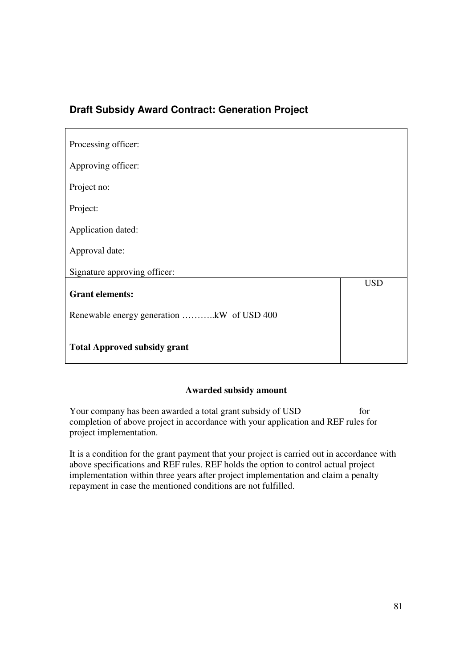## **Draft Subsidy Award Contract: Generation Project**

| Processing officer:                       |            |
|-------------------------------------------|------------|
|                                           |            |
| Approving officer:                        |            |
| Project no:                               |            |
|                                           |            |
| Project:                                  |            |
|                                           |            |
| Application dated:                        |            |
| Approval date:                            |            |
|                                           |            |
| Signature approving officer:              |            |
|                                           | <b>USD</b> |
| <b>Grant elements:</b>                    |            |
|                                           |            |
| Renewable energy generation kW of USD 400 |            |
|                                           |            |
| <b>Total Approved subsidy grant</b>       |            |
|                                           |            |

## **Awarded subsidy amount**

Your company has been awarded a total grant subsidy of USD for completion of above project in accordance with your application and REF rules for project implementation.

It is a condition for the grant payment that your project is carried out in accordance with above specifications and REF rules. REF holds the option to control actual project implementation within three years after project implementation and claim a penalty repayment in case the mentioned conditions are not fulfilled.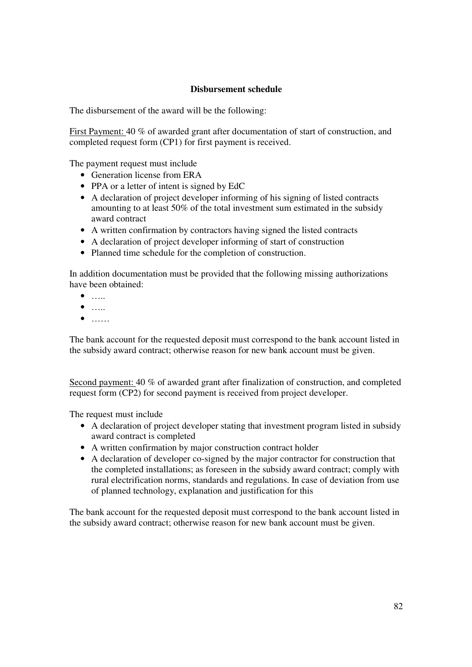## **Disbursement schedule**

The disbursement of the award will be the following:

First Payment: 40 % of awarded grant after documentation of start of construction, and completed request form (CP1) for first payment is received.

The payment request must include

- Generation license from ERA
- PPA or a letter of intent is signed by EdC
- A declaration of project developer informing of his signing of listed contracts amounting to at least 50% of the total investment sum estimated in the subsidy award contract
- A written confirmation by contractors having signed the listed contracts
- A declaration of project developer informing of start of construction
- Planned time schedule for the completion of construction.

In addition documentation must be provided that the following missing authorizations have been obtained:

- $\bullet$  ……
- $\bullet$  ……
- $\bullet$  ……

The bank account for the requested deposit must correspond to the bank account listed in the subsidy award contract; otherwise reason for new bank account must be given.

Second payment: 40 % of awarded grant after finalization of construction, and completed request form (CP2) for second payment is received from project developer.

The request must include

- A declaration of project developer stating that investment program listed in subsidy award contract is completed
- A written confirmation by major construction contract holder
- A declaration of developer co-signed by the major contractor for construction that the completed installations; as foreseen in the subsidy award contract; comply with rural electrification norms, standards and regulations. In case of deviation from use of planned technology, explanation and justification for this

The bank account for the requested deposit must correspond to the bank account listed in the subsidy award contract; otherwise reason for new bank account must be given.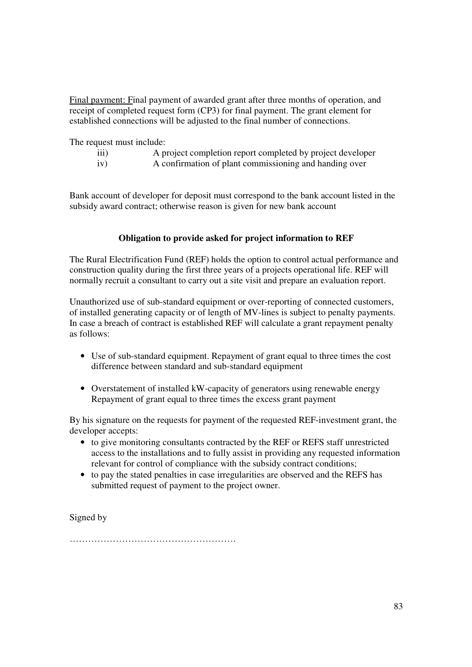Final payment: Final payment of awarded grant after three months of operation, and receipt of completed request form (CP3) for final payment. The grant element for established connections will be adjusted to the final number of connections.

The request must include:

- iii) A project completion report completed by project developer
- iv) A confirmation of plant commissioning and handing over

Bank account of developer for deposit must correspond to the bank account listed in the subsidy award contract; otherwise reason is given for new bank account

#### **Obligation to provide asked for project information to REF**

The Rural Electrification Fund (REF) holds the option to control actual performance and construction quality during the first three years of a projects operational life. REF will normally recruit a consultant to carry out a site visit and prepare an evaluation report.

Unauthorized use of sub-standard equipment or over-reporting of connected customers, of installed generating capacity or of length of MV-lines is subject to penalty payments. In case a breach of contract is established REF will calculate a grant repayment penalty as follows:

- Use of sub-standard equipment. Repayment of grant equal to three times the cost difference between standard and sub-standard equipment
- Overstatement of installed kW-capacity of generators using renewable energy Repayment of grant equal to three times the excess grant payment

By his signature on the requests for payment of the requested REF-investment grant, the developer accepts:

- to give monitoring consultants contracted by the REF or REFS staff unrestricted access to the installations and to fully assist in providing any requested information relevant for control of compliance with the subsidy contract conditions;
- to pay the stated penalties in case irregularities are observed and the REFS has submitted request of payment to the project owner.

Signed by

………………………………………………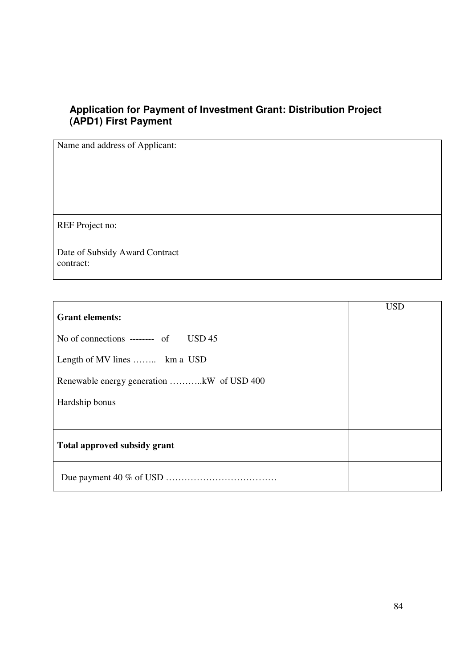## **Application for Payment of Investment Grant: Distribution Project (APD1) First Payment**

| Name and address of Applicant: |  |
|--------------------------------|--|
|                                |  |
|                                |  |
|                                |  |
|                                |  |
|                                |  |
|                                |  |
|                                |  |
|                                |  |
|                                |  |
|                                |  |
|                                |  |
|                                |  |
| REF Project no:                |  |
|                                |  |
|                                |  |
|                                |  |
| Date of Subsidy Award Contract |  |
|                                |  |
| contract:                      |  |
|                                |  |
|                                |  |

|                                           | <b>USD</b> |
|-------------------------------------------|------------|
| <b>Grant elements:</b>                    |            |
| No of connections ------- of USD 45       |            |
| Length of MV lines  km a USD              |            |
| Renewable energy generation kW of USD 400 |            |
| Hardship bonus                            |            |
|                                           |            |
| Total approved subsidy grant              |            |
|                                           |            |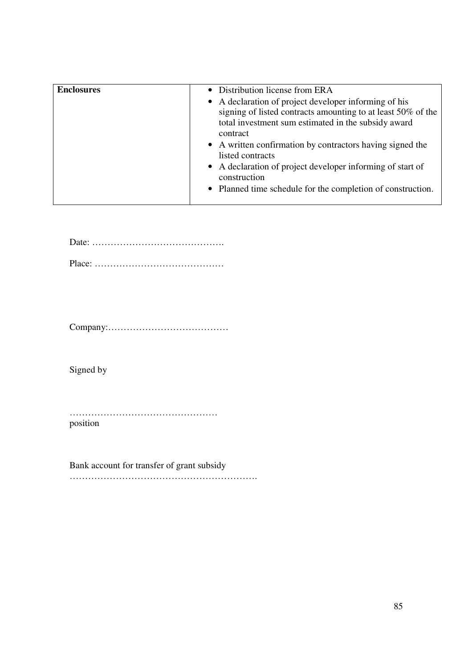| <b>Enclosures</b> | • Distribution license from ERA<br>• A declaration of project developer informing of his<br>signing of listed contracts amounting to at least 50% of the<br>total investment sum estimated in the subsidy award<br>contract<br>• A written confirmation by contractors having signed the<br>listed contracts<br>• A declaration of project developer informing of start of<br>construction |
|-------------------|--------------------------------------------------------------------------------------------------------------------------------------------------------------------------------------------------------------------------------------------------------------------------------------------------------------------------------------------------------------------------------------------|
|                   | • Planned time schedule for the completion of construction.                                                                                                                                                                                                                                                                                                                                |

Date: …………………………………….

Place: ……………………………………

Company:…………………………………

Signed by

………………………………………… position

Bank account for transfer of grant subsidy …………………………………………………….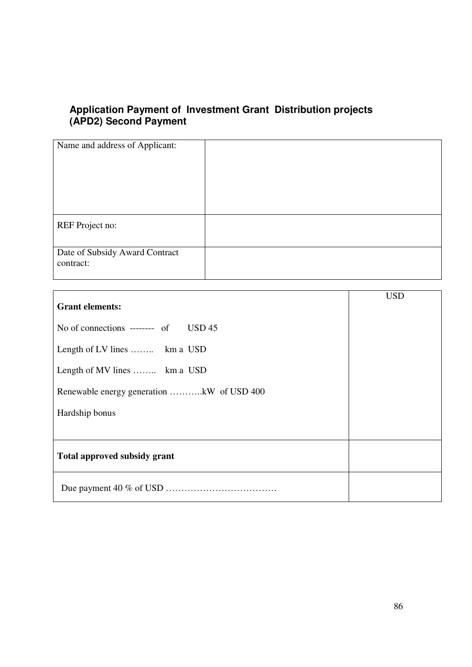## **Application Payment of Investment Grant Distribution projects (APD2) Second Payment**

| Name and address of Applicant:              |  |
|---------------------------------------------|--|
| REF Project no:                             |  |
| Date of Subsidy Award Contract<br>contract: |  |

|                                           | <b>USD</b> |
|-------------------------------------------|------------|
| <b>Grant elements:</b>                    |            |
| No of connections -------- of $USD 45$    |            |
| Length of LV lines  km a USD              |            |
| Length of MV lines  km a USD              |            |
| Renewable energy generation kW of USD 400 |            |
| Hardship bonus                            |            |
|                                           |            |
| <b>Total approved subsidy grant</b>       |            |
|                                           |            |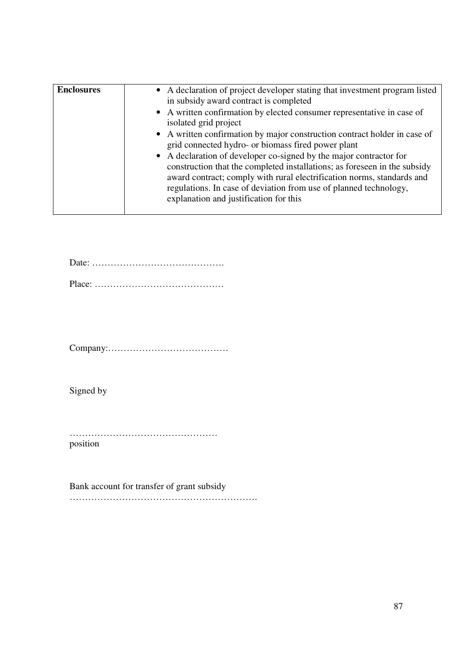| <b>Enclosures</b> | • A declaration of project developer stating that investment program listed<br>in subsidy award contract is completed<br>• A written confirmation by elected consumer representative in case of<br>isolated grid project<br>• A written confirmation by major construction contract holder in case of<br>grid connected hydro- or biomass fired power plant<br>• A declaration of developer co-signed by the major contractor for<br>construction that the completed installations; as foreseen in the subsidy<br>award contract; comply with rural electrification norms, standards and<br>regulations. In case of deviation from use of planned technology,<br>explanation and justification for this |
|-------------------|---------------------------------------------------------------------------------------------------------------------------------------------------------------------------------------------------------------------------------------------------------------------------------------------------------------------------------------------------------------------------------------------------------------------------------------------------------------------------------------------------------------------------------------------------------------------------------------------------------------------------------------------------------------------------------------------------------|
|                   |                                                                                                                                                                                                                                                                                                                                                                                                                                                                                                                                                                                                                                                                                                         |

Date: ……………………………………. Place: ……………………………………

Company:…………………………………

Signed by

………………………………………… position

Bank account for transfer of grant subsidy …………………………………………………….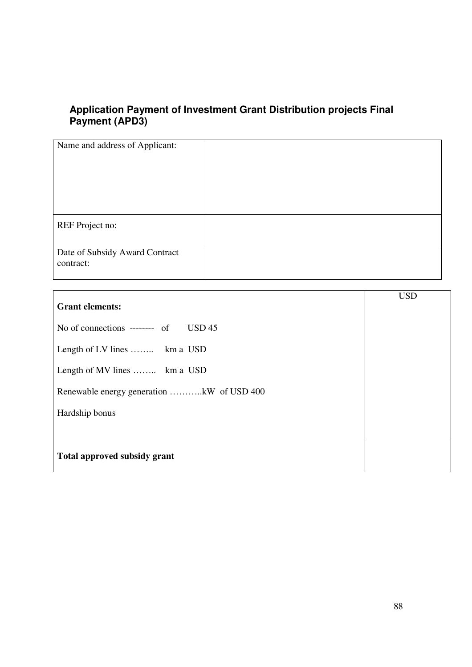## **Application Payment of Investment Grant Distribution projects Final Payment (APD3)**

| Name and address of Applicant:              |  |
|---------------------------------------------|--|
| REF Project no:                             |  |
| Date of Subsidy Award Contract<br>contract: |  |

| <b>Grant elements:</b>                    | <b>USD</b> |
|-------------------------------------------|------------|
| No of connections -------- of USD 45      |            |
| Length of LV lines  km a USD              |            |
| Length of MV lines  km a USD              |            |
| Renewable energy generation kW of USD 400 |            |
| Hardship bonus                            |            |
|                                           |            |
| Total approved subsidy grant              |            |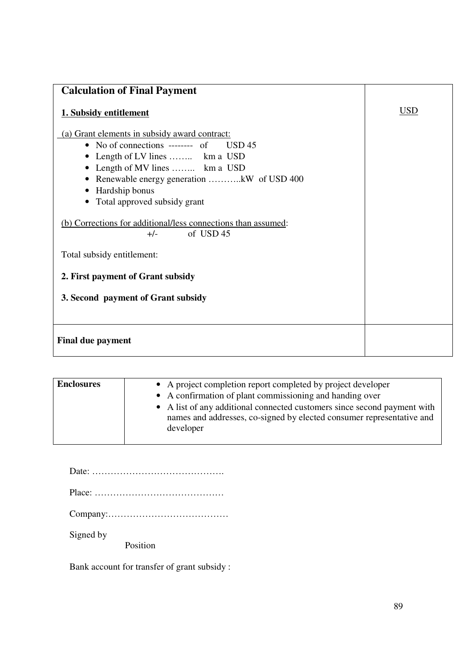| <b>Calculation of Final Payment</b>                                                                                                                                                                                                                                 |            |
|---------------------------------------------------------------------------------------------------------------------------------------------------------------------------------------------------------------------------------------------------------------------|------------|
| 1. Subsidy entitlement                                                                                                                                                                                                                                              | <b>USD</b> |
| (a) Grant elements in subsidy award contract:<br>No of connections -------- of USD $45$<br>$\bullet$<br>Length of LV lines  km a USD<br>Length of MV lines  km a USD<br>Renewable energy generation kW of USD 400<br>Hardship bonus<br>Total approved subsidy grant |            |
| (b) Corrections for additional/less connections than assumed:<br>of USD 45<br>$+/-$                                                                                                                                                                                 |            |
| Total subsidy entitlement:                                                                                                                                                                                                                                          |            |
| 2. First payment of Grant subsidy                                                                                                                                                                                                                                   |            |
| 3. Second payment of Grant subsidy                                                                                                                                                                                                                                  |            |
| <b>Final due payment</b>                                                                                                                                                                                                                                            |            |

| <b>Enclosures</b> | • A project completion report completed by project developer<br>• A confirmation of plant commissioning and handing over<br>• A list of any additional connected customers since second payment with<br>names and addresses, co-signed by elected consumer representative and<br>developer |
|-------------------|--------------------------------------------------------------------------------------------------------------------------------------------------------------------------------------------------------------------------------------------------------------------------------------------|
|-------------------|--------------------------------------------------------------------------------------------------------------------------------------------------------------------------------------------------------------------------------------------------------------------------------------------|

| Signed by<br>Position |
|-----------------------|

Bank account for transfer of grant subsidy :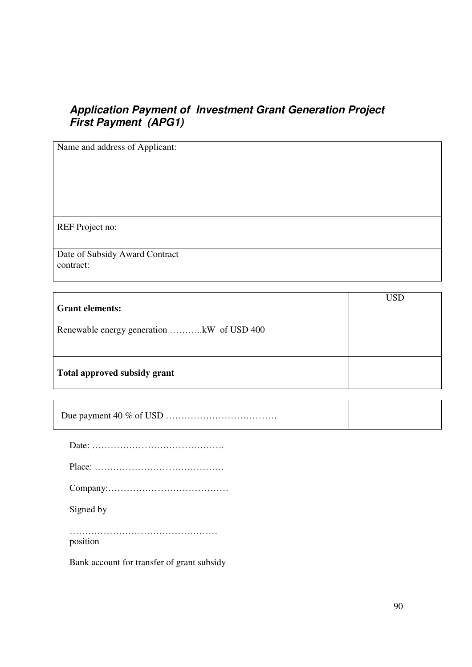# **Application Payment of Investment Grant Generation Project First Payment (APG1)**

| Name and address of Applicant:              |  |
|---------------------------------------------|--|
| REF Project no:                             |  |
| Date of Subsidy Award Contract<br>contract: |  |

| <b>Grant elements:</b>                    | <b>USD</b> |
|-------------------------------------------|------------|
|                                           |            |
| Renewable energy generation kW of USD 400 |            |
|                                           |            |
| Total approved subsidy grant              |            |

| Signed by |
|-----------|
| position  |

Bank account for transfer of grant subsidy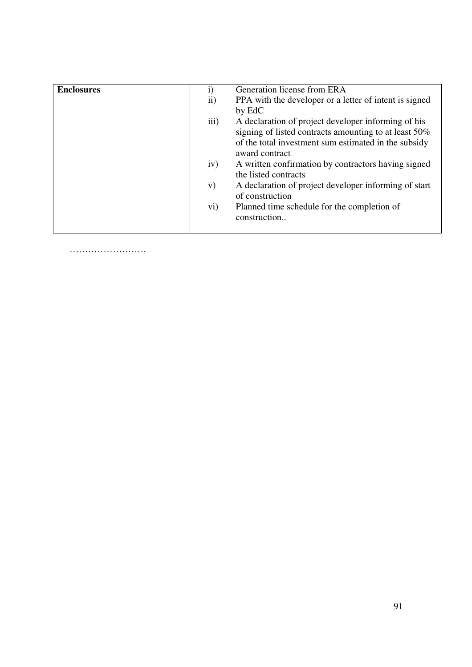| <b>Enclosures</b> | $\mathbf{i}$    | Generation license from ERA                            |
|-------------------|-----------------|--------------------------------------------------------|
|                   | $\mathbf{ii}$ ) | PPA with the developer or a letter of intent is signed |
|                   |                 | by EdC                                                 |
|                   | iii)            | A declaration of project developer informing of his    |
|                   |                 | signing of listed contracts amounting to at least 50%  |
|                   |                 | of the total investment sum estimated in the subsidy   |
|                   |                 | award contract                                         |
|                   | iv)             | A written confirmation by contractors having signed    |
|                   |                 | the listed contracts                                   |
|                   | V)              | A declaration of project developer informing of start  |
|                   |                 | of construction                                        |
|                   | $\mathbf{v}$ i) | Planned time schedule for the completion of            |
|                   |                 | construction                                           |
|                   |                 |                                                        |
|                   |                 |                                                        |

…………………….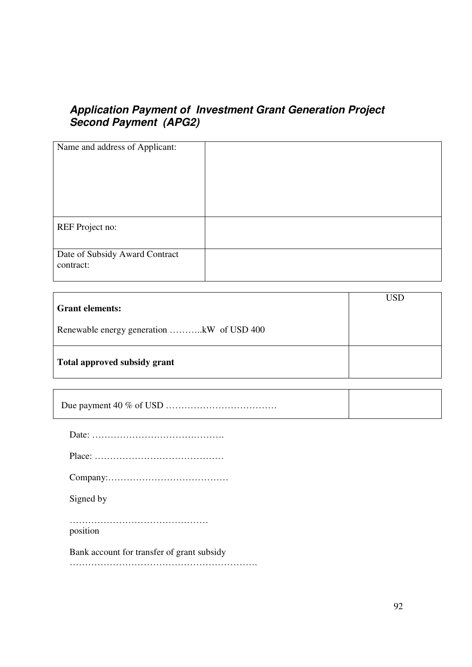# **Application Payment of Investment Grant Generation Project Second Payment (APG2)**

| Name and address of Applicant:              |  |
|---------------------------------------------|--|
| REF Project no:                             |  |
| Date of Subsidy Award Contract<br>contract: |  |

| <b>Grant elements:</b>                    | USD |
|-------------------------------------------|-----|
| Renewable energy generation kW of USD 400 |     |
| Total approved subsidy grant              |     |

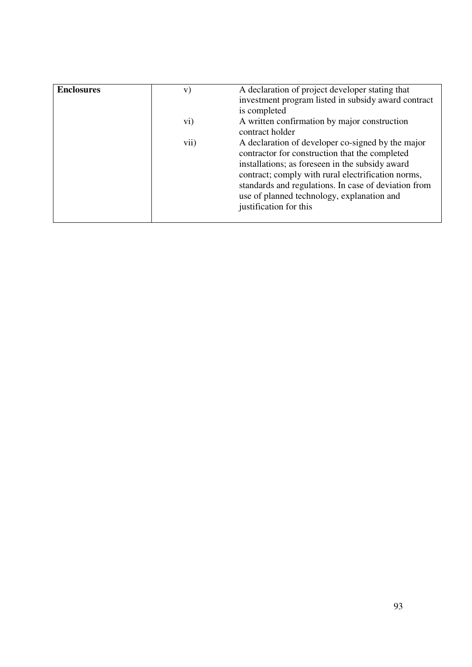| <b>Enclosures</b> | V)   | A declaration of project developer stating that<br>investment program listed in subsidy award contract<br>is completed                                                                                                                                                                                                                       |
|-------------------|------|----------------------------------------------------------------------------------------------------------------------------------------------------------------------------------------------------------------------------------------------------------------------------------------------------------------------------------------------|
|                   | vi)  | A written confirmation by major construction<br>contract holder                                                                                                                                                                                                                                                                              |
|                   | vii) | A declaration of developer co-signed by the major<br>contractor for construction that the completed<br>installations; as foreseen in the subsidy award<br>contract; comply with rural electrification norms,<br>standards and regulations. In case of deviation from<br>use of planned technology, explanation and<br>justification for this |
|                   |      |                                                                                                                                                                                                                                                                                                                                              |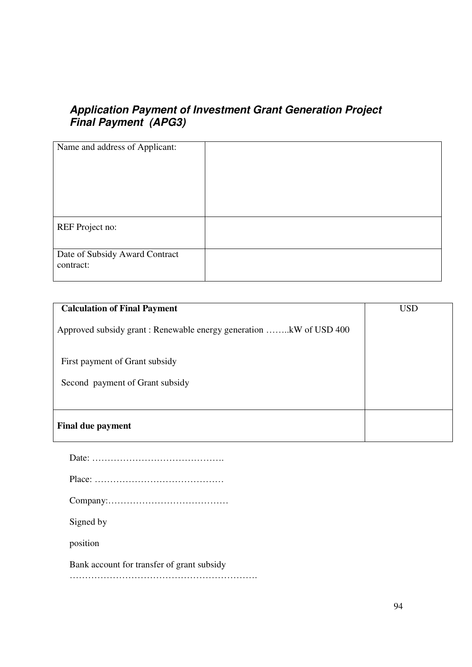# **Application Payment of Investment Grant Generation Project Final Payment (APG3)**

| Name and address of Applicant:              |  |
|---------------------------------------------|--|
| REF Project no:                             |  |
| Date of Subsidy Award Contract<br>contract: |  |

| <b>Calculation of Final Payment</b>                               | <b>USD</b> |
|-------------------------------------------------------------------|------------|
| Approved subsidy grant: Renewable energy generation kW of USD 400 |            |
| First payment of Grant subsidy<br>Second payment of Grant subsidy |            |
|                                                                   |            |
| <b>Final due payment</b>                                          |            |

| Signed by                                  |
|--------------------------------------------|
| position                                   |
| Bank account for transfer of grant subsidy |
|                                            |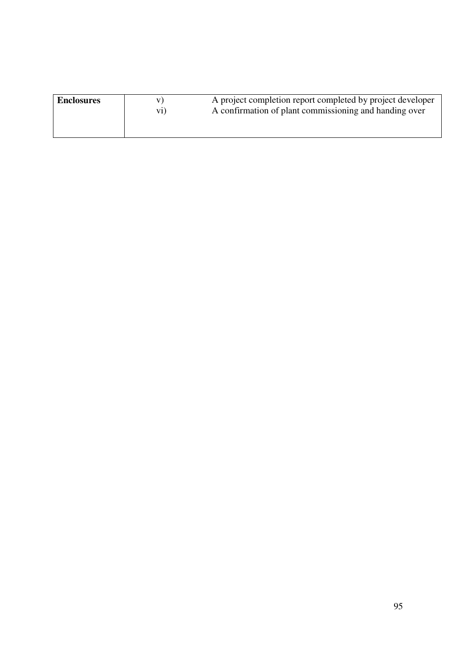| <b>Enclosures</b> | V <sub>1</sub> | A project completion report completed by project developer |
|-------------------|----------------|------------------------------------------------------------|
|                   | $\rm{vi})$     | A confirmation of plant commissioning and handing over     |
|                   |                |                                                            |
|                   |                |                                                            |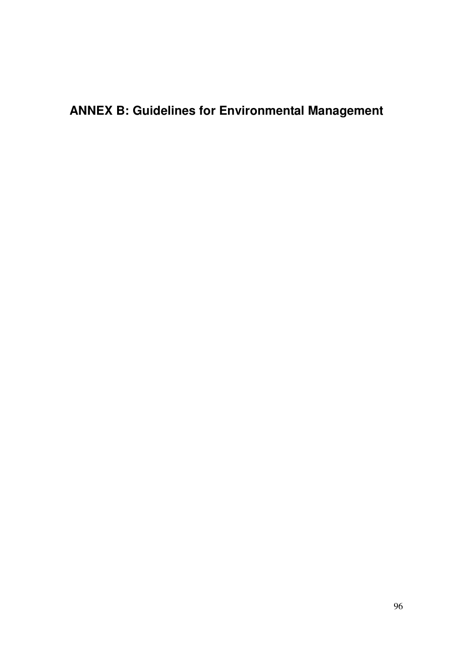**ANNEX B: Guidelines for Environmental Management**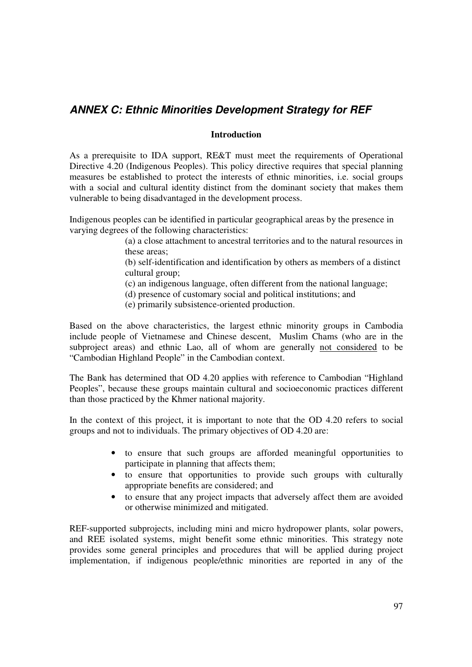# **ANNEX C: Ethnic Minorities Development Strategy for REF**

#### **Introduction**

As a prerequisite to IDA support, RE&T must meet the requirements of Operational Directive 4.20 (Indigenous Peoples). This policy directive requires that special planning measures be established to protect the interests of ethnic minorities, i.e. social groups with a social and cultural identity distinct from the dominant society that makes them vulnerable to being disadvantaged in the development process.

Indigenous peoples can be identified in particular geographical areas by the presence in varying degrees of the following characteristics:

> (a) a close attachment to ancestral territories and to the natural resources in these areas;

> (b) self-identification and identification by others as members of a distinct cultural group;

- (c) an indigenous language, often different from the national language;
- (d) presence of customary social and political institutions; and
- (e) primarily subsistence-oriented production.

Based on the above characteristics, the largest ethnic minority groups in Cambodia include people of Vietnamese and Chinese descent, Muslim Chams (who are in the subproject areas) and ethnic Lao, all of whom are generally not considered to be "Cambodian Highland People" in the Cambodian context.

The Bank has determined that OD 4.20 applies with reference to Cambodian "Highland Peoples", because these groups maintain cultural and socioeconomic practices different than those practiced by the Khmer national majority.

In the context of this project, it is important to note that the OD 4.20 refers to social groups and not to individuals. The primary objectives of OD 4.20 are:

- to ensure that such groups are afforded meaningful opportunities to participate in planning that affects them;
- to ensure that opportunities to provide such groups with culturally appropriate benefits are considered; and
- to ensure that any project impacts that adversely affect them are avoided or otherwise minimized and mitigated.

REF-supported subprojects, including mini and micro hydropower plants, solar powers, and REE isolated systems, might benefit some ethnic minorities. This strategy note provides some general principles and procedures that will be applied during project implementation, if indigenous people/ethnic minorities are reported in any of the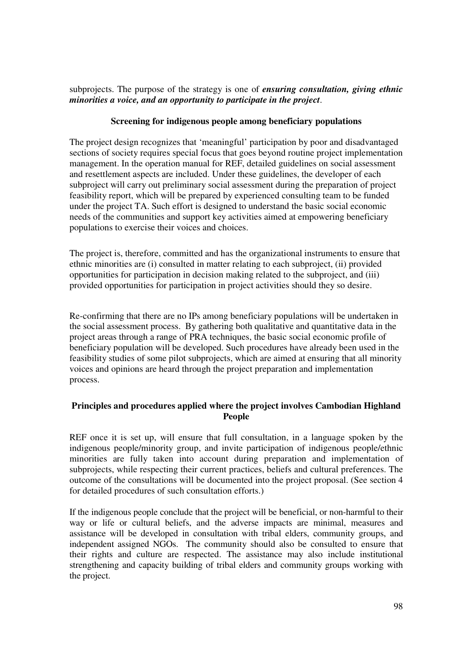subprojects. The purpose of the strategy is one of *ensuring consultation, giving ethnic minorities a voice, and an opportunity to participate in the project*.

## **Screening for indigenous people among beneficiary populations**

The project design recognizes that 'meaningful' participation by poor and disadvantaged sections of society requires special focus that goes beyond routine project implementation management. In the operation manual for REF, detailed guidelines on social assessment and resettlement aspects are included. Under these guidelines, the developer of each subproject will carry out preliminary social assessment during the preparation of project feasibility report, which will be prepared by experienced consulting team to be funded under the project TA. Such effort is designed to understand the basic social economic needs of the communities and support key activities aimed at empowering beneficiary populations to exercise their voices and choices.

The project is, therefore, committed and has the organizational instruments to ensure that ethnic minorities are (i) consulted in matter relating to each subproject, (ii) provided opportunities for participation in decision making related to the subproject, and (iii) provided opportunities for participation in project activities should they so desire.

Re-confirming that there are no IPs among beneficiary populations will be undertaken in the social assessment process. By gathering both qualitative and quantitative data in the project areas through a range of PRA techniques, the basic social economic profile of beneficiary population will be developed. Such procedures have already been used in the feasibility studies of some pilot subprojects, which are aimed at ensuring that all minority voices and opinions are heard through the project preparation and implementation process.

## **Principles and procedures applied where the project involves Cambodian Highland People**

REF once it is set up, will ensure that full consultation, in a language spoken by the indigenous people/minority group, and invite participation of indigenous people/ethnic minorities are fully taken into account during preparation and implementation of subprojects, while respecting their current practices, beliefs and cultural preferences. The outcome of the consultations will be documented into the project proposal. (See section 4 for detailed procedures of such consultation efforts.)

If the indigenous people conclude that the project will be beneficial, or non-harmful to their way or life or cultural beliefs, and the adverse impacts are minimal, measures and assistance will be developed in consultation with tribal elders, community groups, and independent assigned NGOs. The community should also be consulted to ensure that their rights and culture are respected. The assistance may also include institutional strengthening and capacity building of tribal elders and community groups working with the project.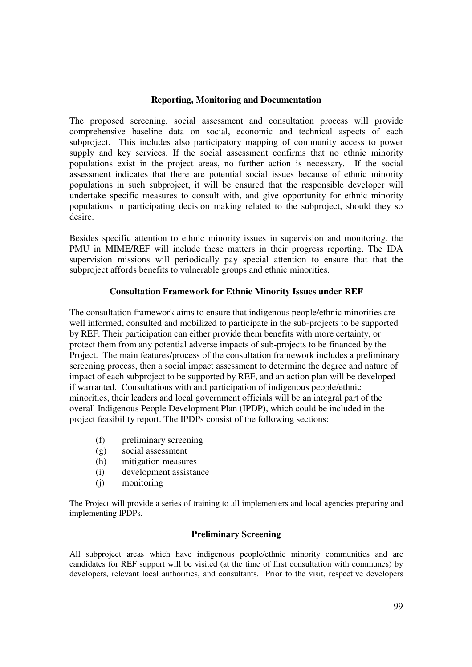#### **Reporting, Monitoring and Documentation**

The proposed screening, social assessment and consultation process will provide comprehensive baseline data on social, economic and technical aspects of each subproject. This includes also participatory mapping of community access to power supply and key services. If the social assessment confirms that no ethnic minority populations exist in the project areas, no further action is necessary. If the social assessment indicates that there are potential social issues because of ethnic minority populations in such subproject, it will be ensured that the responsible developer will undertake specific measures to consult with, and give opportunity for ethnic minority populations in participating decision making related to the subproject, should they so desire.

Besides specific attention to ethnic minority issues in supervision and monitoring, the PMU in MIME/REF will include these matters in their progress reporting. The IDA supervision missions will periodically pay special attention to ensure that that the subproject affords benefits to vulnerable groups and ethnic minorities.

### **Consultation Framework for Ethnic Minority Issues under REF**

The consultation framework aims to ensure that indigenous people/ethnic minorities are well informed, consulted and mobilized to participate in the sub-projects to be supported by REF. Their participation can either provide them benefits with more certainty, or protect them from any potential adverse impacts of sub-projects to be financed by the Project. The main features/process of the consultation framework includes a preliminary screening process, then a social impact assessment to determine the degree and nature of impact of each subproject to be supported by REF, and an action plan will be developed if warranted. Consultations with and participation of indigenous people/ethnic minorities, their leaders and local government officials will be an integral part of the overall Indigenous People Development Plan (IPDP), which could be included in the project feasibility report. The IPDPs consist of the following sections:

- (f) preliminary screening
- (g) social assessment
- (h) mitigation measures
- (i) development assistance
- (j) monitoring

The Project will provide a series of training to all implementers and local agencies preparing and implementing IPDPs.

### **Preliminary Screening**

All subproject areas which have indigenous people/ethnic minority communities and are candidates for REF support will be visited (at the time of first consultation with communes) by developers, relevant local authorities, and consultants. Prior to the visit, respective developers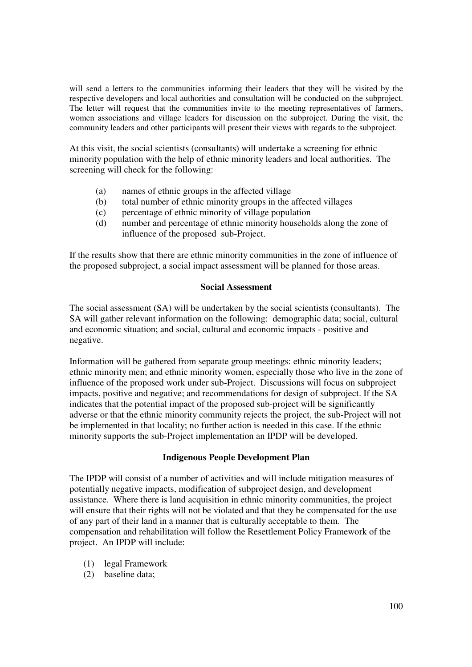will send a letters to the communities informing their leaders that they will be visited by the respective developers and local authorities and consultation will be conducted on the subproject. The letter will request that the communities invite to the meeting representatives of farmers, women associations and village leaders for discussion on the subproject. During the visit, the community leaders and other participants will present their views with regards to the subproject.

At this visit, the social scientists (consultants) will undertake a screening for ethnic minority population with the help of ethnic minority leaders and local authorities. The screening will check for the following:

- (a) names of ethnic groups in the affected village
- (b) total number of ethnic minority groups in the affected villages
- (c) percentage of ethnic minority of village population
- (d) number and percentage of ethnic minority households along the zone of influence of the proposed sub-Project.

If the results show that there are ethnic minority communities in the zone of influence of the proposed subproject, a social impact assessment will be planned for those areas.

### **Social Assessment**

The social assessment (SA) will be undertaken by the social scientists (consultants). The SA will gather relevant information on the following: demographic data; social, cultural and economic situation; and social, cultural and economic impacts - positive and negative.

Information will be gathered from separate group meetings: ethnic minority leaders; ethnic minority men; and ethnic minority women, especially those who live in the zone of influence of the proposed work under sub-Project. Discussions will focus on subproject impacts, positive and negative; and recommendations for design of subproject. If the SA indicates that the potential impact of the proposed sub-project will be significantly adverse or that the ethnic minority community rejects the project, the sub-Project will not be implemented in that locality; no further action is needed in this case. If the ethnic minority supports the sub-Project implementation an IPDP will be developed.

### **Indigenous People Development Plan**

The IPDP will consist of a number of activities and will include mitigation measures of potentially negative impacts, modification of subproject design, and development assistance. Where there is land acquisition in ethnic minority communities, the project will ensure that their rights will not be violated and that they be compensated for the use of any part of their land in a manner that is culturally acceptable to them. The compensation and rehabilitation will follow the Resettlement Policy Framework of the project. An IPDP will include:

- (1) legal Framework
- (2) baseline data;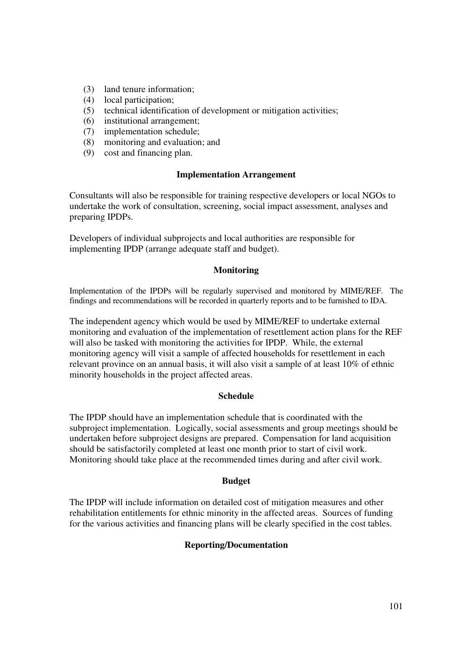- (3) land tenure information;
- (4) local participation;
- (5) technical identification of development or mitigation activities;
- (6) institutional arrangement;
- (7) implementation schedule;
- (8) monitoring and evaluation; and
- (9) cost and financing plan.

#### **Implementation Arrangement**

Consultants will also be responsible for training respective developers or local NGOs to undertake the work of consultation, screening, social impact assessment, analyses and preparing IPDPs.

Developers of individual subprojects and local authorities are responsible for implementing IPDP (arrange adequate staff and budget).

#### **Monitoring**

Implementation of the IPDPs will be regularly supervised and monitored by MIME/REF. The findings and recommendations will be recorded in quarterly reports and to be furnished to IDA.

The independent agency which would be used by MIME/REF to undertake external monitoring and evaluation of the implementation of resettlement action plans for the REF will also be tasked with monitoring the activities for IPDP. While, the external monitoring agency will visit a sample of affected households for resettlement in each relevant province on an annual basis, it will also visit a sample of at least 10% of ethnic minority households in the project affected areas.

#### **Schedule**

The IPDP should have an implementation schedule that is coordinated with the subproject implementation. Logically, social assessments and group meetings should be undertaken before subproject designs are prepared. Compensation for land acquisition should be satisfactorily completed at least one month prior to start of civil work. Monitoring should take place at the recommended times during and after civil work.

#### **Budget**

The IPDP will include information on detailed cost of mitigation measures and other rehabilitation entitlements for ethnic minority in the affected areas. Sources of funding for the various activities and financing plans will be clearly specified in the cost tables.

#### **Reporting/Documentation**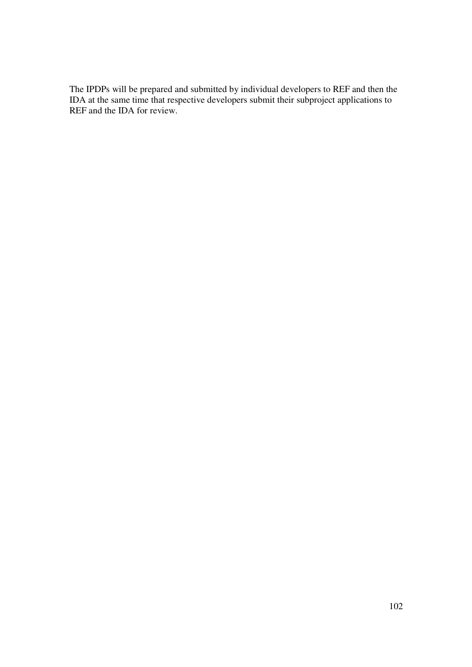The IPDPs will be prepared and submitted by individual developers to REF and then the IDA at the same time that respective developers submit their subproject applications to REF and the IDA for review.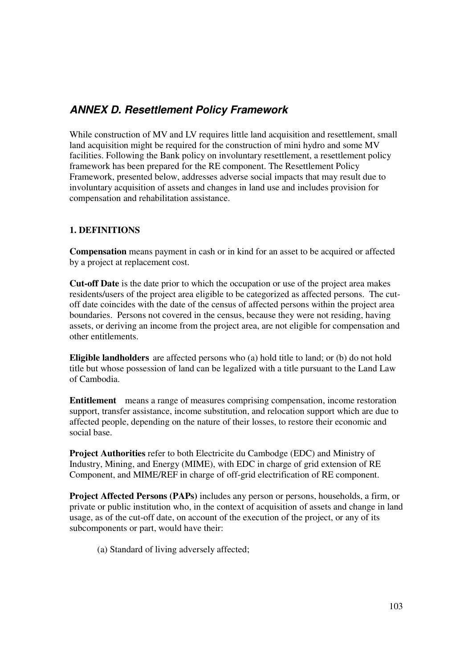# **ANNEX D. Resettlement Policy Framework**

While construction of MV and LV requires little land acquisition and resettlement, small land acquisition might be required for the construction of mini hydro and some MV facilities. Following the Bank policy on involuntary resettlement, a resettlement policy framework has been prepared for the RE component. The Resettlement Policy Framework, presented below, addresses adverse social impacts that may result due to involuntary acquisition of assets and changes in land use and includes provision for compensation and rehabilitation assistance.

## **1. DEFINITIONS**

**Compensation** means payment in cash or in kind for an asset to be acquired or affected by a project at replacement cost.

**Cut-off Date** is the date prior to which the occupation or use of the project area makes residents/users of the project area eligible to be categorized as affected persons. The cutoff date coincides with the date of the census of affected persons within the project area boundaries. Persons not covered in the census, because they were not residing, having assets, or deriving an income from the project area, are not eligible for compensation and other entitlements.

**Eligible landholders** are affected persons who (a) hold title to land; or (b) do not hold title but whose possession of land can be legalized with a title pursuant to the Land Law of Cambodia.

**Entitlement** means a range of measures comprising compensation, income restoration support, transfer assistance, income substitution, and relocation support which are due to affected people, depending on the nature of their losses, to restore their economic and social base.

**Project Authorities** refer to both Electricite du Cambodge (EDC) and Ministry of Industry, Mining, and Energy (MIME), with EDC in charge of grid extension of RE Component, and MIME/REF in charge of off-grid electrification of RE component.

**Project Affected Persons (PAPs)** includes any person or persons, households, a firm, or private or public institution who, in the context of acquisition of assets and change in land usage, as of the cut-off date, on account of the execution of the project, or any of its subcomponents or part, would have their:

(a) Standard of living adversely affected;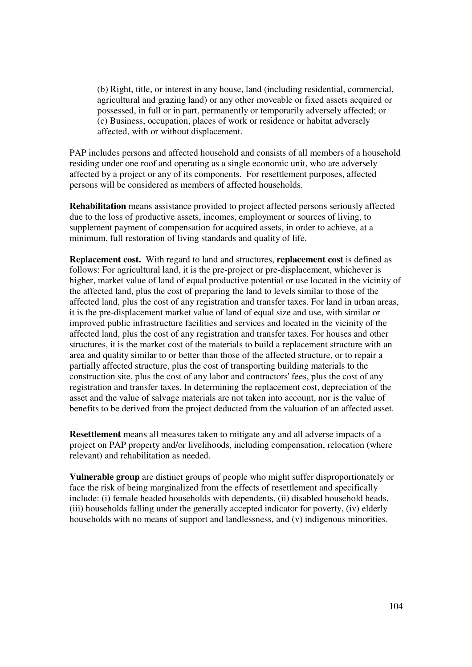(b) Right, title, or interest in any house, land (including residential, commercial, agricultural and grazing land) or any other moveable or fixed assets acquired or possessed, in full or in part, permanently or temporarily adversely affected; or (c) Business, occupation, places of work or residence or habitat adversely affected, with or without displacement.

PAP includes persons and affected household and consists of all members of a household residing under one roof and operating as a single economic unit, who are adversely affected by a project or any of its components. For resettlement purposes, affected persons will be considered as members of affected households.

**Rehabilitation** means assistance provided to project affected persons seriously affected due to the loss of productive assets, incomes, employment or sources of living, to supplement payment of compensation for acquired assets, in order to achieve, at a minimum, full restoration of living standards and quality of life.

**Replacement cost.** With regard to land and structures, **replacement cost** is defined as follows: For agricultural land, it is the pre-project or pre-displacement, whichever is higher, market value of land of equal productive potential or use located in the vicinity of the affected land, plus the cost of preparing the land to levels similar to those of the affected land, plus the cost of any registration and transfer taxes. For land in urban areas, it is the pre-displacement market value of land of equal size and use, with similar or improved public infrastructure facilities and services and located in the vicinity of the affected land, plus the cost of any registration and transfer taxes. For houses and other structures, it is the market cost of the materials to build a replacement structure with an area and quality similar to or better than those of the affected structure, or to repair a partially affected structure, plus the cost of transporting building materials to the construction site, plus the cost of any labor and contractors' fees, plus the cost of any registration and transfer taxes. In determining the replacement cost, depreciation of the asset and the value of salvage materials are not taken into account, nor is the value of benefits to be derived from the project deducted from the valuation of an affected asset.

**Resettlement** means all measures taken to mitigate any and all adverse impacts of a project on PAP property and/or livelihoods, including compensation, relocation (where relevant) and rehabilitation as needed.

**Vulnerable group** are distinct groups of people who might suffer disproportionately or face the risk of being marginalized from the effects of resettlement and specifically include: (i) female headed households with dependents, (ii) disabled household heads, (iii) households falling under the generally accepted indicator for poverty, (iv) elderly households with no means of support and landlessness, and (v) indigenous minorities.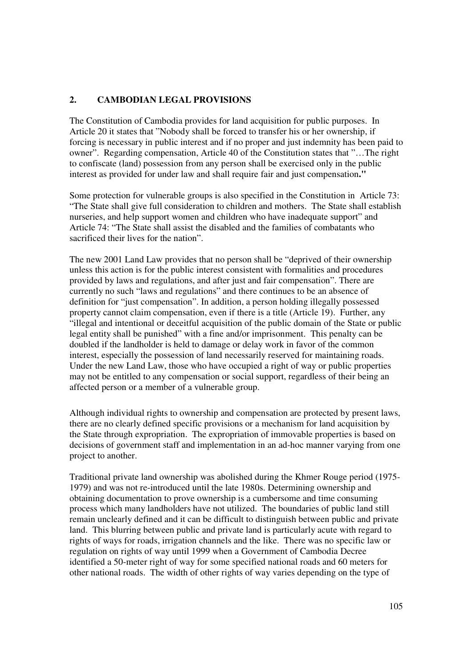## **2. CAMBODIAN LEGAL PROVISIONS**

The Constitution of Cambodia provides for land acquisition for public purposes. In Article 20 it states that "Nobody shall be forced to transfer his or her ownership, if forcing is necessary in public interest and if no proper and just indemnity has been paid to owner". Regarding compensation, Article 40 of the Constitution states that "…The right to confiscate (land) possession from any person shall be exercised only in the public interest as provided for under law and shall require fair and just compensation**."** 

Some protection for vulnerable groups is also specified in the Constitution in Article 73: "The State shall give full consideration to children and mothers. The State shall establish nurseries, and help support women and children who have inadequate support" and Article 74: "The State shall assist the disabled and the families of combatants who sacrificed their lives for the nation".

The new 2001 Land Law provides that no person shall be "deprived of their ownership unless this action is for the public interest consistent with formalities and procedures provided by laws and regulations, and after just and fair compensation". There are currently no such "laws and regulations" and there continues to be an absence of definition for "just compensation". In addition, a person holding illegally possessed property cannot claim compensation, even if there is a title (Article 19). Further, any "illegal and intentional or deceitful acquisition of the public domain of the State or public legal entity shall be punished" with a fine and/or imprisonment. This penalty can be doubled if the landholder is held to damage or delay work in favor of the common interest, especially the possession of land necessarily reserved for maintaining roads. Under the new Land Law, those who have occupied a right of way or public properties may not be entitled to any compensation or social support, regardless of their being an affected person or a member of a vulnerable group.

Although individual rights to ownership and compensation are protected by present laws, there are no clearly defined specific provisions or a mechanism for land acquisition by the State through expropriation. The expropriation of immovable properties is based on decisions of government staff and implementation in an ad-hoc manner varying from one project to another.

Traditional private land ownership was abolished during the Khmer Rouge period (1975- 1979) and was not re-introduced until the late 1980s. Determining ownership and obtaining documentation to prove ownership is a cumbersome and time consuming process which many landholders have not utilized. The boundaries of public land still remain unclearly defined and it can be difficult to distinguish between public and private land. This blurring between public and private land is particularly acute with regard to rights of ways for roads, irrigation channels and the like. There was no specific law or regulation on rights of way until 1999 when a Government of Cambodia Decree identified a 50-meter right of way for some specified national roads and 60 meters for other national roads. The width of other rights of way varies depending on the type of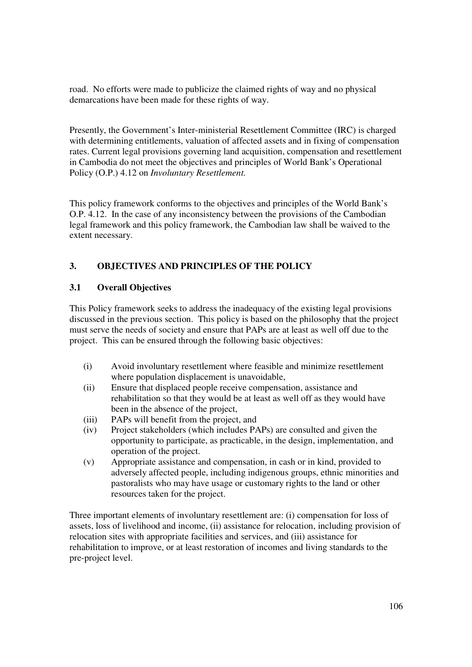road. No efforts were made to publicize the claimed rights of way and no physical demarcations have been made for these rights of way.

Presently, the Government's Inter-ministerial Resettlement Committee (IRC) is charged with determining entitlements, valuation of affected assets and in fixing of compensation rates. Current legal provisions governing land acquisition, compensation and resettlement in Cambodia do not meet the objectives and principles of World Bank's Operational Policy (O.P.) 4.12 on *Involuntary Resettlement.*

This policy framework conforms to the objectives and principles of the World Bank's O.P. 4.12. In the case of any inconsistency between the provisions of the Cambodian legal framework and this policy framework, the Cambodian law shall be waived to the extent necessary.

## **3. OBJECTIVES AND PRINCIPLES OF THE POLICY**

## **3.1 Overall Objectives**

This Policy framework seeks to address the inadequacy of the existing legal provisions discussed in the previous section. This policy is based on the philosophy that the project must serve the needs of society and ensure that PAPs are at least as well off due to the project. This can be ensured through the following basic objectives:

- (i) Avoid involuntary resettlement where feasible and minimize resettlement where population displacement is unavoidable,
- (ii) Ensure that displaced people receive compensation, assistance and rehabilitation so that they would be at least as well off as they would have been in the absence of the project,
- (iii) PAPs will benefit from the project, and
- (iv) Project stakeholders (which includes PAPs) are consulted and given the opportunity to participate, as practicable, in the design, implementation, and operation of the project.
- (v) Appropriate assistance and compensation, in cash or in kind, provided to adversely affected people, including indigenous groups, ethnic minorities and pastoralists who may have usage or customary rights to the land or other resources taken for the project.

Three important elements of involuntary resettlement are: (i) compensation for loss of assets, loss of livelihood and income, (ii) assistance for relocation, including provision of relocation sites with appropriate facilities and services, and (iii) assistance for rehabilitation to improve, or at least restoration of incomes and living standards to the pre-project level.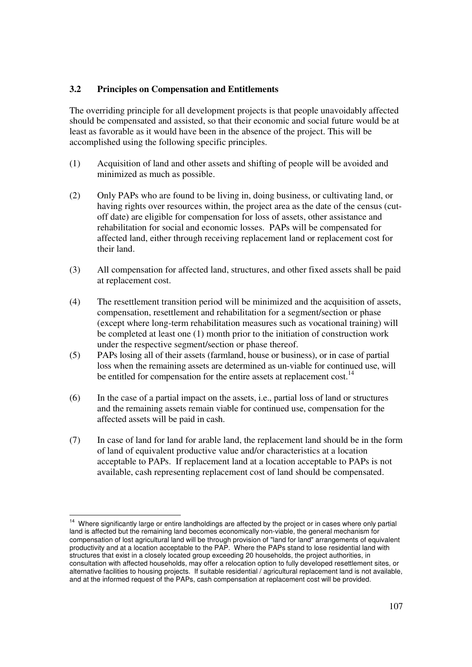## **3.2 Principles on Compensation and Entitlements**

The overriding principle for all development projects is that people unavoidably affected should be compensated and assisted, so that their economic and social future would be at least as favorable as it would have been in the absence of the project. This will be accomplished using the following specific principles.

- (1) Acquisition of land and other assets and shifting of people will be avoided and minimized as much as possible.
- (2) Only PAPs who are found to be living in, doing business, or cultivating land, or having rights over resources within, the project area as the date of the census (cutoff date) are eligible for compensation for loss of assets, other assistance and rehabilitation for social and economic losses. PAPs will be compensated for affected land, either through receiving replacement land or replacement cost for their land.
- (3) All compensation for affected land, structures, and other fixed assets shall be paid at replacement cost.
- (4) The resettlement transition period will be minimized and the acquisition of assets, compensation, resettlement and rehabilitation for a segment/section or phase (except where long-term rehabilitation measures such as vocational training) will be completed at least one (1) month prior to the initiation of construction work under the respective segment/section or phase thereof.
- (5) PAPs losing all of their assets (farmland, house or business), or in case of partial loss when the remaining assets are determined as un-viable for continued use, will be entitled for compensation for the entire assets at replacement cost.<sup>14</sup>
- (6) In the case of a partial impact on the assets, i.e., partial loss of land or structures and the remaining assets remain viable for continued use, compensation for the affected assets will be paid in cash.
- (7) In case of land for land for arable land, the replacement land should be in the form of land of equivalent productive value and/or characteristics at a location acceptable to PAPs. If replacement land at a location acceptable to PAPs is not available, cash representing replacement cost of land should be compensated.

 $\frac{1}{2}$ 

Where significantly large or entire landholdings are affected by the project or in cases where only partial land is affected but the remaining land becomes economically non-viable, the general mechanism for compensation of lost agricultural land will be through provision of "land for land" arrangements of equivalent productivity and at a location acceptable to the PAP. Where the PAPs stand to lose residential land with structures that exist in a closely located group exceeding 20 households, the project authorities, in consultation with affected households, may offer a relocation option to fully developed resettlement sites, or alternative facilities to housing projects. If suitable residential / agricultural replacement land is not available, and at the informed request of the PAPs, cash compensation at replacement cost will be provided.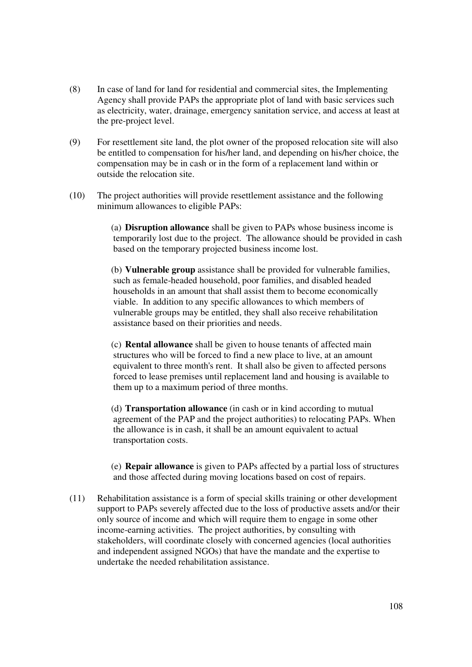- (8) In case of land for land for residential and commercial sites, the Implementing Agency shall provide PAPs the appropriate plot of land with basic services such as electricity, water, drainage, emergency sanitation service, and access at least at the pre-project level.
- (9) For resettlement site land, the plot owner of the proposed relocation site will also be entitled to compensation for his/her land, and depending on his/her choice, the compensation may be in cash or in the form of a replacement land within or outside the relocation site.
- (10) The project authorities will provide resettlement assistance and the following minimum allowances to eligible PAPs:

(a) **Disruption allowance** shall be given to PAPs whose business income is temporarily lost due to the project. The allowance should be provided in cash based on the temporary projected business income lost.

(b) **Vulnerable group** assistance shall be provided for vulnerable families, such as female-headed household, poor families, and disabled headed households in an amount that shall assist them to become economically viable. In addition to any specific allowances to which members of vulnerable groups may be entitled, they shall also receive rehabilitation assistance based on their priorities and needs.

(c) **Rental allowance** shall be given to house tenants of affected main structures who will be forced to find a new place to live, at an amount equivalent to three month's rent. It shall also be given to affected persons forced to lease premises until replacement land and housing is available to them up to a maximum period of three months.

(d) **Transportation allowance** (in cash or in kind according to mutual agreement of the PAP and the project authorities) to relocating PAPs. When the allowance is in cash, it shall be an amount equivalent to actual transportation costs.

(e) **Repair allowance** is given to PAPs affected by a partial loss of structures and those affected during moving locations based on cost of repairs.

(11) Rehabilitation assistance is a form of special skills training or other development support to PAPs severely affected due to the loss of productive assets and/or their only source of income and which will require them to engage in some other income-earning activities. The project authorities, by consulting with stakeholders, will coordinate closely with concerned agencies (local authorities and independent assigned NGOs) that have the mandate and the expertise to undertake the needed rehabilitation assistance.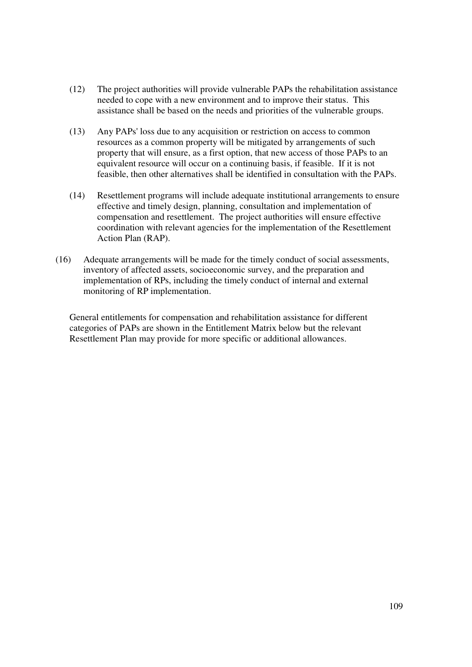- (12) The project authorities will provide vulnerable PAPs the rehabilitation assistance needed to cope with a new environment and to improve their status. This assistance shall be based on the needs and priorities of the vulnerable groups.
- (13) Any PAPs' loss due to any acquisition or restriction on access to common resources as a common property will be mitigated by arrangements of such property that will ensure, as a first option, that new access of those PAPs to an equivalent resource will occur on a continuing basis, if feasible. If it is not feasible, then other alternatives shall be identified in consultation with the PAPs.
- (14) Resettlement programs will include adequate institutional arrangements to ensure effective and timely design, planning, consultation and implementation of compensation and resettlement. The project authorities will ensure effective coordination with relevant agencies for the implementation of the Resettlement Action Plan (RAP).
- (16) Adequate arrangements will be made for the timely conduct of social assessments, inventory of affected assets, socioeconomic survey, and the preparation and implementation of RPs, including the timely conduct of internal and external monitoring of RP implementation.

General entitlements for compensation and rehabilitation assistance for different categories of PAPs are shown in the Entitlement Matrix below but the relevant Resettlement Plan may provide for more specific or additional allowances.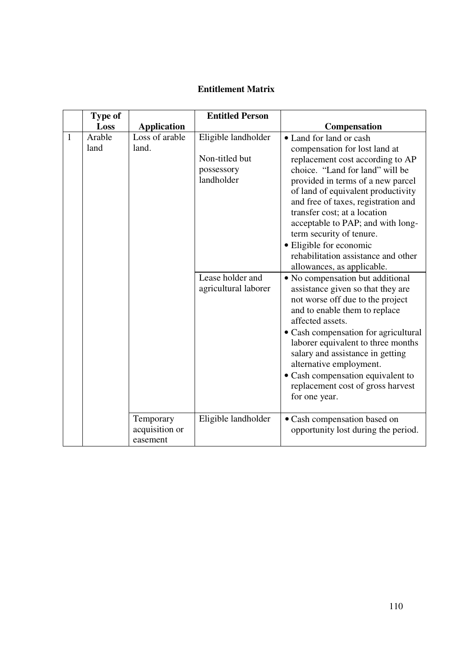# **Entitlement Matrix**

|              | <b>Type of</b> |                                         | <b>Entitled Person</b>                                                                |                                                                                                                                                                                                                                                                                                                                                                                                                                                                                        |
|--------------|----------------|-----------------------------------------|---------------------------------------------------------------------------------------|----------------------------------------------------------------------------------------------------------------------------------------------------------------------------------------------------------------------------------------------------------------------------------------------------------------------------------------------------------------------------------------------------------------------------------------------------------------------------------------|
|              | Loss           | <b>Application</b>                      |                                                                                       | Compensation                                                                                                                                                                                                                                                                                                                                                                                                                                                                           |
| $\mathbf{1}$ | Arable<br>land | Loss of arable<br>land.                 | Eligible landholder<br>Non-titled but<br>possessory<br>landholder<br>Lease holder and | • Land for land or cash<br>compensation for lost land at<br>replacement cost according to AP<br>choice. "Land for land" will be<br>provided in terms of a new parcel<br>of land of equivalent productivity<br>and free of taxes, registration and<br>transfer cost; at a location<br>acceptable to PAP; and with long-<br>term security of tenure.<br>· Eligible for economic<br>rehabilitation assistance and other<br>allowances, as applicable.<br>• No compensation but additional |
|              |                |                                         | agricultural laborer                                                                  | assistance given so that they are<br>not worse off due to the project<br>and to enable them to replace<br>affected assets.<br>• Cash compensation for agricultural<br>laborer equivalent to three months<br>salary and assistance in getting<br>alternative employment.<br>· Cash compensation equivalent to<br>replacement cost of gross harvest<br>for one year.                                                                                                                     |
|              |                | Temporary<br>acquisition or<br>easement | Eligible landholder                                                                   | • Cash compensation based on<br>opportunity lost during the period.                                                                                                                                                                                                                                                                                                                                                                                                                    |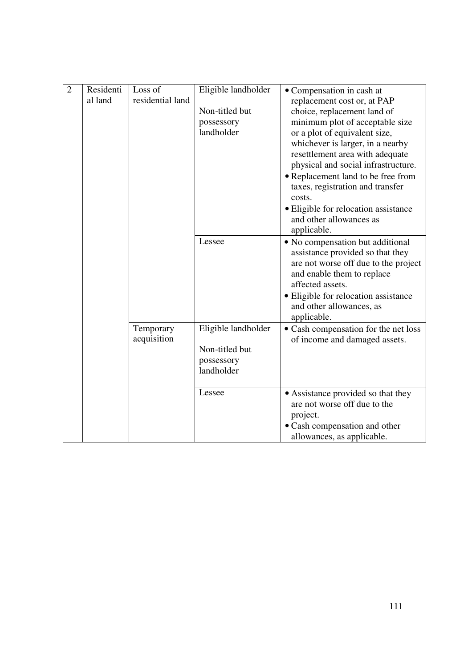| $\overline{2}$ | Residenti<br>al land | Loss of<br>residential land | Eligible landholder<br>Non-titled but<br>possessory<br>landholder | • Compensation in cash at<br>replacement cost or, at PAP<br>choice, replacement land of<br>minimum plot of acceptable size<br>or a plot of equivalent size,<br>whichever is larger, in a nearby<br>resettlement area with adequate<br>physical and social infrastructure.<br>• Replacement land to be free from<br>taxes, registration and transfer<br>costs.<br>· Eligible for relocation assistance<br>and other allowances as |
|----------------|----------------------|-----------------------------|-------------------------------------------------------------------|----------------------------------------------------------------------------------------------------------------------------------------------------------------------------------------------------------------------------------------------------------------------------------------------------------------------------------------------------------------------------------------------------------------------------------|
|                |                      |                             | Lessee                                                            | applicable.<br>• No compensation but additional<br>assistance provided so that they<br>are not worse off due to the project<br>and enable them to replace<br>affected assets.<br>· Eligible for relocation assistance<br>and other allowances, as<br>applicable.                                                                                                                                                                 |
|                |                      | Temporary<br>acquisition    | Eligible landholder<br>Non-titled but<br>possessory<br>landholder | • Cash compensation for the net loss<br>of income and damaged assets.                                                                                                                                                                                                                                                                                                                                                            |
|                |                      |                             | Lessee                                                            | • Assistance provided so that they<br>are not worse off due to the<br>project.<br>· Cash compensation and other<br>allowances, as applicable.                                                                                                                                                                                                                                                                                    |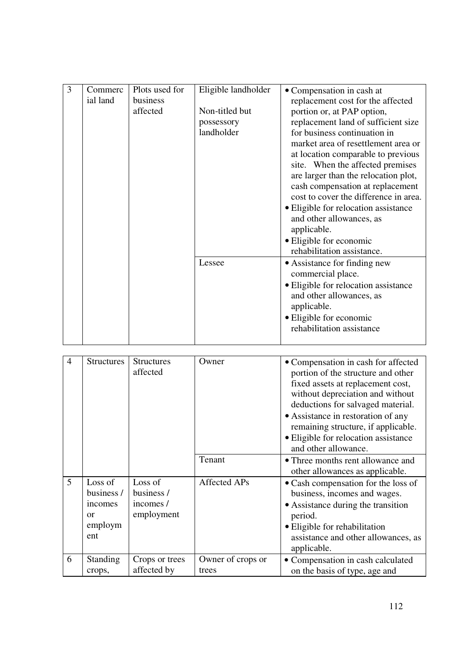| 3 | Commerc<br>ial land | Plots used for<br>business<br>affected | Eligible landholder<br>Non-titled but<br>possessory<br>landholder | • Compensation in cash at<br>replacement cost for the affected<br>portion or, at PAP option,<br>replacement land of sufficient size<br>for business continuation in<br>market area of resettlement area or<br>at location comparable to previous<br>site. When the affected premises<br>are larger than the relocation plot,<br>cash compensation at replacement<br>cost to cover the difference in area.<br>• Eligible for relocation assistance<br>and other allowances, as<br>applicable.<br>• Eligible for economic<br>rehabilitation assistance. |
|---|---------------------|----------------------------------------|-------------------------------------------------------------------|-------------------------------------------------------------------------------------------------------------------------------------------------------------------------------------------------------------------------------------------------------------------------------------------------------------------------------------------------------------------------------------------------------------------------------------------------------------------------------------------------------------------------------------------------------|
|   |                     |                                        | Lessee                                                            | • Assistance for finding new<br>commercial place.<br>• Eligible for relocation assistance<br>and other allowances, as<br>applicable.<br>• Eligible for economic<br>rehabilitation assistance                                                                                                                                                                                                                                                                                                                                                          |

| $\overline{4}$ | <b>Structures</b>                                        | <b>Structures</b><br>affected                    | Owner                      | • Compensation in cash for affected<br>portion of the structure and other<br>fixed assets at replacement cost,<br>without depreciation and without<br>deductions for salvaged material.<br>• Assistance in restoration of any<br>remaining structure, if applicable.<br>• Eligible for relocation assistance<br>and other allowance. |
|----------------|----------------------------------------------------------|--------------------------------------------------|----------------------------|--------------------------------------------------------------------------------------------------------------------------------------------------------------------------------------------------------------------------------------------------------------------------------------------------------------------------------------|
|                |                                                          |                                                  | Tenant                     | • Three months rent allowance and<br>other allowances as applicable.                                                                                                                                                                                                                                                                 |
| 5              | Loss of<br>business /<br>incomes<br>or<br>employm<br>ent | Loss of<br>business /<br>incomes /<br>employment | <b>Affected APs</b>        | • Cash compensation for the loss of<br>business, incomes and wages.<br>• Assistance during the transition<br>period.<br>• Eligible for rehabilitation<br>assistance and other allowances, as<br>applicable.                                                                                                                          |
| 6              | <b>Standing</b><br>crops,                                | Crops or trees<br>affected by                    | Owner of crops or<br>trees | • Compensation in cash calculated<br>on the basis of type, age and                                                                                                                                                                                                                                                                   |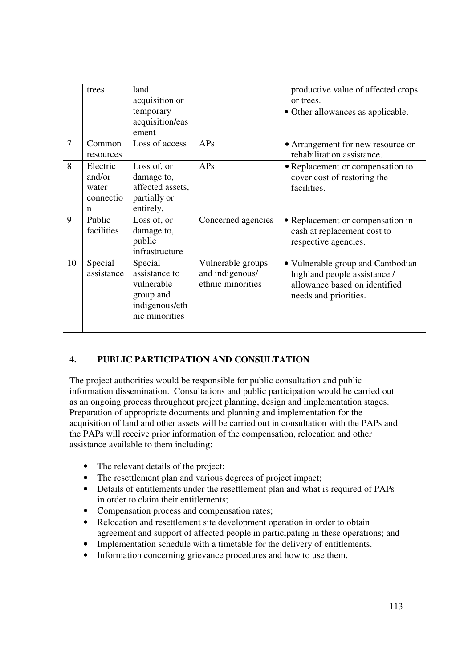|                | trees                                         | land<br>acquisition or<br>temporary<br>acquisition/eas<br>ement                         |                                                           | productive value of affected crops<br>or trees.<br>• Other allowances as applicable.                                       |
|----------------|-----------------------------------------------|-----------------------------------------------------------------------------------------|-----------------------------------------------------------|----------------------------------------------------------------------------------------------------------------------------|
| $\overline{7}$ | Common<br>resources                           | Loss of access                                                                          | APs                                                       | • Arrangement for new resource or<br>rehabilitation assistance.                                                            |
| 8              | Electric<br>and/or<br>water<br>connectio<br>n | Loss of, or<br>damage to,<br>affected assets.<br>partially or<br>entirely.              | APs                                                       | • Replacement or compensation to<br>cover cost of restoring the<br>facilities.                                             |
| 9              | Public<br>facilities                          | Loss of, or<br>damage to,<br>public<br>infrastructure                                   | Concerned agencies                                        | • Replacement or compensation in<br>cash at replacement cost to<br>respective agencies.                                    |
| 10             | Special<br>assistance                         | Special<br>assistance to<br>vulnerable<br>group and<br>indigenous/eth<br>nic minorities | Vulnerable groups<br>and indigenous/<br>ethnic minorities | • Vulnerable group and Cambodian<br>highland people assistance /<br>allowance based on identified<br>needs and priorities. |

## **4. PUBLIC PARTICIPATION AND CONSULTATION**

The project authorities would be responsible for public consultation and public information dissemination. Consultations and public participation would be carried out as an ongoing process throughout project planning, design and implementation stages. Preparation of appropriate documents and planning and implementation for the acquisition of land and other assets will be carried out in consultation with the PAPs and the PAPs will receive prior information of the compensation, relocation and other assistance available to them including:

- The relevant details of the project;
- The resettlement plan and various degrees of project impact;
- Details of entitlements under the resettlement plan and what is required of PAPs in order to claim their entitlements;
- Compensation process and compensation rates;
- Relocation and resettlement site development operation in order to obtain agreement and support of affected people in participating in these operations; and
- Implementation schedule with a timetable for the delivery of entitlements.
- Information concerning grievance procedures and how to use them.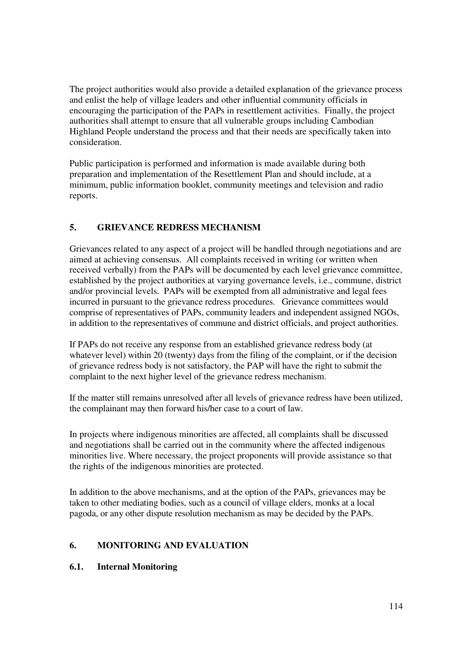The project authorities would also provide a detailed explanation of the grievance process and enlist the help of village leaders and other influential community officials in encouraging the participation of the PAPs in resettlement activities. Finally, the project authorities shall attempt to ensure that all vulnerable groups including Cambodian Highland People understand the process and that their needs are specifically taken into consideration.

Public participation is performed and information is made available during both preparation and implementation of the Resettlement Plan and should include, at a minimum, public information booklet, community meetings and television and radio reports.

## **5. GRIEVANCE REDRESS MECHANISM**

Grievances related to any aspect of a project will be handled through negotiations and are aimed at achieving consensus. All complaints received in writing (or written when received verbally) from the PAPs will be documented by each level grievance committee, established by the project authorities at varying governance levels, i.e., commune, district and/or provincial levels. PAPs will be exempted from all administrative and legal fees incurred in pursuant to the grievance redress procedures. Grievance committees would comprise of representatives of PAPs, community leaders and independent assigned NGOs, in addition to the representatives of commune and district officials, and project authorities.

If PAPs do not receive any response from an established grievance redress body (at whatever level) within 20 (twenty) days from the filing of the complaint, or if the decision of grievance redress body is not satisfactory, the PAP will have the right to submit the complaint to the next higher level of the grievance redress mechanism.

If the matter still remains unresolved after all levels of grievance redress have been utilized, the complainant may then forward his/her case to a court of law.

In projects where indigenous minorities are affected, all complaints shall be discussed and negotiations shall be carried out in the community where the affected indigenous minorities live. Where necessary, the project proponents will provide assistance so that the rights of the indigenous minorities are protected.

In addition to the above mechanisms, and at the option of the PAPs, grievances may be taken to other mediating bodies, such as a council of village elders, monks at a local pagoda, or any other dispute resolution mechanism as may be decided by the PAPs.

## **6. MONITORING AND EVALUATION**

#### **6.1. Internal Monitoring**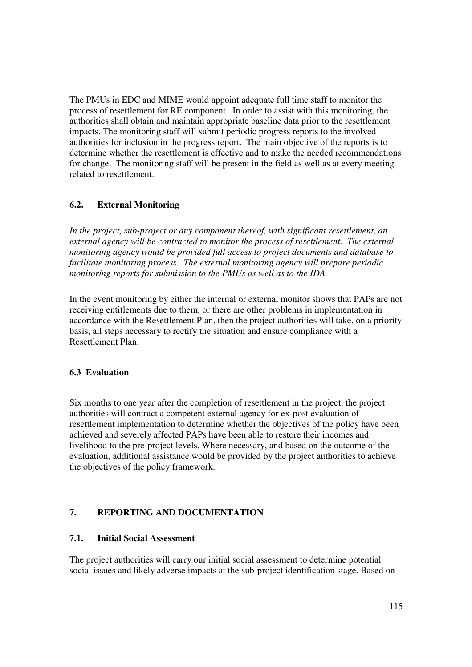The PMUs in EDC and MIME would appoint adequate full time staff to monitor the process of resettlement for RE component. In order to assist with this monitoring, the authorities shall obtain and maintain appropriate baseline data prior to the resettlement impacts. The monitoring staff will submit periodic progress reports to the involved authorities for inclusion in the progress report. The main objective of the reports is to determine whether the resettlement is effective and to make the needed recommendations for change. The monitoring staff will be present in the field as well as at every meeting related to resettlement.

### **6.2. External Monitoring**

*In the project, sub-project or any component thereof, with significant resettlement, an external agency will be contracted to monitor the process of resettlement. The external monitoring agency would be provided full access to project documents and database to facilitate monitoring process. The external monitoring agency will prepare periodic monitoring reports for submission to the PMUs as well as to the IDA.* 

In the event monitoring by either the internal or external monitor shows that PAPs are not receiving entitlements due to them, or there are other problems in implementation in accordance with the Resettlement Plan, then the project authorities will take, on a priority basis, all steps necessary to rectify the situation and ensure compliance with a Resettlement Plan.

#### **6.3 Evaluation**

Six months to one year after the completion of resettlement in the project, the project authorities will contract a competent external agency for ex-post evaluation of resettlement implementation to determine whether the objectives of the policy have been achieved and severely affected PAPs have been able to restore their incomes and livelihood to the pre-project levels. Where necessary, and based on the outcome of the evaluation, additional assistance would be provided by the project authorities to achieve the objectives of the policy framework.

# **7. REPORTING AND DOCUMENTATION**

#### **7.1. Initial Social Assessment**

The project authorities will carry our initial social assessment to determine potential social issues and likely adverse impacts at the sub-project identification stage. Based on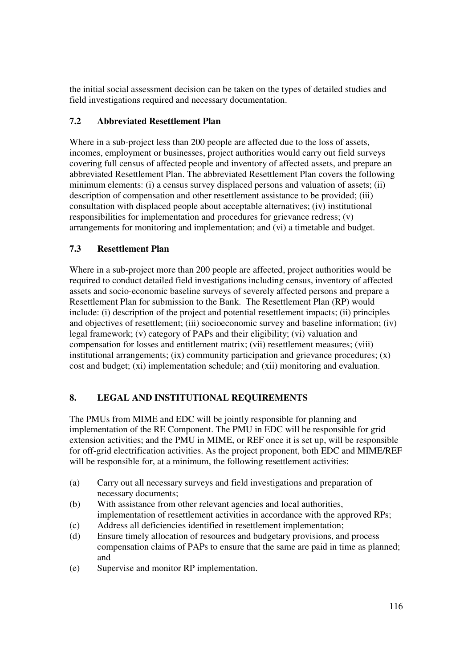the initial social assessment decision can be taken on the types of detailed studies and field investigations required and necessary documentation.

## **7.2 Abbreviated Resettlement Plan**

Where in a sub-project less than 200 people are affected due to the loss of assets, incomes, employment or businesses, project authorities would carry out field surveys covering full census of affected people and inventory of affected assets, and prepare an abbreviated Resettlement Plan. The abbreviated Resettlement Plan covers the following minimum elements: (i) a census survey displaced persons and valuation of assets; (ii) description of compensation and other resettlement assistance to be provided; (iii) consultation with displaced people about acceptable alternatives; (iv) institutional responsibilities for implementation and procedures for grievance redress; (v) arrangements for monitoring and implementation; and (vi) a timetable and budget.

## **7.3 Resettlement Plan**

Where in a sub-project more than 200 people are affected, project authorities would be required to conduct detailed field investigations including census, inventory of affected assets and socio-economic baseline surveys of severely affected persons and prepare a Resettlement Plan for submission to the Bank. The Resettlement Plan (RP) would include: (i) description of the project and potential resettlement impacts; (ii) principles and objectives of resettlement; (iii) socioeconomic survey and baseline information; (iv) legal framework; (v) category of PAPs and their eligibility; (vi) valuation and compensation for losses and entitlement matrix; (vii) resettlement measures; (viii) institutional arrangements;  $(ix)$  community participation and grievance procedures;  $(x)$ cost and budget; (xi) implementation schedule; and (xii) monitoring and evaluation.

## **8. LEGAL AND INSTITUTIONAL REQUIREMENTS**

The PMUs from MIME and EDC will be jointly responsible for planning and implementation of the RE Component. The PMU in EDC will be responsible for grid extension activities; and the PMU in MIME, or REF once it is set up, will be responsible for off-grid electrification activities. As the project proponent, both EDC and MIME/REF will be responsible for, at a minimum, the following resettlement activities:

- (a) Carry out all necessary surveys and field investigations and preparation of necessary documents;
- (b) With assistance from other relevant agencies and local authorities, implementation of resettlement activities in accordance with the approved RPs;
- (c) Address all deficiencies identified in resettlement implementation;
- (d) Ensure timely allocation of resources and budgetary provisions, and process compensation claims of PAPs to ensure that the same are paid in time as planned; and
- (e) Supervise and monitor RP implementation.